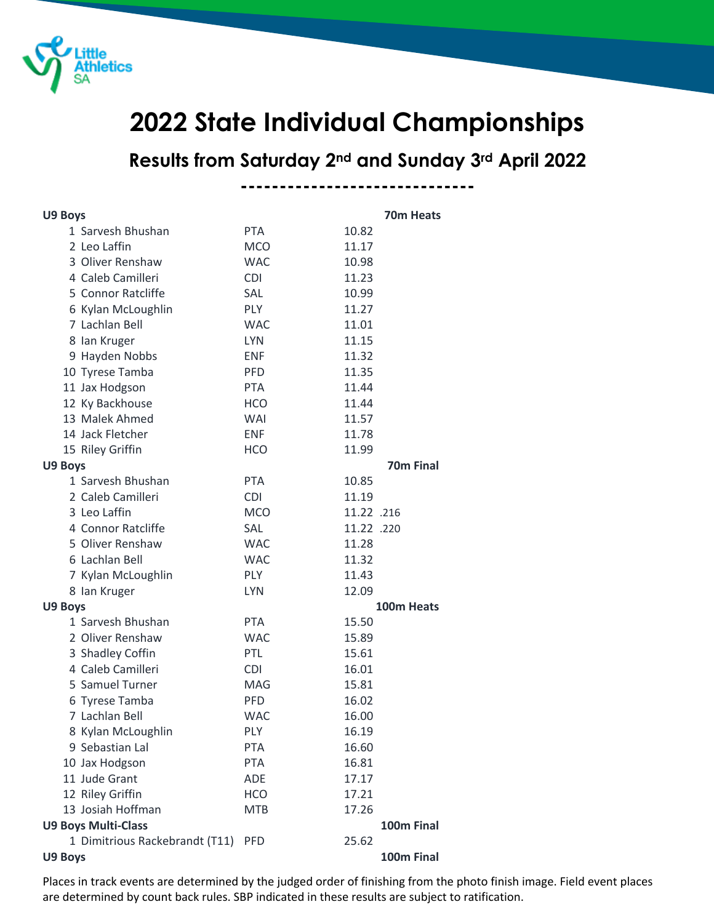

## **State Individual Championships**

**Results from Saturday 2nd and Sunday 3rd April 2022**

**------------------------------**

| <b>U9 Boys</b>                 |            |            | 70m Heats             |
|--------------------------------|------------|------------|-----------------------|
| 1 Sarvesh Bhushan              | <b>PTA</b> | 10.82      |                       |
| 2 Leo Laffin                   | <b>MCO</b> | 11.17      |                       |
| 3 Oliver Renshaw               | <b>WAC</b> | 10.98      |                       |
| 4 Caleb Camilleri              | <b>CDI</b> | 11.23      |                       |
| 5 Connor Ratcliffe             | SAL        | 10.99      |                       |
| 6 Kylan McLoughlin             | <b>PLY</b> | 11.27      |                       |
| 7 Lachlan Bell                 | <b>WAC</b> | 11.01      |                       |
| 8 Ian Kruger                   | <b>LYN</b> | 11.15      |                       |
| 9 Hayden Nobbs                 | <b>ENF</b> | 11.32      |                       |
| 10 Tyrese Tamba                | <b>PFD</b> | 11.35      |                       |
| 11 Jax Hodgson                 | PTA.       | 11.44      |                       |
| 12 Ky Backhouse                | <b>HCO</b> | 11.44      |                       |
| 13 Malek Ahmed                 | <b>WAI</b> | 11.57      |                       |
| 14 Jack Fletcher               | <b>ENF</b> | 11.78      |                       |
| 15 Riley Griffin               | <b>HCO</b> | 11.99      |                       |
| U9 Boys                        |            |            | 70 <sub>m</sub> Final |
| 1 Sarvesh Bhushan              | <b>PTA</b> | 10.85      |                       |
| 2 Caleb Camilleri              | <b>CDI</b> | 11.19      |                       |
| 3 Leo Laffin                   | <b>MCO</b> | 11.22 .216 |                       |
| 4 Connor Ratcliffe             | <b>SAL</b> | 11.22 .220 |                       |
| 5 Oliver Renshaw               | <b>WAC</b> | 11.28      |                       |
| 6 Lachlan Bell                 | <b>WAC</b> | 11.32      |                       |
| 7 Kylan McLoughlin             | <b>PLY</b> | 11.43      |                       |
| 8 Ian Kruger                   | <b>LYN</b> | 12.09      |                       |
| U9 Boys                        |            |            | 100m Heats            |
| 1 Sarvesh Bhushan              | <b>PTA</b> | 15.50      |                       |
| 2 Oliver Renshaw               | <b>WAC</b> | 15.89      |                       |
| 3 Shadley Coffin               | PTL        | 15.61      |                       |
| 4 Caleb Camilleri              | <b>CDI</b> | 16.01      |                       |
| 5 Samuel Turner                | MAG        | 15.81      |                       |
| 6 Tyrese Tamba                 | <b>PFD</b> | 16.02      |                       |
| 7 Lachlan Bell                 | WAC        | 16.00      |                       |
| 8 Kylan McLoughlin             | PLY        | 16.19      |                       |
| 9 Sebastian Lal                | <b>PTA</b> | 16.60      |                       |
| 10 Jax Hodgson                 | <b>PTA</b> | 16.81      |                       |
| 11 Jude Grant                  | ADE        | 17.17      |                       |
| 12 Riley Griffin               | <b>HCO</b> | 17.21      |                       |
| 13 Josiah Hoffman              | <b>MTB</b> | 17.26      |                       |
| <b>U9 Boys Multi-Class</b>     |            |            | 100m Final            |
| 1 Dimitrious Rackebrandt (T11) | <b>PFD</b> | 25.62      |                       |
| U9 Boys                        |            |            | 100m Final            |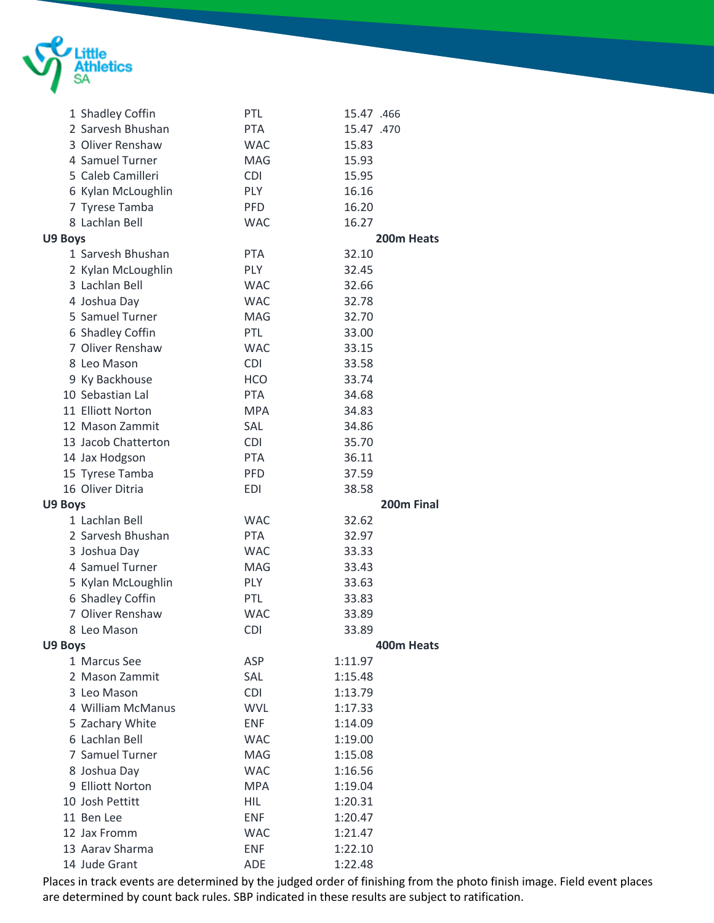

|         | 1 Shadley Coffin                    | PTL                      | 15.47 .466         |
|---------|-------------------------------------|--------------------------|--------------------|
|         | 2 Sarvesh Bhushan                   | <b>PTA</b>               | 15.47 .470         |
|         | 3 Oliver Renshaw                    | <b>WAC</b>               | 15.83              |
|         | 4 Samuel Turner                     | MAG                      | 15.93              |
|         | 5 Caleb Camilleri                   | <b>CDI</b>               | 15.95              |
|         | 6 Kylan McLoughlin                  | <b>PLY</b>               | 16.16              |
|         | 7 Tyrese Tamba                      | <b>PFD</b>               | 16.20              |
|         | 8 Lachlan Bell                      | <b>WAC</b>               | 16.27              |
| U9 Boys |                                     |                          | 200m Heats         |
|         | 1 Sarvesh Bhushan                   | <b>PTA</b>               | 32.10              |
|         | 2 Kylan McLoughlin                  | <b>PLY</b>               | 32.45              |
|         | 3 Lachlan Bell                      | <b>WAC</b>               | 32.66              |
|         | 4 Joshua Day                        | <b>WAC</b>               | 32.78              |
|         | 5 Samuel Turner                     | <b>MAG</b>               | 32.70              |
|         | 6 Shadley Coffin                    | PTL                      | 33.00              |
|         | 7 Oliver Renshaw                    | <b>WAC</b>               | 33.15              |
|         | 8 Leo Mason                         | <b>CDI</b>               | 33.58              |
|         | 9 Ky Backhouse                      | <b>HCO</b>               | 33.74              |
|         | 10 Sebastian Lal                    | <b>PTA</b>               | 34.68              |
|         | 11 Elliott Norton                   | <b>MPA</b>               | 34.83              |
|         | 12 Mason Zammit                     | SAL                      | 34.86              |
|         | 13 Jacob Chatterton                 | <b>CDI</b>               | 35.70              |
|         | 14 Jax Hodgson                      | <b>PTA</b>               | 36.11              |
|         | 15 Tyrese Tamba                     | <b>PFD</b>               | 37.59              |
|         | 16 Oliver Ditria                    | <b>EDI</b>               | 38.58              |
|         |                                     |                          |                    |
|         |                                     |                          |                    |
| U9 Boys |                                     | <b>WAC</b>               | 200m Final         |
|         | 1 Lachlan Bell<br>2 Sarvesh Bhushan | <b>PTA</b>               | 32.62              |
|         |                                     |                          | 32.97              |
|         | 3 Joshua Day                        | <b>WAC</b>               | 33.33              |
|         | 4 Samuel Turner                     | MAG                      | 33.43              |
|         | 5 Kylan McLoughlin                  | <b>PLY</b>               | 33.63              |
|         | 6 Shadley Coffin                    | PTL                      | 33.83              |
|         | 7 Oliver Renshaw                    | <b>WAC</b>               | 33.89              |
|         | 8 Leo Mason                         | <b>CDI</b>               | 33.89              |
| U9 Boys |                                     |                          | 400m Heats         |
|         | 1 Marcus See                        | ASP                      | 1:11.97            |
|         | 2 Mason Zammit                      | SAL                      | 1:15.48            |
|         | 3 Leo Mason                         | <b>CDI</b>               | 1:13.79            |
|         | 4 William McManus                   | <b>WVL</b>               | 1:17.33            |
|         | 5 Zachary White                     | <b>ENF</b>               | 1:14.09            |
|         | 6 Lachlan Bell                      | <b>WAC</b>               | 1:19.00            |
|         | 7 Samuel Turner                     | MAG                      | 1:15.08            |
|         | 8 Joshua Day                        | <b>WAC</b>               | 1:16.56            |
|         | 9 Elliott Norton                    | <b>MPA</b>               | 1:19.04            |
|         | 10 Josh Pettitt                     | <b>HIL</b>               | 1:20.31            |
|         | 11 Ben Lee                          | <b>ENF</b>               | 1:20.47            |
|         | 12 Jax Fromm                        | <b>WAC</b>               | 1:21.47            |
|         | 13 Aarav Sharma<br>14 Jude Grant    | <b>ENF</b><br><b>ADE</b> | 1:22.10<br>1:22.48 |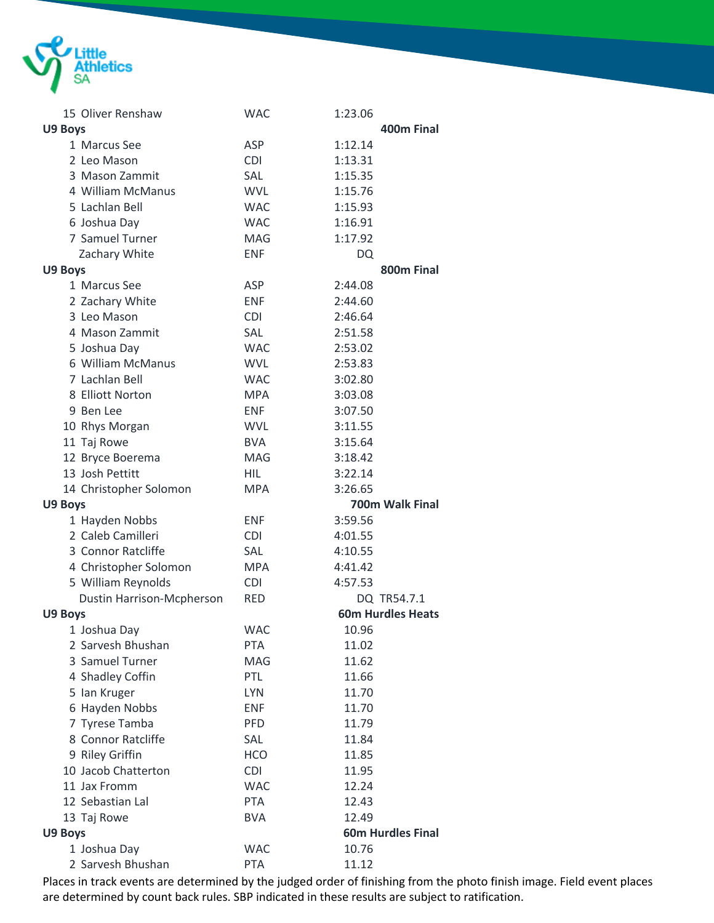

|         | 15 Oliver Renshaw                               | <b>WAC</b>               | 1:23.06                  |
|---------|-------------------------------------------------|--------------------------|--------------------------|
| U9 Boys |                                                 |                          | 400m Final               |
|         | 1 Marcus See                                    | ASP                      | 1:12.14                  |
|         | 2 Leo Mason                                     | <b>CDI</b>               | 1:13.31                  |
|         | 3 Mason Zammit                                  | SAL                      | 1:15.35                  |
|         | 4 William McManus                               | <b>WVL</b>               | 1:15.76                  |
|         | 5 Lachlan Bell                                  | <b>WAC</b>               | 1:15.93                  |
|         | 6 Joshua Day                                    | <b>WAC</b>               | 1:16.91                  |
|         | 7 Samuel Turner                                 | MAG                      | 1:17.92                  |
|         | Zachary White                                   | <b>ENF</b>               | <b>DQ</b>                |
| U9 Boys |                                                 |                          | 800m Final               |
|         | 1 Marcus See                                    | <b>ASP</b>               | 2:44.08                  |
|         | 2 Zachary White                                 | <b>ENF</b>               | 2:44.60                  |
|         | 3 Leo Mason                                     | <b>CDI</b>               | 2:46.64                  |
|         | 4 Mason Zammit                                  | SAL                      | 2:51.58                  |
|         | 5 Joshua Day                                    | <b>WAC</b>               | 2:53.02                  |
|         | 6 William McManus                               | <b>WVL</b>               | 2:53.83                  |
|         | 7 Lachlan Bell                                  | <b>WAC</b>               | 3:02.80                  |
|         | 8 Elliott Norton                                | <b>MPA</b>               | 3:03.08                  |
|         | 9 Ben Lee                                       | <b>ENF</b>               | 3:07.50                  |
|         | 10 Rhys Morgan                                  | <b>WVL</b>               | 3:11.55                  |
|         | 11 Taj Rowe                                     | <b>BVA</b>               | 3:15.64                  |
|         | 12 Bryce Boerema                                | <b>MAG</b>               | 3:18.42                  |
|         | 13 Josh Pettitt                                 | <b>HIL</b>               | 3:22.14                  |
|         |                                                 |                          |                          |
|         |                                                 | <b>MPA</b>               | 3:26.65                  |
|         | 14 Christopher Solomon                          |                          | 700m Walk Final          |
| U9 Boys |                                                 | <b>ENF</b>               | 3:59.56                  |
|         | 1 Hayden Nobbs<br>2 Caleb Camilleri             | <b>CDI</b>               | 4:01.55                  |
|         | 3 Connor Ratcliffe                              | SAL                      | 4:10.55                  |
|         |                                                 | <b>MPA</b>               | 4:41.42                  |
|         | 4 Christopher Solomon                           | <b>CDI</b>               | 4:57.53                  |
|         | 5 William Reynolds<br>Dustin Harrison-Mcpherson | <b>RED</b>               | DQ TR54.7.1              |
|         |                                                 |                          | <b>60m Hurdles Heats</b> |
| U9 Boys |                                                 |                          |                          |
|         | 1 Joshua Day<br>2 Sarvesh Bhushan               | <b>WAC</b><br><b>PTA</b> | 10.96<br>11.02           |
|         | 3 Samuel Turner                                 | MAG                      | 11.62                    |
|         | 4 Shadley Coffin                                | PTL                      | 11.66                    |
|         | 5 Ian Kruger                                    | <b>LYN</b>               | 11.70                    |
|         | 6 Hayden Nobbs                                  | <b>ENF</b>               | 11.70                    |
|         | 7 Tyrese Tamba                                  | <b>PFD</b>               | 11.79                    |
|         | 8 Connor Ratcliffe                              | <b>SAL</b>               | 11.84                    |
|         | 9 Riley Griffin                                 | <b>HCO</b>               | 11.85                    |
|         | 10 Jacob Chatterton                             | <b>CDI</b>               | 11.95                    |
|         | 11 Jax Fromm                                    | <b>WAC</b>               | 12.24                    |
|         | 12 Sebastian Lal                                | <b>PTA</b>               | 12.43                    |
|         | 13 Taj Rowe                                     | <b>BVA</b>               | 12.49                    |
| U9 Boys |                                                 |                          | <b>60m Hurdles Final</b> |
|         | 1 Joshua Day                                    | <b>WAC</b>               | 10.76                    |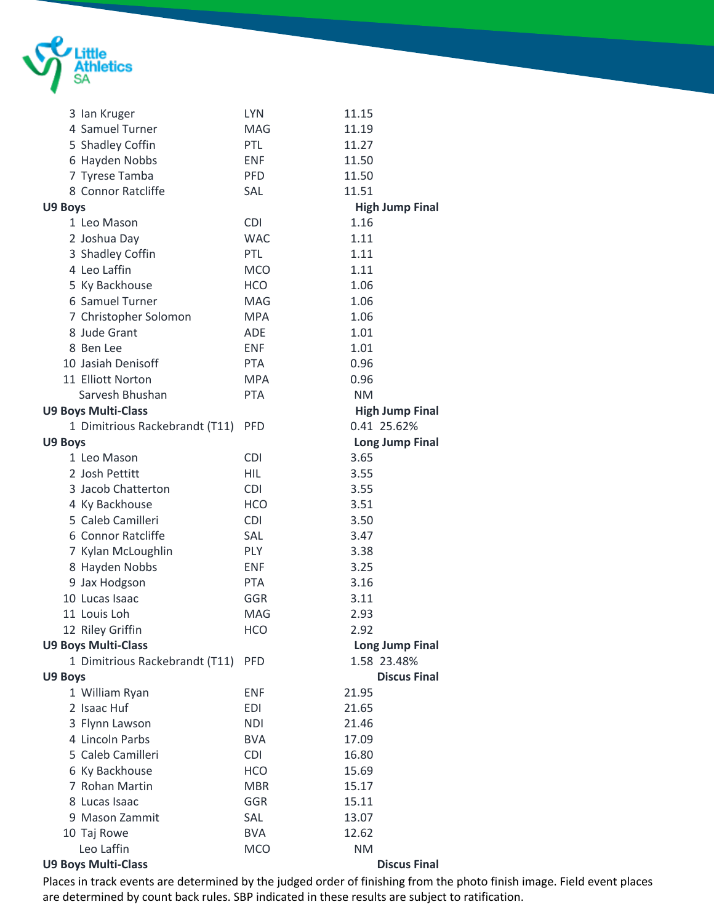

| 3 Ian Kruger                   | <b>LYN</b> | 11.15                  |
|--------------------------------|------------|------------------------|
| 4 Samuel Turner                | <b>MAG</b> | 11.19                  |
| 5 Shadley Coffin               | PTL        | 11.27                  |
| 6 Hayden Nobbs                 | <b>ENF</b> | 11.50                  |
| 7 Tyrese Tamba                 | <b>PFD</b> | 11.50                  |
| 8 Connor Ratcliffe             | SAL        | 11.51                  |
| U9 Boys                        |            | <b>High Jump Final</b> |
| 1 Leo Mason                    | <b>CDI</b> | 1.16                   |
| 2 Joshua Day                   | <b>WAC</b> | 1.11                   |
| 3 Shadley Coffin               | PTL        | 1.11                   |
| 4 Leo Laffin                   | <b>MCO</b> | 1.11                   |
| 5 Ky Backhouse                 | <b>HCO</b> | 1.06                   |
| 6 Samuel Turner                | <b>MAG</b> | 1.06                   |
| 7 Christopher Solomon          | <b>MPA</b> | 1.06                   |
| 8 Jude Grant                   | <b>ADE</b> | 1.01                   |
| 8 Ben Lee                      | <b>ENF</b> | 1.01                   |
| 10 Jasiah Denisoff             | <b>PTA</b> | 0.96                   |
| 11 Elliott Norton              | <b>MPA</b> | 0.96                   |
| Sarvesh Bhushan                | <b>PTA</b> | <b>NM</b>              |
| <b>U9 Boys Multi-Class</b>     |            | <b>High Jump Final</b> |
| 1 Dimitrious Rackebrandt (T11) | <b>PFD</b> | 0.41 25.62%            |
| U9 Boys                        |            | <b>Long Jump Final</b> |
| 1 Leo Mason                    | <b>CDI</b> | 3.65                   |
| 2 Josh Pettitt                 | HIL        | 3.55                   |
| 3 Jacob Chatterton             | <b>CDI</b> | 3.55                   |
| 4 Ky Backhouse                 | <b>HCO</b> | 3.51                   |
| 5 Caleb Camilleri              | <b>CDI</b> | 3.50                   |
| 6 Connor Ratcliffe             | <b>SAL</b> | 3.47                   |
| 7 Kylan McLoughlin             | PLY        | 3.38                   |
| 8 Hayden Nobbs                 | <b>ENF</b> | 3.25                   |
| 9 Jax Hodgson                  | <b>PTA</b> | 3.16                   |
| 10 Lucas Isaac                 | GGR        | 3.11                   |
| 11 Louis Loh                   | <b>MAG</b> | 2.93                   |
| 12 Riley Griffin               | HCO        | 2.92                   |
| <b>U9 Boys Multi-Class</b>     |            | <b>Long Jump Final</b> |
| 1 Dimitrious Rackebrandt (T11) | <b>PFD</b> | 1.58 23.48%            |
| U9 Boys                        |            | <b>Discus Final</b>    |
| 1 William Ryan                 | <b>ENF</b> | 21.95                  |
| 2 Isaac Huf                    | <b>EDI</b> | 21.65                  |
| 3 Flynn Lawson                 | <b>NDI</b> | 21.46                  |
| 4 Lincoln Parbs                | <b>BVA</b> | 17.09                  |
| 5 Caleb Camilleri              | <b>CDI</b> | 16.80                  |
| 6 Ky Backhouse                 | <b>HCO</b> | 15.69                  |
| 7 Rohan Martin                 | <b>MBR</b> | 15.17                  |
| 8 Lucas Isaac                  | <b>GGR</b> | 15.11                  |
| 9 Mason Zammit                 | SAL        | 13.07                  |
| 10 Taj Rowe                    | <b>BVA</b> | 12.62                  |
| Leo Laffin                     | <b>MCO</b> | <b>NM</b>              |
| <b>U9 Boys Multi-Class</b>     |            | <b>Discus Final</b>    |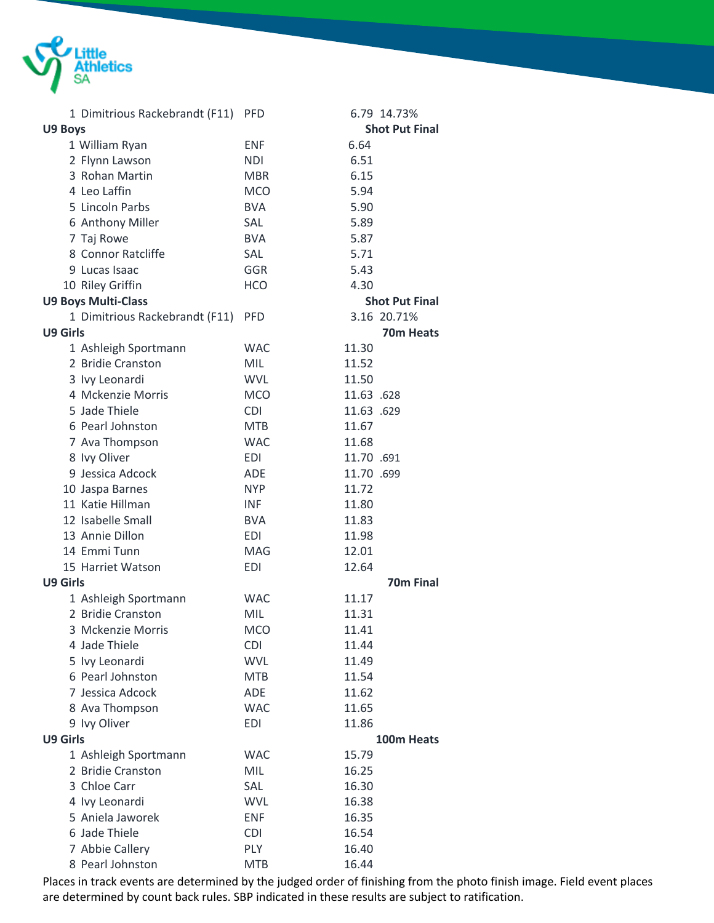

| 1 Dimitrious Rackebrandt (F11)      | <b>PFD</b> | 6.79 14.73%                    |
|-------------------------------------|------------|--------------------------------|
| U9 Boys                             |            | <b>Shot Put Final</b>          |
| 1 William Ryan                      | <b>ENF</b> | 6.64                           |
| 2 Flynn Lawson                      | <b>NDI</b> | 6.51                           |
| 3 Rohan Martin                      | <b>MBR</b> | 6.15                           |
| 4 Leo Laffin                        | <b>MCO</b> | 5.94                           |
| 5 Lincoln Parbs                     | <b>BVA</b> | 5.90                           |
| 6 Anthony Miller                    | SAL        | 5.89                           |
| 7 Taj Rowe                          | <b>BVA</b> | 5.87                           |
| 8 Connor Ratcliffe                  | SAL        | 5.71                           |
| 9 Lucas Isaac                       | GGR        | 5.43                           |
| 10 Riley Griffin                    | <b>HCO</b> | 4.30                           |
| <b>U9 Boys Multi-Class</b>          |            | <b>Shot Put Final</b>          |
| 1 Dimitrious Rackebrandt (F11)      | <b>PFD</b> | 3.16 20.71%                    |
| <b>U9 Girls</b>                     |            | 70m Heats                      |
| 1 Ashleigh Sportmann                | <b>WAC</b> | 11.30                          |
| 2 Bridie Cranston                   | <b>MIL</b> | 11.52                          |
| 3 Ivy Leonardi                      | <b>WVL</b> | 11.50                          |
| 4 Mckenzie Morris                   | <b>MCO</b> | 11.63 .628                     |
| 5 Jade Thiele                       | <b>CDI</b> | 11.63 .629                     |
| 6 Pearl Johnston                    | <b>MTB</b> | 11.67                          |
| 7 Ava Thompson                      | <b>WAC</b> | 11.68                          |
| 8 Ivy Oliver                        | <b>EDI</b> | 11.70 .691                     |
| 9 Jessica Adcock                    | <b>ADE</b> | 11.70 .699                     |
|                                     | <b>NYP</b> | 11.72                          |
| 10 Jaspa Barnes<br>11 Katie Hillman | <b>INF</b> |                                |
| 12 Isabelle Small                   | <b>BVA</b> | 11.80<br>11.83                 |
| 13 Annie Dillon                     | EDI        |                                |
| 14 Emmi Tunn                        | MAG        | 11.98<br>12.01                 |
| 15 Harriet Watson                   |            |                                |
| U9 Girls                            | <b>EDI</b> | 12.64<br>70 <sub>m</sub> Final |
|                                     |            | 11.17                          |
| 1 Ashleigh Sportmann                | <b>WAC</b> |                                |
| 2 Bridie Cranston                   | MIL        | 11.31                          |
| 3 Mckenzie Morris                   | <b>MCO</b> | 11.41                          |
| 4 Jade Thiele                       | <b>CDI</b> | 11.44                          |
| 5 Ivy Leonardi                      | <b>WVL</b> | 11.49                          |
| 6 Pearl Johnston                    | <b>MTB</b> | 11.54                          |
| 7 Jessica Adcock                    | ADE        | 11.62                          |
| 8 Ava Thompson                      | <b>WAC</b> | 11.65                          |
| 9 Ivy Oliver                        | <b>EDI</b> | 11.86                          |
| <b>U9 Girls</b>                     |            | 100m Heats                     |
| 1 Ashleigh Sportmann                | <b>WAC</b> | 15.79                          |
| 2 Bridie Cranston                   | <b>MIL</b> | 16.25                          |
| 3 Chloe Carr                        | SAL        | 16.30                          |
| 4 Ivy Leonardi                      | <b>WVL</b> | 16.38                          |
| 5 Aniela Jaworek                    | <b>ENF</b> | 16.35                          |
| 6 Jade Thiele                       | <b>CDI</b> | 16.54                          |
| 7 Abbie Callery                     | PLY        | 16.40                          |
| 8 Pearl Johnston                    | <b>MTB</b> | 16.44                          |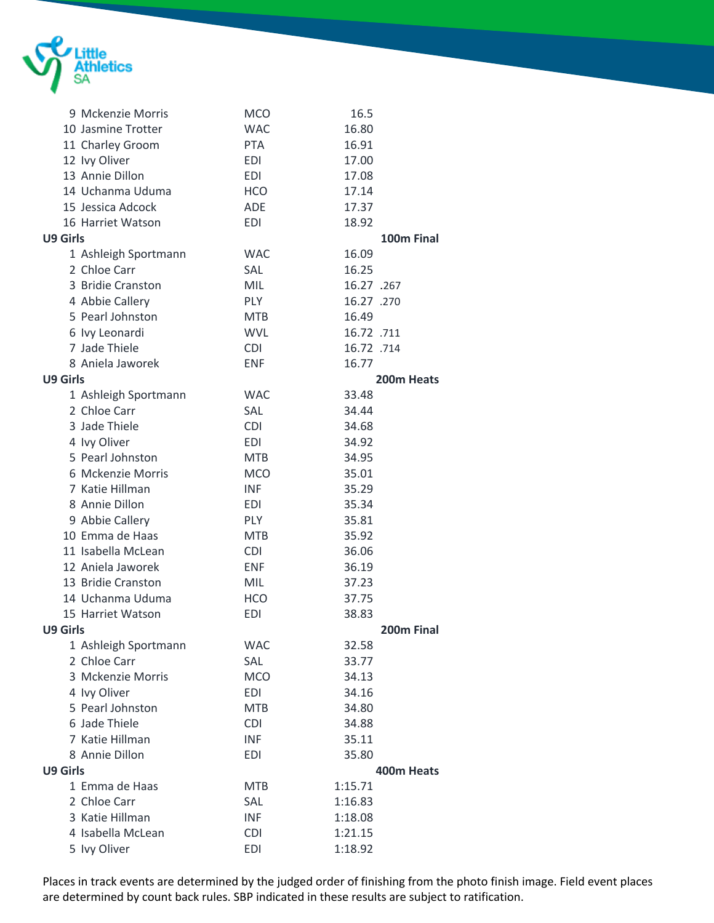

|                 | 9 Mckenzie Morris    | <b>MCO</b> | 16.5       |  |
|-----------------|----------------------|------------|------------|--|
|                 | 10 Jasmine Trotter   | <b>WAC</b> | 16.80      |  |
|                 | 11 Charley Groom     | <b>PTA</b> | 16.91      |  |
|                 | 12 Ivy Oliver        | <b>EDI</b> | 17.00      |  |
|                 | 13 Annie Dillon      | <b>EDI</b> | 17.08      |  |
|                 | 14 Uchanma Uduma     | <b>HCO</b> | 17.14      |  |
|                 | 15 Jessica Adcock    | ADE        | 17.37      |  |
|                 | 16 Harriet Watson    | <b>EDI</b> | 18.92      |  |
| <b>U9 Girls</b> |                      |            | 100m Final |  |
|                 | 1 Ashleigh Sportmann | <b>WAC</b> | 16.09      |  |
|                 | 2 Chloe Carr         | SAL        | 16.25      |  |
|                 | 3 Bridie Cranston    | <b>MIL</b> | 16.27 .267 |  |
|                 | 4 Abbie Callery      | <b>PLY</b> | 16.27 .270 |  |
|                 | 5 Pearl Johnston     | <b>MTB</b> | 16.49      |  |
|                 | 6 Ivy Leonardi       | <b>WVL</b> | 16.72 .711 |  |
|                 | 7 Jade Thiele        |            |            |  |
|                 |                      | <b>CDI</b> | 16.72 .714 |  |
|                 | 8 Aniela Jaworek     | <b>ENF</b> | 16.77      |  |
| <b>U9 Girls</b> |                      |            | 200m Heats |  |
|                 | 1 Ashleigh Sportmann | <b>WAC</b> | 33.48      |  |
|                 | 2 Chloe Carr         | SAL        | 34.44      |  |
|                 | 3 Jade Thiele        | <b>CDI</b> | 34.68      |  |
|                 | 4 Ivy Oliver         | <b>EDI</b> | 34.92      |  |
|                 | 5 Pearl Johnston     | <b>MTB</b> | 34.95      |  |
|                 | 6 Mckenzie Morris    | <b>MCO</b> | 35.01      |  |
|                 | 7 Katie Hillman      | <b>INF</b> | 35.29      |  |
|                 | 8 Annie Dillon       | <b>EDI</b> | 35.34      |  |
|                 | 9 Abbie Callery      | <b>PLY</b> | 35.81      |  |
|                 | 10 Emma de Haas      | <b>MTB</b> | 35.92      |  |
|                 | 11 Isabella McLean   | <b>CDI</b> | 36.06      |  |
|                 | 12 Aniela Jaworek    | <b>ENF</b> | 36.19      |  |
|                 | 13 Bridie Cranston   | MIL        | 37.23      |  |
|                 | 14 Uchanma Uduma     | <b>HCO</b> | 37.75      |  |
|                 | 15 Harriet Watson    | <b>EDI</b> | 38.83      |  |
| U9 Girls        |                      |            | 200m Final |  |
|                 | 1 Ashleigh Sportmann | <b>WAC</b> | 32.58      |  |
|                 | 2 Chloe Carr         | SAL        | 33.77      |  |
|                 | 3 Mckenzie Morris    | <b>MCO</b> | 34.13      |  |
|                 | 4 Ivy Oliver         | <b>EDI</b> | 34.16      |  |
|                 | 5 Pearl Johnston     | <b>MTB</b> | 34.80      |  |
|                 | 6 Jade Thiele        | <b>CDI</b> | 34.88      |  |
|                 | 7 Katie Hillman      | <b>INF</b> | 35.11      |  |
|                 | 8 Annie Dillon       | <b>EDI</b> | 35.80      |  |
| U9 Girls        |                      |            | 400m Heats |  |
|                 | 1 Emma de Haas       | <b>MTB</b> | 1:15.71    |  |
|                 | 2 Chloe Carr         | SAL        | 1:16.83    |  |
|                 | 3 Katie Hillman      | <b>INF</b> | 1:18.08    |  |
|                 | 4 Isabella McLean    | <b>CDI</b> | 1:21.15    |  |
|                 | 5 Ivy Oliver         | <b>EDI</b> | 1:18.92    |  |
|                 |                      |            |            |  |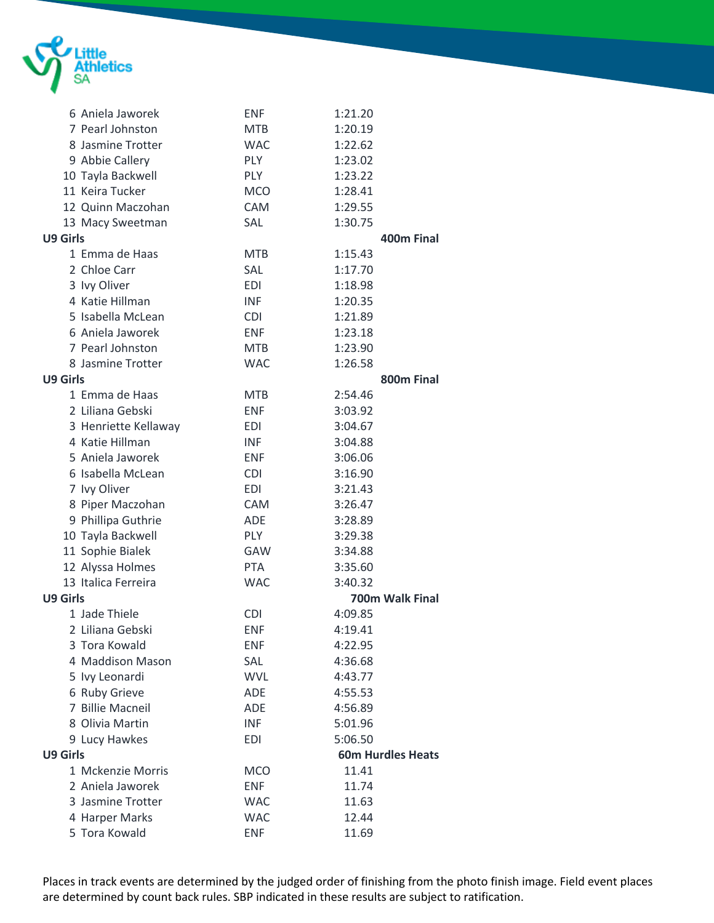

|                 | 6 Aniela Jaworek     | <b>ENF</b> | 1:21.20                  |
|-----------------|----------------------|------------|--------------------------|
|                 | 7 Pearl Johnston     | <b>MTB</b> | 1:20.19                  |
|                 | 8 Jasmine Trotter    | <b>WAC</b> | 1:22.62                  |
|                 | 9 Abbie Callery      | <b>PLY</b> | 1:23.02                  |
|                 | 10 Tayla Backwell    | <b>PLY</b> | 1:23.22                  |
|                 | 11 Keira Tucker      | <b>MCO</b> | 1:28.41                  |
|                 | 12 Quinn Maczohan    | <b>CAM</b> | 1:29.55                  |
|                 | 13 Macy Sweetman     | SAL        | 1:30.75                  |
| <b>U9 Girls</b> |                      |            | 400m Final               |
|                 | 1 Emma de Haas       | <b>MTB</b> | 1:15.43                  |
|                 | 2 Chloe Carr         | SAL        | 1:17.70                  |
|                 | 3 Ivy Oliver         | <b>EDI</b> | 1:18.98                  |
|                 | 4 Katie Hillman      | <b>INF</b> | 1:20.35                  |
|                 | 5 Isabella McLean    | <b>CDI</b> | 1:21.89                  |
|                 | 6 Aniela Jaworek     | <b>ENF</b> | 1:23.18                  |
|                 | 7 Pearl Johnston     | <b>MTB</b> | 1:23.90                  |
|                 | 8 Jasmine Trotter    | <b>WAC</b> | 1:26.58                  |
| <b>U9 Girls</b> |                      |            | 800m Final               |
|                 | 1 Emma de Haas       | <b>MTB</b> | 2:54.46                  |
|                 | 2 Liliana Gebski     | <b>ENF</b> | 3:03.92                  |
|                 | 3 Henriette Kellaway | EDI        | 3:04.67                  |
|                 | 4 Katie Hillman      | <b>INF</b> | 3:04.88                  |
|                 | 5 Aniela Jaworek     | <b>ENF</b> | 3:06.06                  |
|                 | 6 Isabella McLean    | <b>CDI</b> | 3:16.90                  |
|                 | 7 Ivy Oliver         | <b>EDI</b> | 3:21.43                  |
|                 | 8 Piper Maczohan     | <b>CAM</b> | 3:26.47                  |
|                 | 9 Phillipa Guthrie   | <b>ADE</b> | 3:28.89                  |
|                 | 10 Tayla Backwell    | <b>PLY</b> | 3:29.38                  |
|                 | 11 Sophie Bialek     | GAW        | 3:34.88                  |
|                 | 12 Alyssa Holmes     | <b>PTA</b> | 3:35.60                  |
|                 | 13 Italica Ferreira  | <b>WAC</b> | 3:40.32                  |
| <b>U9 Girls</b> |                      |            | 700m Walk Final          |
|                 | 1 Jade Thiele        | <b>CDI</b> | 4:09.85                  |
|                 | 2 Liliana Gebski     | <b>ENF</b> | 4:19.41                  |
|                 | 3 Tora Kowald        | ENF        | 4:22.95                  |
|                 | 4 Maddison Mason     | SAL        | 4:36.68                  |
|                 | 5 Ivy Leonardi       | <b>WVL</b> | 4:43.77                  |
|                 | 6 Ruby Grieve        | ADE        | 4:55.53                  |
|                 | 7 Billie Macneil     | ADE        | 4:56.89                  |
|                 | 8 Olivia Martin      | <b>INF</b> | 5:01.96                  |
|                 | 9 Lucy Hawkes        | <b>EDI</b> | 5:06.50                  |
| <b>U9 Girls</b> |                      |            | <b>60m Hurdles Heats</b> |
|                 | 1 Mckenzie Morris    | <b>MCO</b> | 11.41                    |
|                 | 2 Aniela Jaworek     | <b>ENF</b> | 11.74                    |
|                 | 3 Jasmine Trotter    | <b>WAC</b> | 11.63                    |
|                 | 4 Harper Marks       | <b>WAC</b> | 12.44                    |
|                 | 5 Tora Kowald        | <b>ENF</b> | 11.69                    |
|                 |                      |            |                          |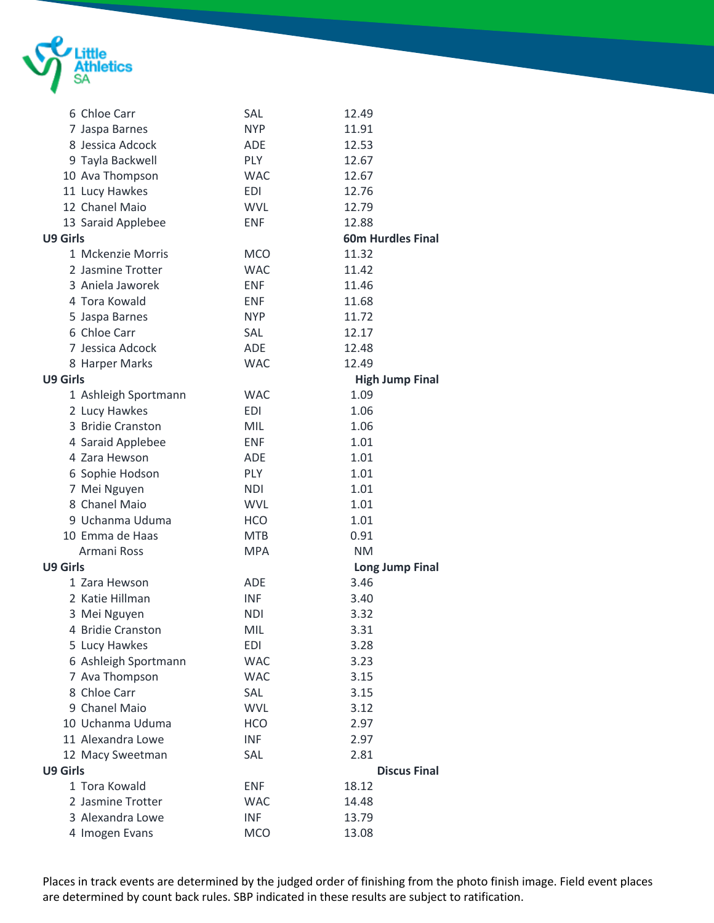

|                 | 6 Chloe Carr         | SAL        | 12.49                    |
|-----------------|----------------------|------------|--------------------------|
|                 | 7 Jaspa Barnes       | <b>NYP</b> | 11.91                    |
|                 | 8 Jessica Adcock     | <b>ADE</b> | 12.53                    |
|                 | 9 Tayla Backwell     | <b>PLY</b> | 12.67                    |
|                 | 10 Ava Thompson      | <b>WAC</b> | 12.67                    |
|                 | 11 Lucy Hawkes       | <b>EDI</b> | 12.76                    |
|                 | 12 Chanel Maio       | <b>WVL</b> | 12.79                    |
|                 | 13 Saraid Applebee   | <b>ENF</b> | 12.88                    |
| U9 Girls        |                      |            | <b>60m Hurdles Final</b> |
|                 | 1 Mckenzie Morris    | <b>MCO</b> | 11.32                    |
|                 | 2 Jasmine Trotter    | <b>WAC</b> | 11.42                    |
|                 | 3 Aniela Jaworek     | <b>ENF</b> | 11.46                    |
|                 | 4 Tora Kowald        | <b>ENF</b> | 11.68                    |
|                 | 5 Jaspa Barnes       | <b>NYP</b> | 11.72                    |
|                 | 6 Chloe Carr         | <b>SAL</b> | 12.17                    |
|                 | 7 Jessica Adcock     | <b>ADE</b> | 12.48                    |
|                 | 8 Harper Marks       | <b>WAC</b> | 12.49                    |
| <b>U9 Girls</b> |                      |            | <b>High Jump Final</b>   |
|                 | 1 Ashleigh Sportmann | <b>WAC</b> | 1.09                     |
|                 | 2 Lucy Hawkes        | <b>EDI</b> | 1.06                     |
|                 | 3 Bridie Cranston    | <b>MIL</b> | 1.06                     |
|                 | 4 Saraid Applebee    | <b>ENF</b> | 1.01                     |
|                 | 4 Zara Hewson        | <b>ADE</b> | 1.01                     |
|                 | 6 Sophie Hodson      | <b>PLY</b> | 1.01                     |
|                 | 7 Mei Nguyen         | <b>NDI</b> | 1.01                     |
|                 | 8 Chanel Maio        | <b>WVL</b> | 1.01                     |
|                 | 9 Uchanma Uduma      | <b>HCO</b> | 1.01                     |
|                 | 10 Emma de Haas      | <b>MTB</b> | 0.91                     |
|                 | Armani Ross          | <b>MPA</b> | <b>NM</b>                |
| <b>U9 Girls</b> |                      |            | <b>Long Jump Final</b>   |
|                 | 1 Zara Hewson        | <b>ADE</b> | 3.46                     |
|                 | 2 Katie Hillman      | <b>INF</b> | 3.40                     |
|                 | 3 Mei Nguyen         | <b>NDI</b> | 3.32                     |
|                 | 4 Bridie Cranston    | MIL        | 3.31                     |
|                 | 5 Lucy Hawkes        | EDI        | 3.28                     |
|                 | 6 Ashleigh Sportmann | <b>WAC</b> | 3.23                     |
|                 | 7 Ava Thompson       | <b>WAC</b> | 3.15                     |
|                 | 8 Chloe Carr         | SAL        | 3.15                     |
|                 | 9 Chanel Maio        | <b>WVL</b> | 3.12                     |
|                 | 10 Uchanma Uduma     | <b>HCO</b> | 2.97                     |
|                 | 11 Alexandra Lowe    | <b>INF</b> | 2.97                     |
|                 | 12 Macy Sweetman     | SAL        | 2.81                     |
| <b>U9 Girls</b> |                      |            | <b>Discus Final</b>      |
|                 | 1 Tora Kowald        | <b>ENF</b> | 18.12                    |
|                 | 2 Jasmine Trotter    | <b>WAC</b> | 14.48                    |
|                 | 3 Alexandra Lowe     | <b>INF</b> | 13.79                    |
|                 | 4 Imogen Evans       | <b>MCO</b> | 13.08                    |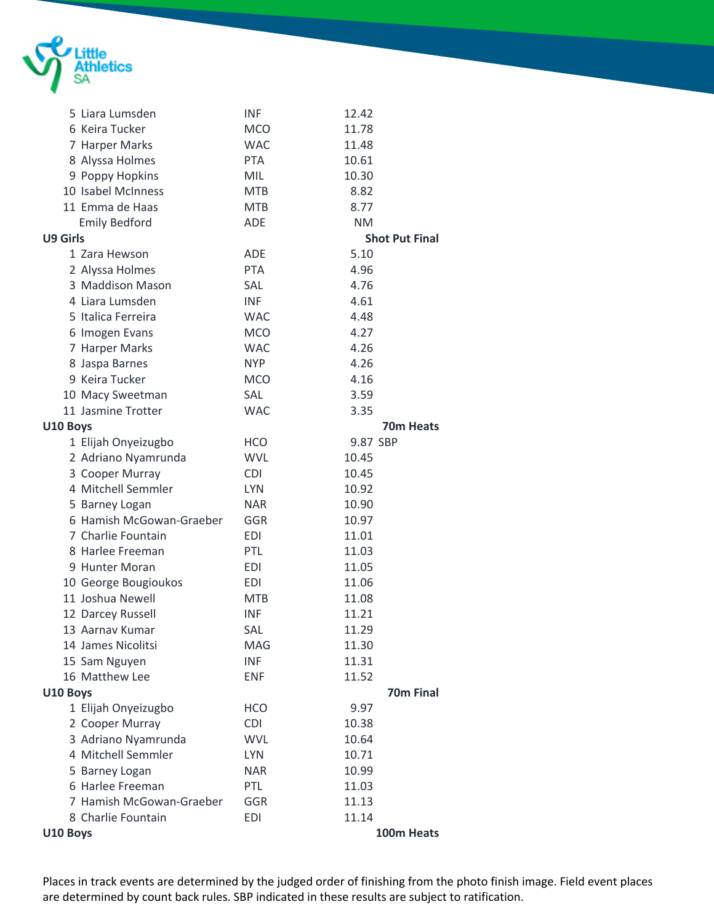

|          | 5 Liara Lumsden          | <b>INF</b> | 12.42     |                       |
|----------|--------------------------|------------|-----------|-----------------------|
|          | 6 Keira Tucker           | <b>MCO</b> | 11.78     |                       |
|          | 7 Harper Marks           | <b>WAC</b> | 11.48     |                       |
|          | 8 Alyssa Holmes          | <b>PTA</b> | 10.61     |                       |
|          | 9 Poppy Hopkins          | <b>MIL</b> | 10.30     |                       |
|          | 10 Isabel McInness       | <b>MTB</b> | 8.82      |                       |
|          | 11 Emma de Haas          | <b>MTB</b> | 8.77      |                       |
|          | <b>Emily Bedford</b>     | <b>ADE</b> | <b>NM</b> |                       |
| U9 Girls |                          |            |           | <b>Shot Put Final</b> |
|          | 1 Zara Hewson            | <b>ADE</b> | 5.10      |                       |
|          | 2 Alyssa Holmes          | <b>PTA</b> | 4.96      |                       |
|          | 3 Maddison Mason         | SAL        | 4.76      |                       |
|          | 4 Liara Lumsden          | <b>INF</b> | 4.61      |                       |
|          | 5 Italica Ferreira       | <b>WAC</b> | 4.48      |                       |
|          | 6 Imogen Evans           | <b>MCO</b> | 4.27      |                       |
|          | 7 Harper Marks           | <b>WAC</b> | 4.26      |                       |
|          | 8 Jaspa Barnes           | <b>NYP</b> | 4.26      |                       |
|          | 9 Keira Tucker           | <b>MCO</b> | 4.16      |                       |
|          | 10 Macy Sweetman         | SAL        | 3.59      |                       |
|          | 11 Jasmine Trotter       | <b>WAC</b> | 3.35      |                       |
| U10 Boys |                          |            |           | 70m Heats             |
|          | 1 Elijah Onyeizugbo      | <b>HCO</b> | 9.87 SBP  |                       |
|          | 2 Adriano Nyamrunda      | <b>WVL</b> | 10.45     |                       |
|          | 3 Cooper Murray          | <b>CDI</b> | 10.45     |                       |
|          | 4 Mitchell Semmler       | <b>LYN</b> | 10.92     |                       |
|          | 5 Barney Logan           | <b>NAR</b> | 10.90     |                       |
|          | 6 Hamish McGowan-Graeber | GGR        | 10.97     |                       |
|          | 7 Charlie Fountain       | <b>EDI</b> | 11.01     |                       |
|          | 8 Harlee Freeman         | PTL        | 11.03     |                       |
|          | 9 Hunter Moran           | <b>EDI</b> | 11.05     |                       |
|          | 10 George Bougioukos     | EDI        | 11.06     |                       |
|          | 11 Joshua Newell         | <b>MTB</b> | 11.08     |                       |
|          | 12 Darcey Russell        | <b>INF</b> | 11.21     |                       |
|          | 13 Aarnav Kumar          | SAL        | 11.29     |                       |
|          | 14 James Nicolitsi       | MAG        | 11.30     |                       |
|          | 15 Sam Nguyen            | <b>INF</b> | 11.31     |                       |
|          | 16 Matthew Lee           | <b>ENF</b> | 11.52     |                       |
| U10 Boys |                          |            |           | 70m Final             |
|          | 1 Elijah Onyeizugbo      | <b>HCO</b> | 9.97      |                       |
|          | 2 Cooper Murray          | <b>CDI</b> | 10.38     |                       |
|          | 3 Adriano Nyamrunda      | <b>WVL</b> | 10.64     |                       |
|          | 4 Mitchell Semmler       | <b>LYN</b> | 10.71     |                       |
|          | 5 Barney Logan           | <b>NAR</b> | 10.99     |                       |
|          | 6 Harlee Freeman         | PTL        | 11.03     |                       |
|          | 7 Hamish McGowan-Graeber | GGR        | 11.13     |                       |
|          | 8 Charlie Fountain       | <b>EDI</b> | 11.14     |                       |
| U10 Boys |                          |            |           | 100m Heats            |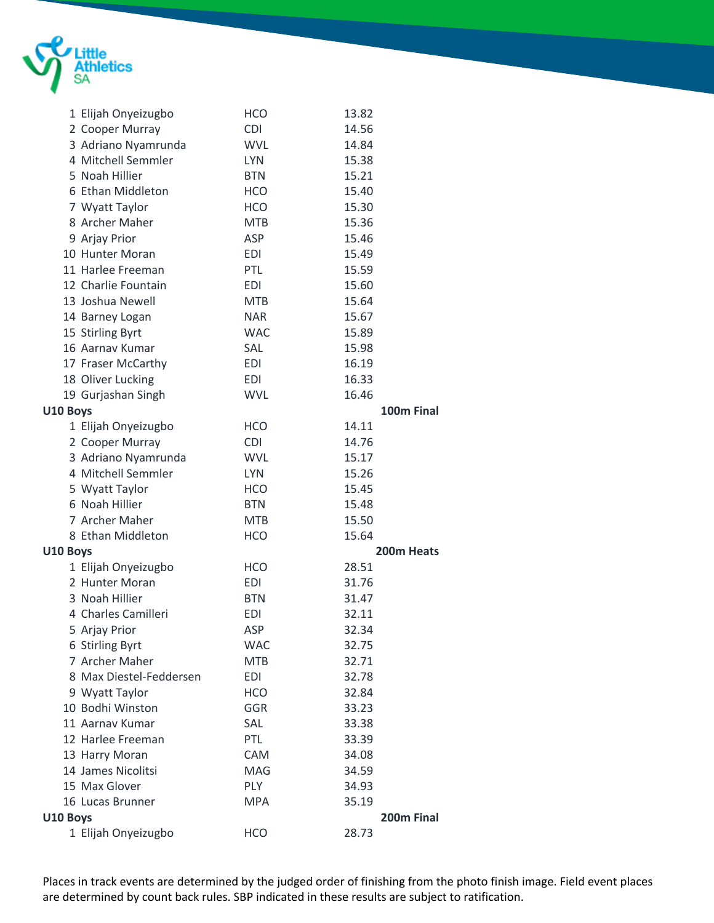

|          | 1 Elijah Onyeizugbo     | <b>HCO</b> | 13.82      |
|----------|-------------------------|------------|------------|
|          | 2 Cooper Murray         | <b>CDI</b> | 14.56      |
|          | 3 Adriano Nyamrunda     | <b>WVL</b> | 14.84      |
|          | 4 Mitchell Semmler      | <b>LYN</b> | 15.38      |
|          | 5 Noah Hillier          | <b>BTN</b> | 15.21      |
|          | 6 Ethan Middleton       | <b>HCO</b> | 15.40      |
|          | 7 Wyatt Taylor          | <b>HCO</b> | 15.30      |
|          | 8 Archer Maher          | <b>MTB</b> | 15.36      |
|          | 9 Arjay Prior           | ASP        | 15.46      |
|          | 10 Hunter Moran         | <b>EDI</b> | 15.49      |
|          | 11 Harlee Freeman       | PTL        | 15.59      |
|          | 12 Charlie Fountain     | <b>EDI</b> | 15.60      |
|          | 13 Joshua Newell        | <b>MTB</b> | 15.64      |
|          | 14 Barney Logan         | <b>NAR</b> | 15.67      |
|          | 15 Stirling Byrt        | <b>WAC</b> | 15.89      |
|          | 16 Aarnav Kumar         | SAL        | 15.98      |
|          | 17 Fraser McCarthy      | <b>EDI</b> | 16.19      |
|          | 18 Oliver Lucking       | <b>EDI</b> | 16.33      |
|          | 19 Gurjashan Singh      | <b>WVL</b> | 16.46      |
| U10 Boys |                         |            | 100m Final |
|          | 1 Elijah Onyeizugbo     | <b>HCO</b> | 14.11      |
|          | 2 Cooper Murray         | <b>CDI</b> | 14.76      |
|          | 3 Adriano Nyamrunda     | <b>WVL</b> | 15.17      |
|          | 4 Mitchell Semmler      | <b>LYN</b> | 15.26      |
|          | 5 Wyatt Taylor          | <b>HCO</b> | 15.45      |
|          | 6 Noah Hillier          | <b>BTN</b> | 15.48      |
|          | 7 Archer Maher          | <b>MTB</b> | 15.50      |
|          | 8 Ethan Middleton       | <b>HCO</b> | 15.64      |
| U10 Boys |                         |            | 200m Heats |
|          | 1 Elijah Onyeizugbo     | <b>HCO</b> | 28.51      |
|          | 2 Hunter Moran          | EDI        | 31.76      |
|          | 3 Noah Hillier          | <b>BTN</b> | 31.47      |
|          | 4 Charles Camilleri     | <b>EDI</b> | 32.11      |
|          | 5 Arjay Prior           | ASP        | 32.34      |
|          | 6 Stirling Byrt         | <b>WAC</b> | 32.75      |
|          | 7 Archer Maher          | <b>MTB</b> | 32.71      |
|          | 8 Max Diestel-Feddersen | <b>EDI</b> | 32.78      |
|          | 9 Wyatt Taylor          | <b>HCO</b> | 32.84      |
|          | 10 Bodhi Winston        | <b>GGR</b> | 33.23      |
|          | 11 Aarnav Kumar         | SAL        | 33.38      |
|          | 12 Harlee Freeman       | PTL        | 33.39      |
|          | 13 Harry Moran          | CAM        | 34.08      |
|          | 14 James Nicolitsi      | MAG        | 34.59      |
|          | 15 Max Glover           | PLY        | 34.93      |
|          | 16 Lucas Brunner        | <b>MPA</b> | 35.19      |
| U10 Boys |                         |            | 200m Final |
|          | 1 Elijah Onyeizugbo     | <b>HCO</b> | 28.73      |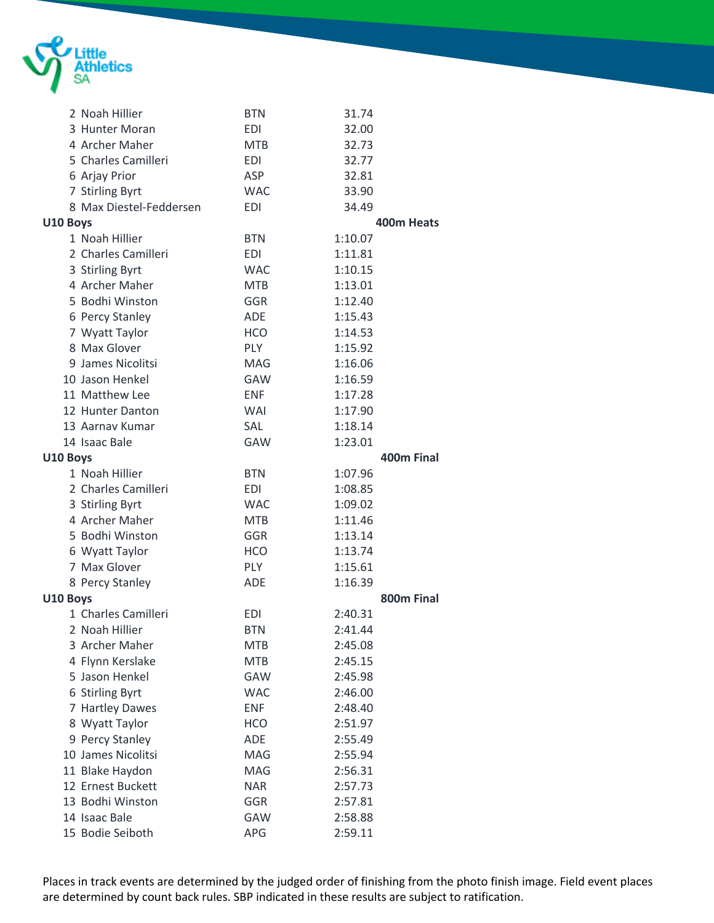

|          | 2 Noah Hillier          | <b>BTN</b> | 31.74      |
|----------|-------------------------|------------|------------|
|          | 3 Hunter Moran          | <b>EDI</b> | 32.00      |
|          | 4 Archer Maher          | <b>MTB</b> | 32.73      |
|          | 5 Charles Camilleri     | <b>EDI</b> | 32.77      |
|          | 6 Arjay Prior           | <b>ASP</b> | 32.81      |
|          | 7 Stirling Byrt         | <b>WAC</b> | 33.90      |
|          | 8 Max Diestel-Feddersen | <b>EDI</b> | 34.49      |
| U10 Boys |                         |            | 400m Heats |
|          | 1 Noah Hillier          | <b>BTN</b> | 1:10.07    |
|          | 2 Charles Camilleri     | <b>EDI</b> | 1:11.81    |
|          | 3 Stirling Byrt         | <b>WAC</b> | 1:10.15    |
|          | 4 Archer Maher          | <b>MTB</b> | 1:13.01    |
|          | 5 Bodhi Winston         | <b>GGR</b> | 1:12.40    |
|          | 6 Percy Stanley         | ADE        | 1:15.43    |
|          | 7 Wyatt Taylor          | <b>HCO</b> | 1:14.53    |
|          | 8 Max Glover            | <b>PLY</b> | 1:15.92    |
|          | 9 James Nicolitsi       | <b>MAG</b> | 1:16.06    |
|          | 10 Jason Henkel         | GAW        | 1:16.59    |
|          | 11 Matthew Lee          | <b>ENF</b> | 1:17.28    |
|          | 12 Hunter Danton        | <b>WAI</b> | 1:17.90    |
|          | 13 Aarnav Kumar         | <b>SAL</b> | 1:18.14    |
|          | 14 Isaac Bale           | <b>GAW</b> | 1:23.01    |
| U10 Boys |                         |            | 400m Final |
|          | 1 Noah Hillier          | <b>BTN</b> | 1:07.96    |
|          | 2 Charles Camilleri     | <b>EDI</b> | 1:08.85    |
|          | 3 Stirling Byrt         | <b>WAC</b> | 1:09.02    |
|          | 4 Archer Maher          | <b>MTB</b> | 1:11.46    |
|          | 5 Bodhi Winston         | GGR        | 1:13.14    |
|          | 6 Wyatt Taylor          | <b>HCO</b> | 1:13.74    |
|          | 7 Max Glover            | <b>PLY</b> | 1:15.61    |
|          | 8 Percy Stanley         | <b>ADE</b> | 1:16.39    |
| U10 Boys |                         |            | 800m Final |
|          | 1 Charles Camilleri     | <b>EDI</b> | 2:40.31    |
|          | 2 Noah Hillier          | <b>BTN</b> | 2:41.44    |
|          | 3 Archer Maher          | <b>MTB</b> | 2:45.08    |
|          | 4 Flynn Kerslake        | <b>MTB</b> | 2:45.15    |
|          | 5 Jason Henkel          | GAW        | 2:45.98    |
|          | 6 Stirling Byrt         | <b>WAC</b> | 2:46.00    |
|          | 7 Hartley Dawes         | <b>ENF</b> | 2:48.40    |
|          | 8 Wyatt Taylor          | <b>HCO</b> | 2:51.97    |
|          | 9 Percy Stanley         | ADE        | 2:55.49    |
|          | 10 James Nicolitsi      | MAG        | 2:55.94    |
|          | 11 Blake Haydon         | MAG        | 2:56.31    |
|          | 12 Ernest Buckett       | <b>NAR</b> | 2:57.73    |
|          | 13 Bodhi Winston        | GGR        | 2:57.81    |
|          | 14 Isaac Bale           | GAW        | 2:58.88    |
|          | 15 Bodie Seiboth        | APG        | 2:59.11    |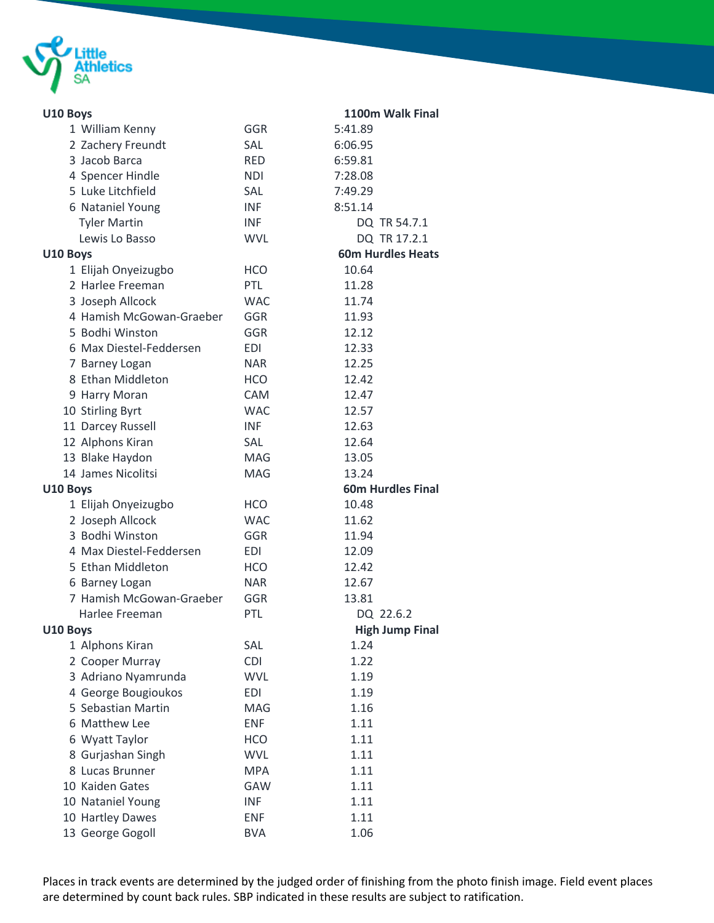

| U10 Boys                 |            | 1100m Walk Final         |
|--------------------------|------------|--------------------------|
| 1 William Kenny          | <b>GGR</b> | 5:41.89                  |
| 2 Zachery Freundt        | <b>SAL</b> | 6:06.95                  |
| 3 Jacob Barca            | <b>RED</b> | 6:59.81                  |
| 4 Spencer Hindle         | <b>NDI</b> | 7:28.08                  |
| 5 Luke Litchfield        | <b>SAL</b> | 7:49.29                  |
| 6 Nataniel Young         | <b>INF</b> | 8:51.14                  |
| <b>Tyler Martin</b>      | <b>INF</b> | DQ TR 54.7.1             |
| Lewis Lo Basso           | <b>WVL</b> | DQ TR 17.2.1             |
| U10 Boys                 |            | <b>60m Hurdles Heats</b> |
| 1 Elijah Onyeizugbo      | <b>HCO</b> | 10.64                    |
| 2 Harlee Freeman         | <b>PTL</b> | 11.28                    |
| 3 Joseph Allcock         | <b>WAC</b> | 11.74                    |
| 4 Hamish McGowan-Graeber | GGR        | 11.93                    |
| 5 Bodhi Winston          | <b>GGR</b> | 12.12                    |
| 6 Max Diestel-Feddersen  | EDI        | 12.33                    |
| 7 Barney Logan           | NAR        | 12.25                    |
| 8 Ethan Middleton        | <b>HCO</b> | 12.42                    |
| 9 Harry Moran            | CAM        | 12.47                    |
| 10 Stirling Byrt         | <b>WAC</b> | 12.57                    |
| 11 Darcey Russell        | <b>INF</b> | 12.63                    |
| 12 Alphons Kiran         | <b>SAL</b> | 12.64                    |
| 13 Blake Haydon          | <b>MAG</b> | 13.05                    |
| 14 James Nicolitsi       | MAG        | 13.24                    |
| U10 Boys                 |            | <b>60m Hurdles Final</b> |
| 1 Elijah Onyeizugbo      | <b>HCO</b> | 10.48                    |
| 2 Joseph Allcock         | <b>WAC</b> | 11.62                    |
| 3 Bodhi Winston          | GGR        | 11.94                    |
| 4 Max Diestel-Feddersen  | <b>EDI</b> | 12.09                    |
| 5 Ethan Middleton        | HCO        | 12.42                    |
| 6 Barney Logan           | <b>NAR</b> | 12.67                    |
| 7 Hamish McGowan-Graeber | GGR        | 13.81                    |
| Harlee Freeman           | PTL        | DQ 22.6.2                |
| U10 Boys                 |            | <b>High Jump Final</b>   |
| 1 Alphons Kiran          | SAL        | 1.24                     |
| 2 Cooper Murray          | <b>CDI</b> | 1.22                     |
| 3 Adriano Nyamrunda      | <b>WVL</b> | 1.19                     |
| 4 George Bougioukos      | <b>EDI</b> | 1.19                     |
| 5 Sebastian Martin       | MAG        | 1.16                     |
| 6 Matthew Lee            | <b>ENF</b> | 1.11                     |
| 6 Wyatt Taylor           | <b>HCO</b> | 1.11                     |
| 8 Gurjashan Singh        | <b>WVL</b> | 1.11                     |
| 8 Lucas Brunner          | <b>MPA</b> | 1.11                     |
| 10 Kaiden Gates          | GAW        | 1.11                     |
| 10 Nataniel Young        | <b>INF</b> | 1.11                     |
| 10 Hartley Dawes         | <b>ENF</b> | 1.11                     |
| 13 George Gogoll         | <b>BVA</b> | 1.06                     |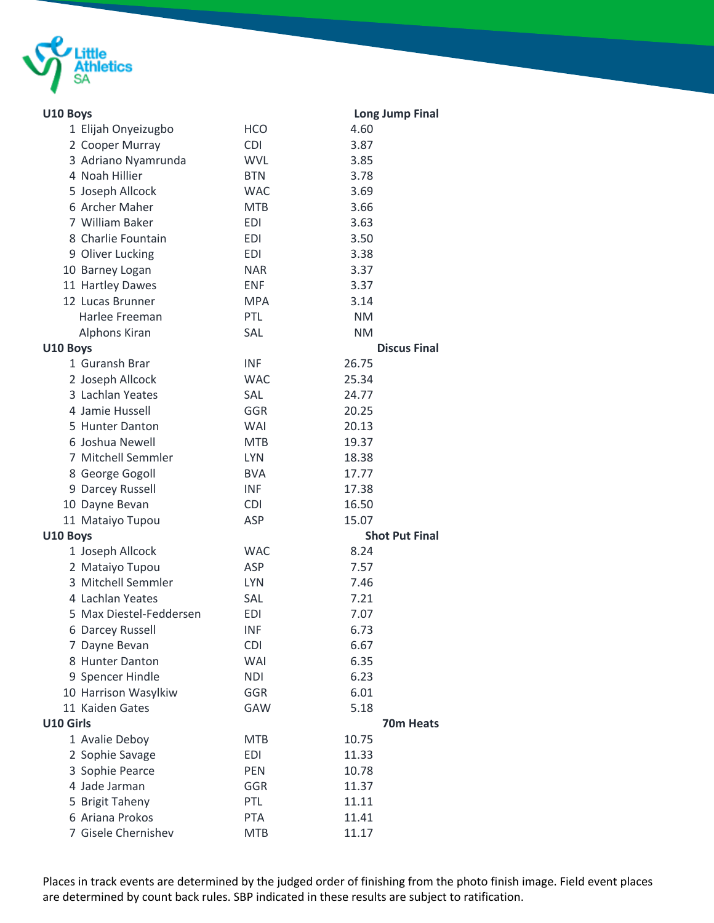

| U10 Boys         |                         |            | <b>Long Jump Final</b> |
|------------------|-------------------------|------------|------------------------|
|                  | 1 Elijah Onyeizugbo     | <b>HCO</b> | 4.60                   |
|                  | 2 Cooper Murray         | <b>CDI</b> | 3.87                   |
|                  | 3 Adriano Nyamrunda     | <b>WVL</b> | 3.85                   |
|                  | 4 Noah Hillier          | <b>BTN</b> | 3.78                   |
|                  | 5 Joseph Allcock        | <b>WAC</b> | 3.69                   |
|                  | 6 Archer Maher          | <b>MTB</b> | 3.66                   |
|                  | 7 William Baker         | <b>EDI</b> | 3.63                   |
|                  | 8 Charlie Fountain      | <b>EDI</b> | 3.50                   |
|                  | 9 Oliver Lucking        | <b>EDI</b> | 3.38                   |
|                  | 10 Barney Logan         | <b>NAR</b> | 3.37                   |
|                  | 11 Hartley Dawes        | <b>ENF</b> | 3.37                   |
|                  | 12 Lucas Brunner        | <b>MPA</b> | 3.14                   |
|                  | Harlee Freeman          | PTL        | <b>NM</b>              |
|                  | Alphons Kiran           | SAL        | <b>NM</b>              |
| U10 Boys         |                         |            | <b>Discus Final</b>    |
|                  | 1 Guransh Brar          | <b>INF</b> | 26.75                  |
|                  | 2 Joseph Allcock        | <b>WAC</b> | 25.34                  |
|                  | 3 Lachlan Yeates        | SAL        | 24.77                  |
|                  | 4 Jamie Hussell         | GGR        | 20.25                  |
|                  | 5 Hunter Danton         | WAI        | 20.13                  |
|                  | 6 Joshua Newell         | <b>MTB</b> | 19.37                  |
|                  | 7 Mitchell Semmler      | <b>LYN</b> | 18.38                  |
|                  | 8 George Gogoll         | <b>BVA</b> | 17.77                  |
|                  | 9 Darcey Russell        | <b>INF</b> | 17.38                  |
|                  | 10 Dayne Bevan          | <b>CDI</b> | 16.50                  |
|                  | 11 Mataiyo Tupou        | ASP        | 15.07                  |
| U10 Boys         |                         |            | <b>Shot Put Final</b>  |
|                  | 1 Joseph Allcock        | <b>WAC</b> | 8.24                   |
|                  | 2 Mataiyo Tupou         | ASP        | 7.57                   |
|                  | 3 Mitchell Semmler      | <b>LYN</b> | 7.46                   |
|                  | 4 Lachlan Yeates        | SAL        | 7.21                   |
|                  | 5 Max Diestel-Feddersen | <b>EDI</b> | 7.07                   |
|                  | 6 Darcey Russell        | <b>INF</b> | 6.73                   |
|                  | 7 Dayne Bevan           | <b>CDI</b> | 6.67                   |
|                  | 8 Hunter Danton         | <b>WAI</b> | 6.35                   |
|                  | 9 Spencer Hindle        | <b>NDI</b> | 6.23                   |
|                  | 10 Harrison Wasylkiw    | <b>GGR</b> | 6.01                   |
|                  | 11 Kaiden Gates         | GAW        | 5.18                   |
| <b>U10 Girls</b> |                         |            | 70m Heats              |
|                  | 1 Avalie Deboy          | <b>MTB</b> | 10.75                  |
|                  | 2 Sophie Savage         | <b>EDI</b> | 11.33                  |
|                  | 3 Sophie Pearce         | PEN        | 10.78                  |
|                  | 4 Jade Jarman           | GGR        | 11.37                  |
|                  | 5 Brigit Taheny         | PTL        | 11.11                  |
|                  | 6 Ariana Prokos         | <b>PTA</b> | 11.41                  |
|                  | 7 Gisele Chernishev     | <b>MTB</b> | 11.17                  |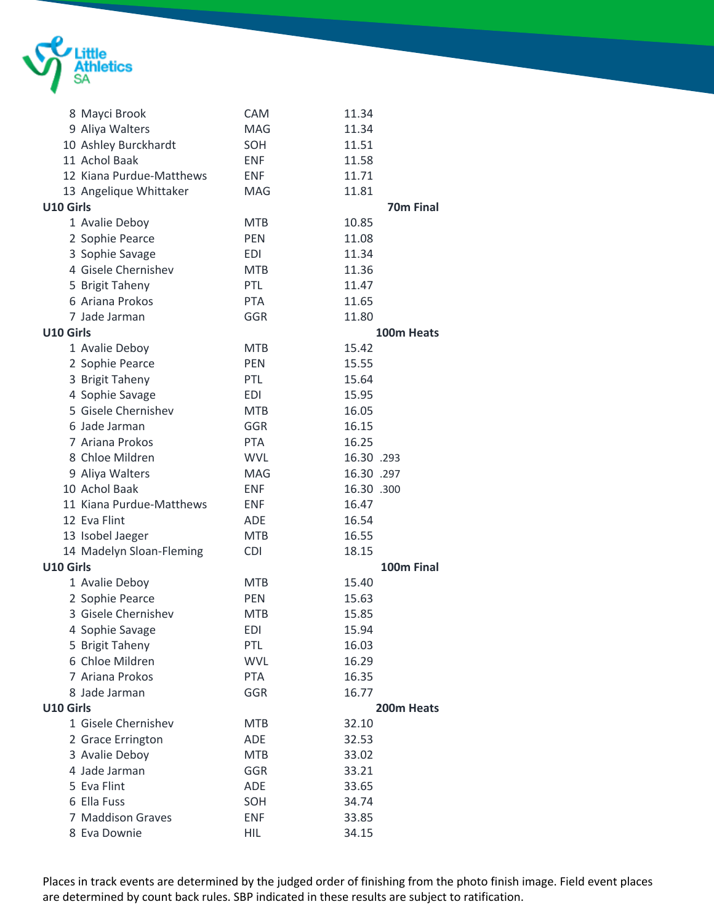

|                  | 8 Mayci Brook            | CAM        | 11.34            |
|------------------|--------------------------|------------|------------------|
|                  | 9 Aliya Walters          | <b>MAG</b> | 11.34            |
|                  | 10 Ashley Burckhardt     | SOH        | 11.51            |
|                  | 11 Achol Baak            | ENF        | 11.58            |
|                  | 12 Kiana Purdue-Matthews | <b>ENF</b> | 11.71            |
|                  | 13 Angelique Whittaker   | MAG        | 11.81            |
| U10 Girls        |                          |            | <b>70m Final</b> |
|                  | 1 Avalie Deboy           | <b>MTB</b> | 10.85            |
|                  | 2 Sophie Pearce          | <b>PEN</b> | 11.08            |
|                  | 3 Sophie Savage          | EDI        | 11.34            |
|                  | 4 Gisele Chernishev      | <b>MTB</b> | 11.36            |
|                  | 5 Brigit Taheny          | <b>PTL</b> | 11.47            |
|                  | 6 Ariana Prokos          | <b>PTA</b> | 11.65            |
|                  | 7 Jade Jarman            | GGR        | 11.80            |
| U10 Girls        |                          |            | 100m Heats       |
|                  | 1 Avalie Deboy           | <b>MTB</b> | 15.42            |
|                  | 2 Sophie Pearce          | <b>PEN</b> | 15.55            |
|                  | 3 Brigit Taheny          | <b>PTL</b> | 15.64            |
|                  | 4 Sophie Savage          | EDI        | 15.95            |
|                  | 5 Gisele Chernishev      | <b>MTB</b> | 16.05            |
|                  | 6 Jade Jarman            | GGR        | 16.15            |
|                  | 7 Ariana Prokos          | <b>PTA</b> | 16.25            |
|                  | 8 Chloe Mildren          | <b>WVL</b> | 16.30 .293       |
|                  | 9 Aliya Walters          | <b>MAG</b> | 16.30 .297       |
|                  | 10 Achol Baak            | ENF        | 16.30 .300       |
|                  | 11 Kiana Purdue-Matthews | <b>ENF</b> | 16.47            |
|                  | 12 Eva Flint             | <b>ADE</b> | 16.54            |
|                  | 13 Isobel Jaeger         | <b>MTB</b> | 16.55            |
|                  | 14 Madelyn Sloan-Fleming | <b>CDI</b> | 18.15            |
| U10 Girls        |                          |            | 100m Final       |
|                  | 1 Avalie Deboy           | <b>MTB</b> | 15.40            |
|                  | 2 Sophie Pearce          | <b>PEN</b> | 15.63            |
|                  | 3 Gisele Chernishev      | <b>MTB</b> | 15.85            |
|                  | 4 Sophie Savage          | EDI        | 15.94            |
|                  | 5 Brigit Taheny          | <b>PTL</b> | 16.03            |
|                  | 6 Chloe Mildren          | <b>WVL</b> | 16.29            |
|                  | 7 Ariana Prokos          | PTA        | 16.35            |
|                  | 8 Jade Jarman            | GGR        | 16.77            |
| <b>U10 Girls</b> |                          |            | 200m Heats       |
|                  | 1 Gisele Chernishev      | <b>MTB</b> | 32.10            |
|                  | 2 Grace Errington        | <b>ADE</b> | 32.53            |
|                  | 3 Avalie Deboy           | <b>MTB</b> | 33.02            |
|                  | 4 Jade Jarman            | GGR        | 33.21            |
|                  | 5 Eva Flint              | <b>ADE</b> | 33.65            |
|                  | 6 Ella Fuss              | SOH        | 34.74            |
|                  | 7 Maddison Graves        | <b>ENF</b> | 33.85            |
|                  | 8 Eva Downie             | <b>HIL</b> | 34.15            |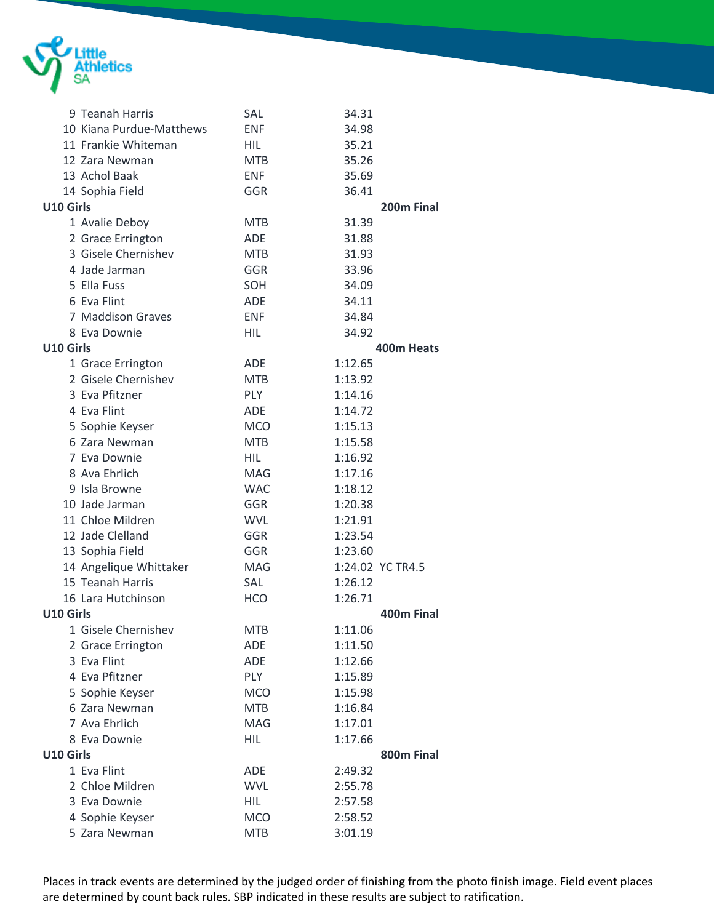

|           | 9 Teanah Harris          | SAL        | 34.31            |
|-----------|--------------------------|------------|------------------|
|           | 10 Kiana Purdue-Matthews | <b>ENF</b> | 34.98            |
|           | 11 Frankie Whiteman      | HIL        | 35.21            |
|           | 12 Zara Newman           | <b>MTB</b> | 35.26            |
|           | 13 Achol Baak            | <b>ENF</b> | 35.69            |
|           | 14 Sophia Field          | GGR        | 36.41            |
| U10 Girls |                          |            | 200m Final       |
|           | 1 Avalie Deboy           | <b>MTB</b> | 31.39            |
|           | 2 Grace Errington        | <b>ADE</b> | 31.88            |
|           | 3 Gisele Chernishev      | <b>MTB</b> | 31.93            |
|           | 4 Jade Jarman            | GGR        | 33.96            |
|           | 5 Ella Fuss              | SOH        | 34.09            |
|           | 6 Eva Flint              | ADE        | 34.11            |
|           | 7 Maddison Graves        | <b>ENF</b> | 34.84            |
|           | 8 Eva Downie             | <b>HIL</b> | 34.92            |
| U10 Girls |                          |            | 400m Heats       |
|           | 1 Grace Errington        | ADE        | 1:12.65          |
|           | 2 Gisele Chernishev      | <b>MTB</b> | 1:13.92          |
|           | 3 Eva Pfitzner           | <b>PLY</b> | 1:14.16          |
|           | 4 Eva Flint              | ADE        | 1:14.72          |
|           | 5 Sophie Keyser          | <b>MCO</b> | 1:15.13          |
|           | 6 Zara Newman            | <b>MTB</b> | 1:15.58          |
|           | 7 Eva Downie             | <b>HIL</b> | 1:16.92          |
|           | 8 Ava Ehrlich            | <b>MAG</b> | 1:17.16          |
|           | 9 Isla Browne            | <b>WAC</b> | 1:18.12          |
|           | 10 Jade Jarman           | GGR        | 1:20.38          |
|           | 11 Chloe Mildren         | <b>WVL</b> | 1:21.91          |
|           | 12 Jade Clelland         | GGR        | 1:23.54          |
|           | 13 Sophia Field          | GGR        | 1:23.60          |
|           | 14 Angelique Whittaker   | MAG        | 1:24.02 YC TR4.5 |
|           | 15 Teanah Harris         | <b>SAL</b> | 1:26.12          |
|           | 16 Lara Hutchinson       | <b>HCO</b> | 1:26.71          |
| U10 Girls |                          |            | 400m Final       |
|           | 1 Gisele Chernishev      | <b>MTB</b> | 1:11.06          |
|           | 2 Grace Errington        | ADE        | 1:11.50          |
|           | 3 Eva Flint              | ADE        | 1:12.66          |
|           | 4 Eva Pfitzner           | PLY        | 1:15.89          |
|           | 5 Sophie Keyser          | <b>MCO</b> | 1:15.98          |
|           | 6 Zara Newman            | <b>MTB</b> | 1:16.84          |
|           | 7 Ava Ehrlich            | MAG        | 1:17.01          |
|           | 8 Eva Downie             | <b>HIL</b> | 1:17.66          |
| U10 Girls |                          |            | 800m Final       |
|           | 1 Eva Flint              | ADE        | 2:49.32          |
|           | 2 Chloe Mildren          | <b>WVL</b> | 2:55.78          |
|           | 3 Eva Downie             | <b>HIL</b> | 2:57.58          |
|           | 4 Sophie Keyser          | <b>MCO</b> | 2:58.52          |
|           | 5 Zara Newman            | <b>MTB</b> | 3:01.19          |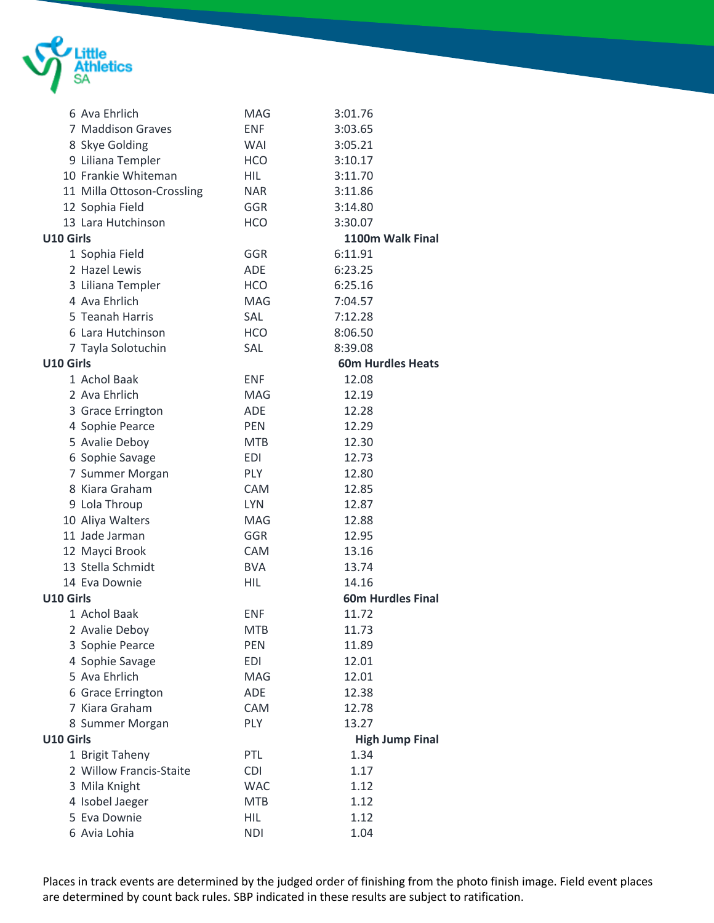

|           | 6 Ava Ehrlich              | MAG        | 3:01.76                  |  |
|-----------|----------------------------|------------|--------------------------|--|
|           | 7 Maddison Graves          | <b>ENF</b> | 3:03.65                  |  |
|           | 8 Skye Golding             | <b>WAI</b> | 3:05.21                  |  |
|           | 9 Liliana Templer          | <b>HCO</b> | 3:10.17                  |  |
|           | 10 Frankie Whiteman        | <b>HIL</b> | 3:11.70                  |  |
|           | 11 Milla Ottoson-Crossling | <b>NAR</b> | 3:11.86                  |  |
|           | 12 Sophia Field            | GGR        | 3:14.80                  |  |
|           | 13 Lara Hutchinson         | <b>HCO</b> | 3:30.07                  |  |
| U10 Girls |                            |            | 1100m Walk Final         |  |
|           | 1 Sophia Field             | GGR        | 6:11.91                  |  |
|           | 2 Hazel Lewis              | ADE        | 6:23.25                  |  |
|           | 3 Liliana Templer          | <b>HCO</b> | 6:25.16                  |  |
|           | 4 Ava Ehrlich              | MAG        | 7:04.57                  |  |
|           | 5 Teanah Harris            | SAL        | 7:12.28                  |  |
|           | 6 Lara Hutchinson          | <b>HCO</b> | 8:06.50                  |  |
|           | 7 Tayla Solotuchin         | SAL        | 8:39.08                  |  |
| U10 Girls |                            |            | <b>60m Hurdles Heats</b> |  |
|           | 1 Achol Baak               | <b>ENF</b> | 12.08                    |  |
|           | 2 Ava Ehrlich              | <b>MAG</b> | 12.19                    |  |
|           | 3 Grace Errington          | <b>ADE</b> | 12.28                    |  |
|           | 4 Sophie Pearce            | <b>PEN</b> | 12.29                    |  |
|           | 5 Avalie Deboy             | <b>MTB</b> | 12.30                    |  |
|           | 6 Sophie Savage            | <b>EDI</b> | 12.73                    |  |
|           | 7 Summer Morgan            | <b>PLY</b> | 12.80                    |  |
|           | 8 Kiara Graham             | <b>CAM</b> | 12.85                    |  |
|           | 9 Lola Throup              | <b>LYN</b> | 12.87                    |  |
|           | 10 Aliya Walters           | <b>MAG</b> | 12.88                    |  |
|           | 11 Jade Jarman             | GGR        | 12.95                    |  |
|           | 12 Mayci Brook             | <b>CAM</b> | 13.16                    |  |
|           | 13 Stella Schmidt          | <b>BVA</b> | 13.74                    |  |
|           | 14 Eva Downie              | HIL        | 14.16                    |  |
| U10 Girls |                            |            | <b>60m Hurdles Final</b> |  |
|           | 1 Achol Baak               | <b>ENF</b> | 11.72                    |  |
|           | 2 Avalie Deboy             | <b>MTB</b> | 11.73                    |  |
|           | 3 Sophie Pearce            | PEN        | 11.89                    |  |
|           | 4 Sophie Savage            | <b>EDI</b> | 12.01                    |  |
|           | 5 Ava Ehrlich              | MAG        | 12.01                    |  |
|           | 6 Grace Errington          | ADE        | 12.38                    |  |
|           | 7 Kiara Graham             | CAM        | 12.78                    |  |
|           | 8 Summer Morgan            | <b>PLY</b> | 13.27                    |  |
| U10 Girls |                            |            | <b>High Jump Final</b>   |  |
|           | 1 Brigit Taheny            | PTL        | 1.34                     |  |
|           | 2 Willow Francis-Staite    | <b>CDI</b> | 1.17                     |  |
|           | 3 Mila Knight              | <b>WAC</b> | 1.12                     |  |
|           | 4 Isobel Jaeger            | <b>MTB</b> | 1.12                     |  |
|           | 5 Eva Downie               | <b>HIL</b> | 1.12                     |  |
|           | 6 Avia Lohia               | <b>NDI</b> | 1.04                     |  |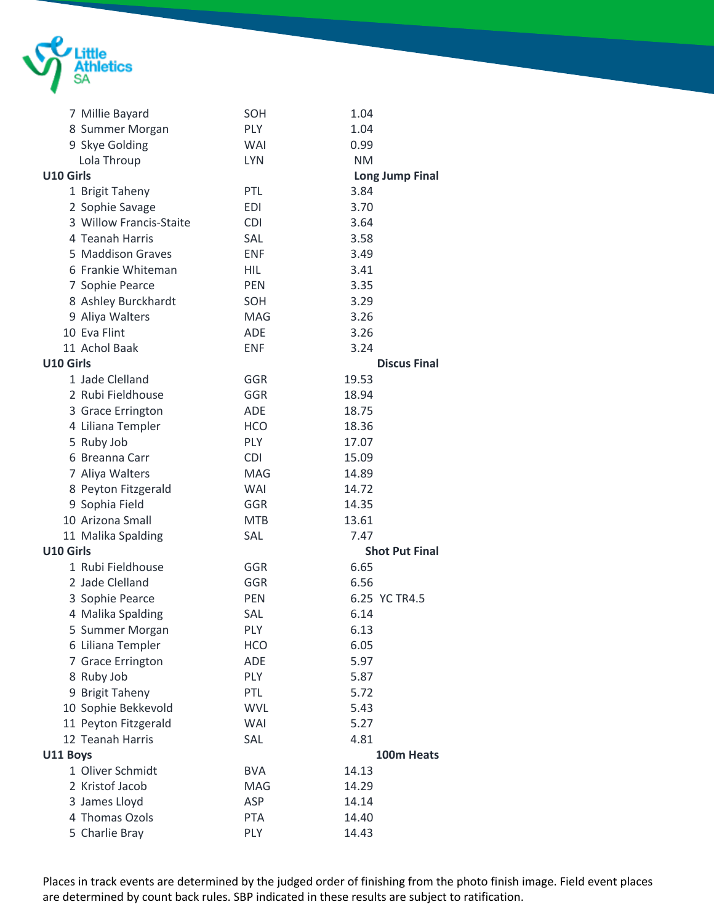

|                  | 7 Millie Bayard         | SOH        | 1.04                   |  |
|------------------|-------------------------|------------|------------------------|--|
|                  | 8 Summer Morgan         | <b>PLY</b> | 1.04                   |  |
|                  | 9 Skye Golding          | <b>WAI</b> | 0.99                   |  |
|                  | Lola Throup             | <b>LYN</b> | <b>NM</b>              |  |
| U10 Girls        |                         |            | <b>Long Jump Final</b> |  |
|                  | 1 Brigit Taheny         | <b>PTL</b> | 3.84                   |  |
|                  | 2 Sophie Savage         | EDI        | 3.70                   |  |
|                  | 3 Willow Francis-Staite | <b>CDI</b> | 3.64                   |  |
|                  | 4 Teanah Harris         | SAL        | 3.58                   |  |
|                  | 5 Maddison Graves       | <b>ENF</b> | 3.49                   |  |
|                  | 6 Frankie Whiteman      | HIL        | 3.41                   |  |
|                  | 7 Sophie Pearce         | <b>PEN</b> | 3.35                   |  |
|                  | 8 Ashley Burckhardt     | SOH        | 3.29                   |  |
|                  | 9 Aliya Walters         | MAG        | 3.26                   |  |
|                  | 10 Eva Flint            | <b>ADE</b> | 3.26                   |  |
|                  | 11 Achol Baak           | <b>ENF</b> | 3.24                   |  |
| <b>U10 Girls</b> |                         |            | <b>Discus Final</b>    |  |
|                  | 1 Jade Clelland         | GGR        | 19.53                  |  |
|                  | 2 Rubi Fieldhouse       | GGR        | 18.94                  |  |
|                  | 3 Grace Errington       | <b>ADE</b> | 18.75                  |  |
|                  | 4 Liliana Templer       | <b>HCO</b> | 18.36                  |  |
|                  | 5 Ruby Job              | <b>PLY</b> | 17.07                  |  |
|                  | 6 Breanna Carr          | <b>CDI</b> | 15.09                  |  |
|                  | 7 Aliya Walters         | <b>MAG</b> | 14.89                  |  |
|                  | 8 Peyton Fitzgerald     | <b>WAI</b> | 14.72                  |  |
|                  | 9 Sophia Field          | <b>GGR</b> | 14.35                  |  |
|                  | 10 Arizona Small        | <b>MTB</b> | 13.61                  |  |
|                  | 11 Malika Spalding      | SAL        | 7.47                   |  |
| <b>U10 Girls</b> |                         |            | <b>Shot Put Final</b>  |  |
|                  | 1 Rubi Fieldhouse       | GGR        | 6.65                   |  |
|                  | 2 Jade Clelland         | GGR        | 6.56                   |  |
|                  | 3 Sophie Pearce         | <b>PEN</b> | 6.25 YC TR4.5          |  |
|                  | 4 Malika Spalding       | SAL        | 6.14                   |  |
|                  | 5 Summer Morgan         | PLY        | 6.13                   |  |
|                  | 6 Liliana Templer       | HCO        | 6.05                   |  |
|                  | 7 Grace Errington       | <b>ADE</b> | 5.97                   |  |
|                  | 8 Ruby Job              | PLY        | 5.87                   |  |
|                  | 9 Brigit Taheny         | PTL        | 5.72                   |  |
|                  | 10 Sophie Bekkevold     | <b>WVL</b> | 5.43                   |  |
|                  | 11 Peyton Fitzgerald    | <b>WAI</b> | 5.27                   |  |
|                  | 12 Teanah Harris        | SAL        | 4.81                   |  |
| U11 Boys         |                         |            | 100m Heats             |  |
|                  | 1 Oliver Schmidt        | <b>BVA</b> | 14.13                  |  |
|                  | 2 Kristof Jacob         | MAG        | 14.29                  |  |
|                  | 3 James Lloyd           | ASP        | 14.14                  |  |
|                  | 4 Thomas Ozols          | <b>PTA</b> | 14.40                  |  |
|                  | 5 Charlie Bray          | PLY        | 14.43                  |  |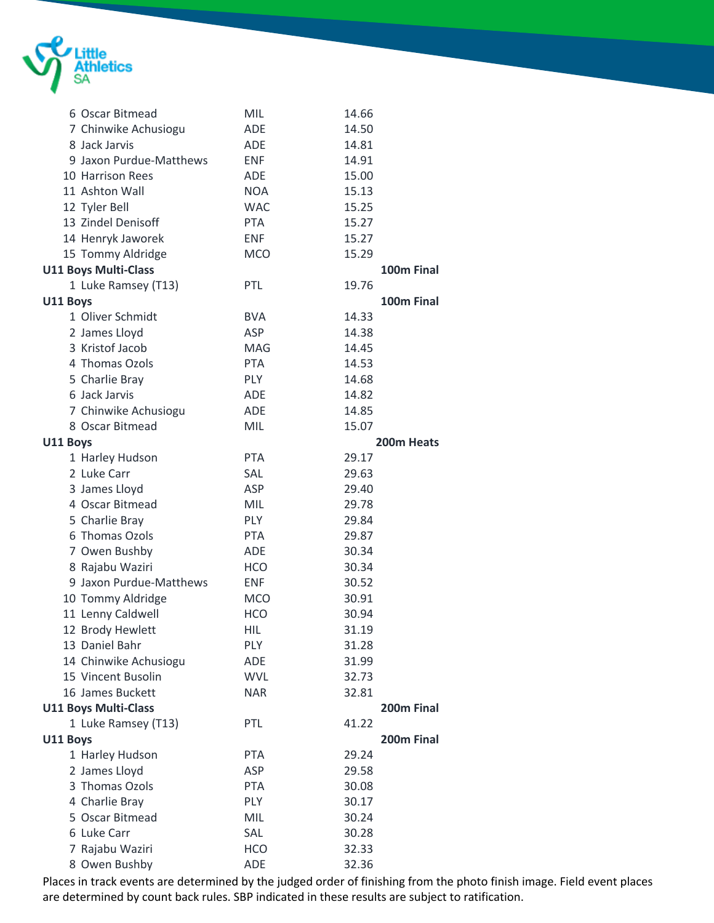

|          | 6 Oscar Bitmead             | MIL        | 14.66      |
|----------|-----------------------------|------------|------------|
|          | 7 Chinwike Achusiogu        | <b>ADE</b> | 14.50      |
|          | 8 Jack Jarvis               | ADE        | 14.81      |
|          | 9 Jaxon Purdue-Matthews     | <b>ENF</b> | 14.91      |
|          | 10 Harrison Rees            | ADE        | 15.00      |
|          | 11 Ashton Wall              | <b>NOA</b> | 15.13      |
|          | 12 Tyler Bell               | <b>WAC</b> | 15.25      |
|          | 13 Zindel Denisoff          | <b>PTA</b> | 15.27      |
|          | 14 Henryk Jaworek           | <b>ENF</b> | 15.27      |
|          | 15 Tommy Aldridge           | <b>MCO</b> | 15.29      |
|          | <b>U11 Boys Multi-Class</b> |            | 100m Final |
|          | 1 Luke Ramsey (T13)         | <b>PTL</b> | 19.76      |
| U11 Boys |                             |            | 100m Final |
|          | 1 Oliver Schmidt            | <b>BVA</b> | 14.33      |
|          | 2 James Lloyd               | ASP        | 14.38      |
|          | 3 Kristof Jacob             | <b>MAG</b> | 14.45      |
|          | 4 Thomas Ozols              | <b>PTA</b> | 14.53      |
|          | 5 Charlie Bray              | <b>PLY</b> | 14.68      |
|          | 6 Jack Jarvis               | ADE        | 14.82      |
|          | 7 Chinwike Achusiogu        | <b>ADE</b> | 14.85      |
|          | 8 Oscar Bitmead             | MIL        | 15.07      |
| U11 Boys |                             |            | 200m Heats |
|          | 1 Harley Hudson             | <b>PTA</b> | 29.17      |
|          | 2 Luke Carr                 | SAL        | 29.63      |
|          | 3 James Lloyd               | ASP        | 29.40      |
|          | 4 Oscar Bitmead             | <b>MIL</b> | 29.78      |
|          | 5 Charlie Bray              | <b>PLY</b> | 29.84      |
|          | 6 Thomas Ozols              | <b>PTA</b> | 29.87      |
|          | 7 Owen Bushby               | ADE        | 30.34      |
|          | 8 Rajabu Waziri             | <b>HCO</b> | 30.34      |
|          | 9 Jaxon Purdue-Matthews     | <b>ENF</b> | 30.52      |
|          | 10 Tommy Aldridge           | <b>MCO</b> | 30.91      |
|          | 11 Lenny Caldwell           | <b>HCO</b> | 30.94      |
|          | 12 Brody Hewlett            | <b>HIL</b> | 31.19      |
|          | 13 Daniel Bahr              | <b>PLY</b> | 31.28      |
|          | 14 Chinwike Achusiogu       | ADE        | 31.99      |
|          | 15 Vincent Busolin          | <b>WVL</b> | 32.73      |
|          | 16 James Buckett            | <b>NAR</b> | 32.81      |
|          | <b>U11 Boys Multi-Class</b> |            | 200m Final |
|          | 1 Luke Ramsey (T13)         | PTL        | 41.22      |
| U11 Boys |                             |            | 200m Final |
|          | 1 Harley Hudson             | <b>PTA</b> | 29.24      |
|          | 2 James Lloyd               | <b>ASP</b> | 29.58      |
|          | 3 Thomas Ozols              | <b>PTA</b> | 30.08      |
|          | 4 Charlie Bray              | PLY        | 30.17      |
|          | 5 Oscar Bitmead             | MIL        | 30.24      |
|          | 6 Luke Carr                 | SAL        | 30.28      |
|          | 7 Rajabu Waziri             | <b>HCO</b> | 32.33      |
|          | 8 Owen Bushby               | <b>ADE</b> | 32.36      |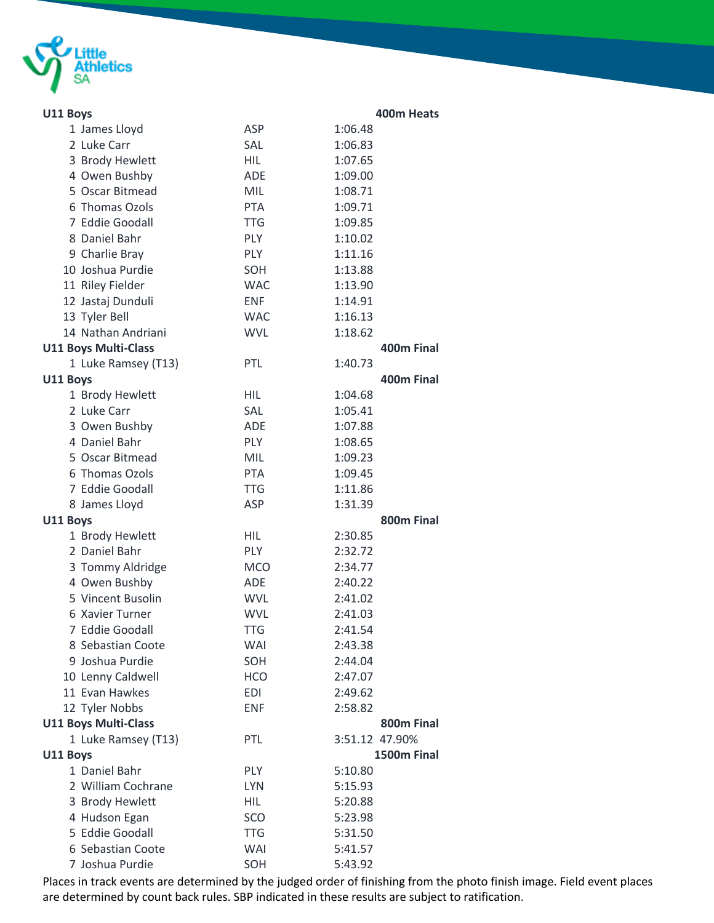

| U11 Boys                    |            | 400m Heats     |
|-----------------------------|------------|----------------|
| 1 James Lloyd               | <b>ASP</b> | 1:06.48        |
| 2 Luke Carr                 | <b>SAL</b> | 1:06.83        |
| 3 Brody Hewlett             | <b>HIL</b> | 1:07.65        |
| 4 Owen Bushby               | <b>ADE</b> | 1:09.00        |
| 5 Oscar Bitmead             | <b>MIL</b> | 1:08.71        |
| 6 Thomas Ozols              | <b>PTA</b> | 1:09.71        |
| 7 Eddie Goodall             | <b>TTG</b> | 1:09.85        |
| 8 Daniel Bahr               | <b>PLY</b> | 1:10.02        |
| 9 Charlie Bray              | <b>PLY</b> | 1:11.16        |
| 10 Joshua Purdie            | SOH        | 1:13.88        |
| 11 Riley Fielder            | <b>WAC</b> | 1:13.90        |
| 12 Jastaj Dunduli           | <b>ENF</b> | 1:14.91        |
| 13 Tyler Bell               | <b>WAC</b> | 1:16.13        |
| 14 Nathan Andriani          | <b>WVL</b> | 1:18.62        |
| <b>U11 Boys Multi-Class</b> |            | 400m Final     |
| 1 Luke Ramsey (T13)         | <b>PTL</b> | 1:40.73        |
| U11 Boys                    |            | 400m Final     |
| 1 Brody Hewlett             | <b>HIL</b> | 1:04.68        |
| 2 Luke Carr                 | SAL        | 1:05.41        |
| 3 Owen Bushby               | <b>ADE</b> | 1:07.88        |
| 4 Daniel Bahr               | PLY        | 1:08.65        |
| 5 Oscar Bitmead             | <b>MIL</b> | 1:09.23        |
| 6 Thomas Ozols              | <b>PTA</b> | 1:09.45        |
| 7 Eddie Goodall             | <b>TTG</b> | 1:11.86        |
| 8 James Lloyd               | ASP        | 1:31.39        |
| U11 Boys                    |            | 800m Final     |
| 1 Brody Hewlett             | <b>HIL</b> | 2:30.85        |
| 2 Daniel Bahr               | <b>PLY</b> | 2:32.72        |
| 3 Tommy Aldridge            | <b>MCO</b> | 2:34.77        |
| 4 Owen Bushby               | <b>ADE</b> | 2:40.22        |
| 5 Vincent Busolin           | <b>WVL</b> | 2:41.02        |
| 6 Xavier Turner             | <b>WVL</b> | 2:41.03        |
| 7 Eddie Goodall             | <b>TTG</b> | 2:41.54        |
| 8 Sebastian Coote           | WAI        | 2:43.38        |
| 9 Joshua Purdie             | SOH        | 2:44.04        |
| 10 Lenny Caldwell           | <b>HCO</b> | 2:47.07        |
| 11 Evan Hawkes              | <b>EDI</b> | 2:49.62        |
| 12 Tyler Nobbs              | <b>ENF</b> | 2:58.82        |
| <b>U11 Boys Multi-Class</b> |            | 800m Final     |
| 1 Luke Ramsey (T13)         | PTL        | 3:51.12 47.90% |
| U11 Boys                    |            | 1500m Final    |
| 1 Daniel Bahr               | <b>PLY</b> | 5:10.80        |
| 2 William Cochrane          | <b>LYN</b> | 5:15.93        |
| 3 Brody Hewlett             | <b>HIL</b> | 5:20.88        |
| 4 Hudson Egan               | <b>SCO</b> | 5:23.98        |
| 5 Eddie Goodall             | <b>TTG</b> | 5:31.50        |
| 6 Sebastian Coote           | WAI        | 5:41.57        |
| 7 Joshua Purdie             | SOH        | 5:43.92        |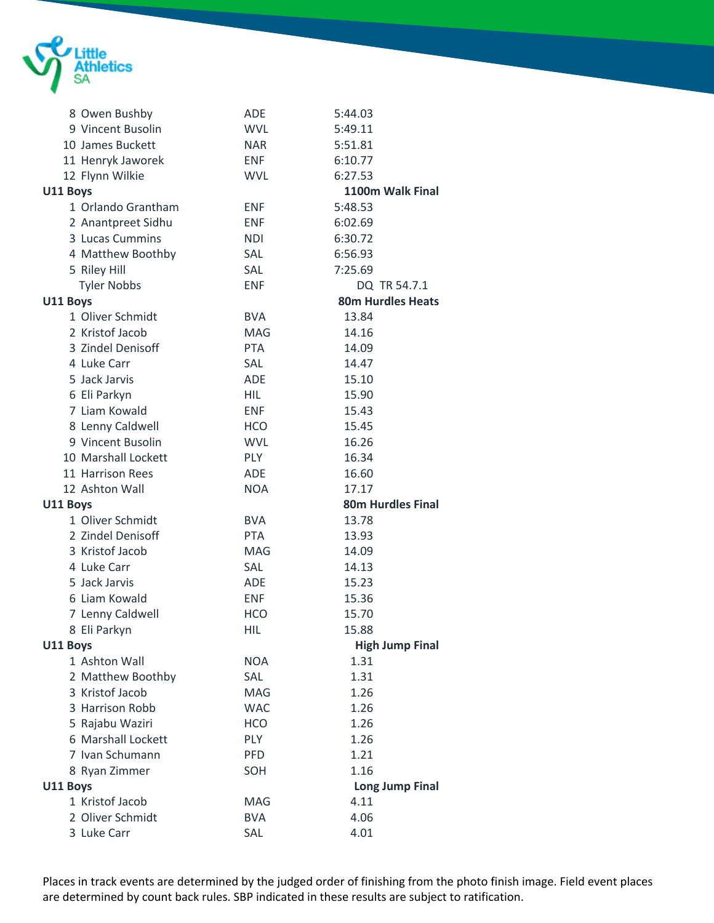

|          | 8 Owen Bushby       | <b>ADE</b> | 5:44.03                  |  |
|----------|---------------------|------------|--------------------------|--|
|          | 9 Vincent Busolin   | <b>WVL</b> | 5:49.11                  |  |
|          | 10 James Buckett    | <b>NAR</b> | 5:51.81                  |  |
|          | 11 Henryk Jaworek   | <b>ENF</b> | 6:10.77                  |  |
|          | 12 Flynn Wilkie     | <b>WVL</b> | 6:27.53                  |  |
| U11 Boys |                     |            | 1100m Walk Final         |  |
|          | 1 Orlando Grantham  | <b>ENF</b> | 5:48.53                  |  |
|          | 2 Anantpreet Sidhu  | <b>ENF</b> | 6:02.69                  |  |
|          | 3 Lucas Cummins     | <b>NDI</b> | 6:30.72                  |  |
|          | 4 Matthew Boothby   | <b>SAL</b> | 6:56.93                  |  |
|          | 5 Riley Hill        | <b>SAL</b> | 7:25.69                  |  |
|          | <b>Tyler Nobbs</b>  | <b>ENF</b> | DQ TR 54.7.1             |  |
| U11 Boys |                     |            | <b>80m Hurdles Heats</b> |  |
|          | 1 Oliver Schmidt    | <b>BVA</b> | 13.84                    |  |
|          | 2 Kristof Jacob     | MAG        | 14.16                    |  |
|          | 3 Zindel Denisoff   | <b>PTA</b> | 14.09                    |  |
|          | 4 Luke Carr         | <b>SAL</b> | 14.47                    |  |
|          | 5 Jack Jarvis       | <b>ADE</b> | 15.10                    |  |
|          | 6 Eli Parkyn        | HIL        | 15.90                    |  |
|          | 7 Liam Kowald       | <b>ENF</b> | 15.43                    |  |
|          | 8 Lenny Caldwell    | <b>HCO</b> | 15.45                    |  |
|          | 9 Vincent Busolin   | <b>WVL</b> | 16.26                    |  |
|          | 10 Marshall Lockett | <b>PLY</b> | 16.34                    |  |
|          | 11 Harrison Rees    | <b>ADE</b> | 16.60                    |  |
|          | 12 Ashton Wall      | <b>NOA</b> | 17.17                    |  |
| U11 Boys |                     |            | <b>80m Hurdles Final</b> |  |
|          | 1 Oliver Schmidt    | <b>BVA</b> | 13.78                    |  |
|          | 2 Zindel Denisoff   | <b>PTA</b> | 13.93                    |  |
|          | 3 Kristof Jacob     | <b>MAG</b> | 14.09                    |  |
|          | 4 Luke Carr         | <b>SAL</b> | 14.13                    |  |
|          | 5 Jack Jarvis       | <b>ADE</b> | 15.23                    |  |
|          | 6 Liam Kowald       | <b>ENF</b> | 15.36                    |  |
|          | 7 Lenny Caldwell    | <b>HCO</b> | 15.70                    |  |
|          | 8 Eli Parkyn        | HIL.       | 15.88                    |  |
| U11 Boys |                     |            | <b>High Jump Final</b>   |  |
|          | 1 Ashton Wall       | <b>NOA</b> | 1.31                     |  |
|          | 2 Matthew Boothby   | SAL        | 1.31                     |  |
|          | 3 Kristof Jacob     | MAG        | 1.26                     |  |
|          | 3 Harrison Robb     | <b>WAC</b> | 1.26                     |  |
|          | 5 Rajabu Waziri     | <b>HCO</b> | 1.26                     |  |
|          | 6 Marshall Lockett  | <b>PLY</b> | 1.26                     |  |
|          | 7 Ivan Schumann     | <b>PFD</b> | 1.21                     |  |
|          | 8 Ryan Zimmer       | SOH        | 1.16                     |  |
| U11 Boys |                     |            | <b>Long Jump Final</b>   |  |
|          | 1 Kristof Jacob     | <b>MAG</b> | 4.11                     |  |
|          | 2 Oliver Schmidt    | <b>BVA</b> | 4.06                     |  |
|          | 3 Luke Carr         | SAL        | 4.01                     |  |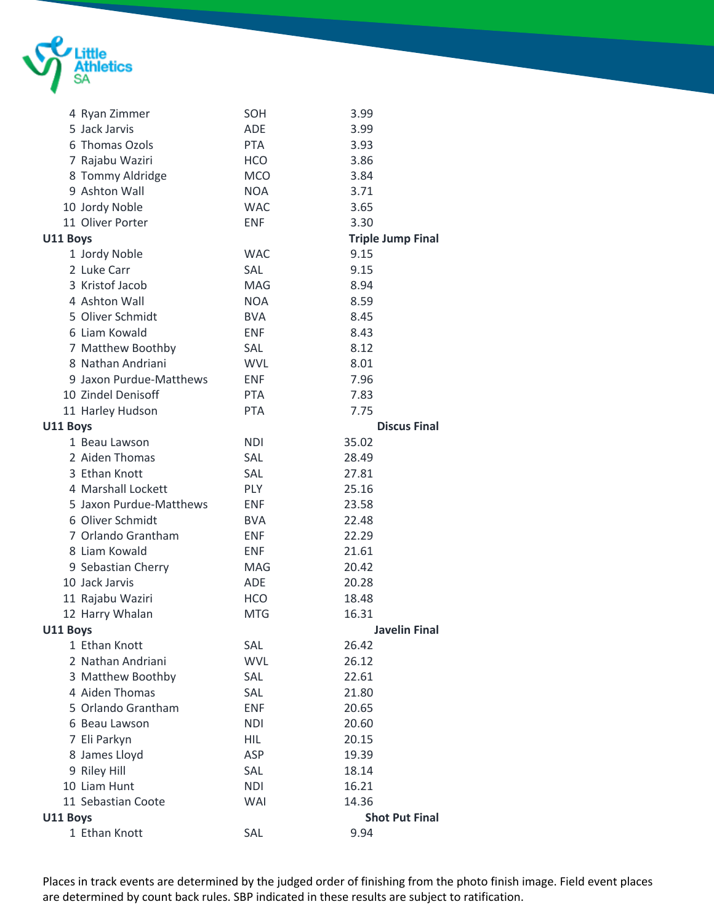

|          | 4 Ryan Zimmer           | SOH        | 3.99                     |
|----------|-------------------------|------------|--------------------------|
|          | 5 Jack Jarvis           | <b>ADE</b> | 3.99                     |
|          | 6 Thomas Ozols          | <b>PTA</b> | 3.93                     |
|          | 7 Rajabu Waziri         | <b>HCO</b> | 3.86                     |
|          | 8 Tommy Aldridge        | <b>MCO</b> | 3.84                     |
|          | 9 Ashton Wall           | <b>NOA</b> | 3.71                     |
|          | 10 Jordy Noble          | <b>WAC</b> | 3.65                     |
|          | 11 Oliver Porter        | <b>ENF</b> | 3.30                     |
| U11 Boys |                         |            | <b>Triple Jump Final</b> |
|          | 1 Jordy Noble           | <b>WAC</b> | 9.15                     |
|          | 2 Luke Carr             | SAL        | 9.15                     |
|          | 3 Kristof Jacob         | MAG        | 8.94                     |
|          | 4 Ashton Wall           | <b>NOA</b> | 8.59                     |
|          | 5 Oliver Schmidt        | <b>BVA</b> | 8.45                     |
|          | 6 Liam Kowald           | <b>ENF</b> | 8.43                     |
|          | 7 Matthew Boothby       | SAL        | 8.12                     |
|          | 8 Nathan Andriani       | <b>WVL</b> | 8.01                     |
|          | 9 Jaxon Purdue-Matthews | <b>ENF</b> | 7.96                     |
|          | 10 Zindel Denisoff      | <b>PTA</b> | 7.83                     |
|          | 11 Harley Hudson        | <b>PTA</b> | 7.75                     |
| U11 Boys |                         |            | <b>Discus Final</b>      |
|          | 1 Beau Lawson           | <b>NDI</b> | 35.02                    |
|          | 2 Aiden Thomas          | SAL        | 28.49                    |
|          | 3 Ethan Knott           | SAL        | 27.81                    |
|          | 4 Marshall Lockett      | <b>PLY</b> | 25.16                    |
|          | 5 Jaxon Purdue-Matthews | <b>ENF</b> | 23.58                    |
|          | 6 Oliver Schmidt        | <b>BVA</b> | 22.48                    |
|          | 7 Orlando Grantham      | <b>ENF</b> | 22.29                    |
|          | 8 Liam Kowald           | <b>ENF</b> | 21.61                    |
|          | 9 Sebastian Cherry      | MAG        | 20.42                    |
|          | 10 Jack Jarvis          | <b>ADE</b> | 20.28                    |
|          | 11 Rajabu Waziri        | <b>HCO</b> | 18.48                    |
|          | 12 Harry Whalan         | <b>MTG</b> | 16.31                    |
| U11 Boys |                         |            | <b>Javelin Final</b>     |
|          | 1 Ethan Knott           | SAL        | 26.42                    |
|          | 2 Nathan Andriani       | <b>WVL</b> | 26.12                    |
|          | 3 Matthew Boothby       | SAL        | 22.61                    |
|          | 4 Aiden Thomas          | SAL        | 21.80                    |
|          | 5 Orlando Grantham      | <b>ENF</b> | 20.65                    |
|          | 6 Beau Lawson           | NDI        | 20.60                    |
|          | 7 Eli Parkyn            | <b>HIL</b> | 20.15                    |
|          | 8 James Lloyd           | ASP        | 19.39                    |
|          | 9 Riley Hill            | SAL        | 18.14                    |
|          | 10 Liam Hunt            | <b>NDI</b> | 16.21                    |
|          | 11 Sebastian Coote      | <b>WAI</b> | 14.36                    |
| U11 Boys |                         |            | <b>Shot Put Final</b>    |
|          | 1 Ethan Knott           | SAL        | 9.94                     |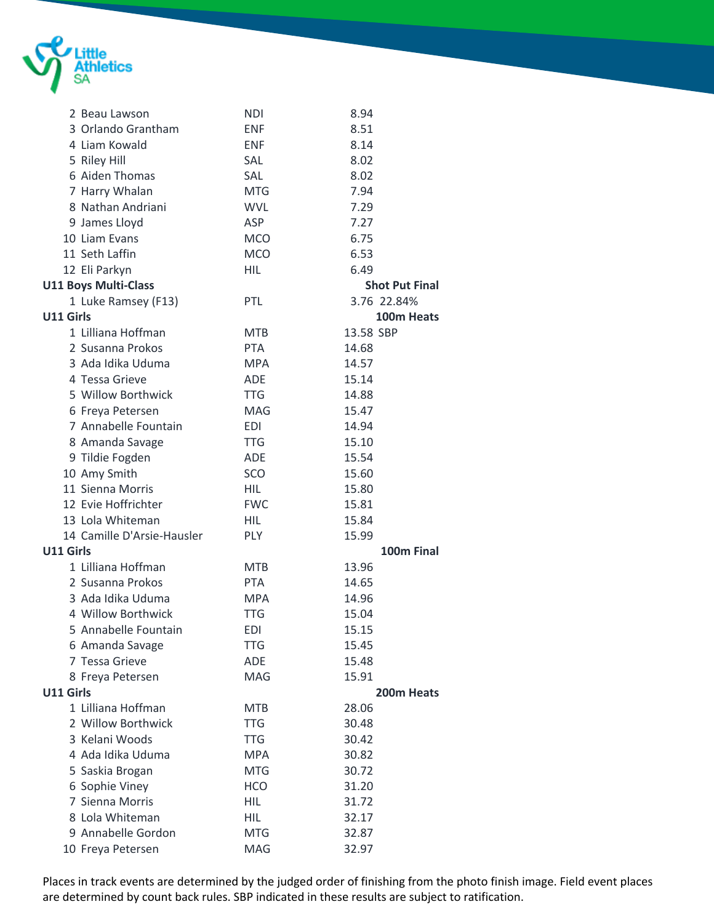

|           | 2 Beau Lawson               | <b>NDI</b> | 8.94                  |
|-----------|-----------------------------|------------|-----------------------|
|           | 3 Orlando Grantham          | <b>ENF</b> | 8.51                  |
|           | 4 Liam Kowald               | <b>ENF</b> | 8.14                  |
|           | 5 Riley Hill                | <b>SAL</b> | 8.02                  |
|           | 6 Aiden Thomas              | SAL        | 8.02                  |
|           | 7 Harry Whalan              | <b>MTG</b> | 7.94                  |
|           | 8 Nathan Andriani           | <b>WVL</b> | 7.29                  |
|           | 9 James Lloyd               | ASP        | 7.27                  |
|           | 10 Liam Evans               | <b>MCO</b> | 6.75                  |
|           | 11 Seth Laffin              | <b>MCO</b> | 6.53                  |
|           | 12 Eli Parkyn               | HIL        | 6.49                  |
|           | <b>U11 Boys Multi-Class</b> |            | <b>Shot Put Final</b> |
|           | 1 Luke Ramsey (F13)         | <b>PTL</b> | 3.76 22.84%           |
| U11 Girls |                             |            | 100m Heats            |
|           |                             |            |                       |
|           | 1 Lilliana Hoffman          | <b>MTB</b> | 13.58 SBP             |
|           | 2 Susanna Prokos            | <b>PTA</b> | 14.68                 |
|           | 3 Ada Idika Uduma           | <b>MPA</b> | 14.57                 |
|           | 4 Tessa Grieve              | <b>ADE</b> | 15.14                 |
|           | 5 Willow Borthwick          | <b>TTG</b> | 14.88                 |
|           | 6 Freya Petersen            | <b>MAG</b> | 15.47                 |
|           | 7 Annabelle Fountain        | EDI        | 14.94                 |
|           | 8 Amanda Savage             | <b>TTG</b> | 15.10                 |
|           | 9 Tildie Fogden             | <b>ADE</b> | 15.54                 |
|           | 10 Amy Smith                | SCO        | 15.60                 |
|           | 11 Sienna Morris            | <b>HIL</b> | 15.80                 |
|           | 12 Evie Hoffrichter         | <b>FWC</b> | 15.81                 |
|           | 13 Lola Whiteman            | <b>HIL</b> | 15.84                 |
|           | 14 Camille D'Arsie-Hausler  | PLY        | 15.99                 |
| U11 Girls |                             |            | 100m Final            |
|           | 1 Lilliana Hoffman          | <b>MTB</b> | 13.96                 |
|           | 2 Susanna Prokos            | <b>PTA</b> | 14.65                 |
|           | 3 Ada Idika Uduma           | <b>MPA</b> | 14.96                 |
|           | 4 Willow Borthwick          | <b>TTG</b> | 15.04                 |
|           | 5 Annabelle Fountain        | EDI        | 15.15                 |
|           | 6 Amanda Savage             | <b>TTG</b> | 15.45                 |
|           | 7 Tessa Grieve              | <b>ADE</b> | 15.48                 |
|           | 8 Freya Petersen            | MAG        | 15.91                 |
| U11 Girls |                             |            | 200m Heats            |
|           | 1 Lilliana Hoffman          | <b>MTB</b> | 28.06                 |
|           | 2 Willow Borthwick          | <b>TTG</b> | 30.48                 |
|           | 3 Kelani Woods              | TTG        | 30.42                 |
|           | 4 Ada Idika Uduma           | <b>MPA</b> | 30.82                 |
|           |                             | <b>MTG</b> |                       |
|           | 5 Saskia Brogan             |            | 30.72                 |
|           | 6 Sophie Viney              | <b>HCO</b> | 31.20                 |
|           | 7 Sienna Morris             | <b>HIL</b> | 31.72                 |
|           | 8 Lola Whiteman             | <b>HIL</b> | 32.17                 |
|           | 9 Annabelle Gordon          | <b>MTG</b> | 32.87                 |
|           | 10 Freya Petersen           | MAG        | 32.97                 |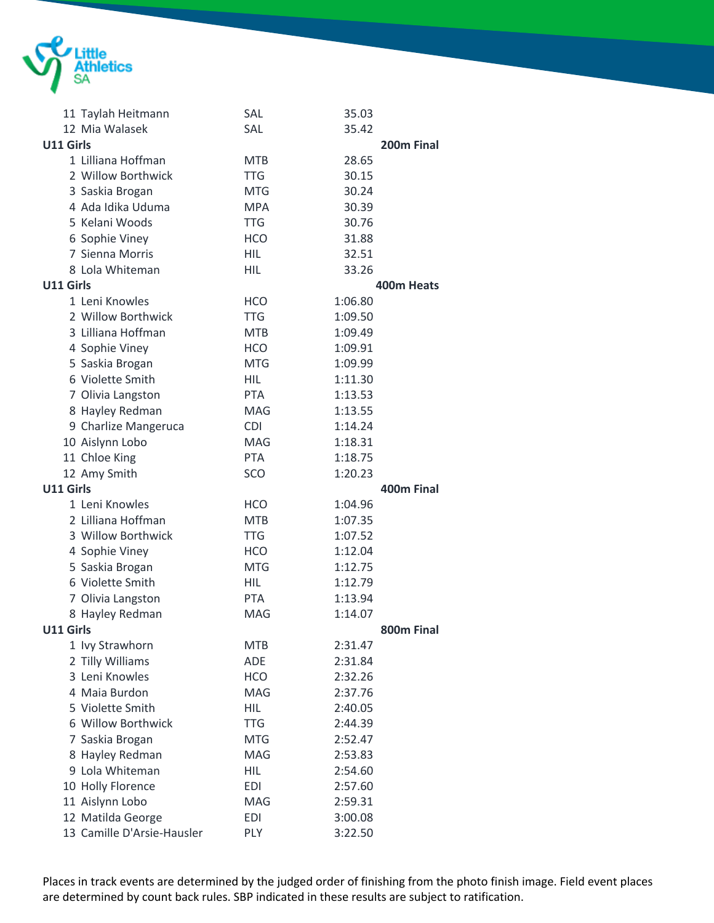

|           | 11 Taylah Heitmann         | <b>SAL</b> | 35.03      |  |
|-----------|----------------------------|------------|------------|--|
|           | 12 Mia Walasek             | <b>SAL</b> | 35.42      |  |
| U11 Girls |                            |            | 200m Final |  |
|           | 1 Lilliana Hoffman         | <b>MTB</b> | 28.65      |  |
|           | 2 Willow Borthwick         | <b>TTG</b> | 30.15      |  |
|           | 3 Saskia Brogan            | <b>MTG</b> | 30.24      |  |
|           | 4 Ada Idika Uduma          | <b>MPA</b> | 30.39      |  |
|           | 5 Kelani Woods             | <b>TTG</b> | 30.76      |  |
|           | 6 Sophie Viney             | <b>HCO</b> | 31.88      |  |
|           | 7 Sienna Morris            | HIL.       | 32.51      |  |
|           | 8 Lola Whiteman            | HIL        | 33.26      |  |
| U11 Girls |                            |            | 400m Heats |  |
|           | 1 Leni Knowles             | <b>HCO</b> | 1:06.80    |  |
|           | 2 Willow Borthwick         | <b>TTG</b> | 1:09.50    |  |
|           | 3 Lilliana Hoffman         | <b>MTB</b> | 1:09.49    |  |
|           | 4 Sophie Viney             | <b>HCO</b> | 1:09.91    |  |
|           | 5 Saskia Brogan            | <b>MTG</b> | 1:09.99    |  |
|           | 6 Violette Smith           | <b>HIL</b> | 1:11.30    |  |
|           | 7 Olivia Langston          | <b>PTA</b> | 1:13.53    |  |
|           | 8 Hayley Redman            | <b>MAG</b> | 1:13.55    |  |
|           | 9 Charlize Mangeruca       | <b>CDI</b> | 1:14.24    |  |
|           | 10 Aislynn Lobo            | <b>MAG</b> | 1:18.31    |  |
|           | 11 Chloe King              | <b>PTA</b> | 1:18.75    |  |
|           | 12 Amy Smith               | SCO        | 1:20.23    |  |
| U11 Girls |                            |            | 400m Final |  |
|           | 1 Leni Knowles             | <b>HCO</b> | 1:04.96    |  |
|           | 2 Lilliana Hoffman         | <b>MTB</b> | 1:07.35    |  |
|           | 3 Willow Borthwick         | TTG        | 1:07.52    |  |
|           | 4 Sophie Viney             | <b>HCO</b> | 1:12.04    |  |
|           | 5 Saskia Brogan            | <b>MTG</b> | 1:12.75    |  |
|           | 6 Violette Smith           | <b>HIL</b> | 1:12.79    |  |
|           | 7 Olivia Langston          | <b>PTA</b> | 1:13.94    |  |
|           | 8 Hayley Redman            | <b>MAG</b> | 1:14.07    |  |
| U11 Girls |                            |            | 800m Final |  |
|           | 1 Ivy Strawhorn            | <b>MTB</b> | 2:31.47    |  |
|           | 2 Tilly Williams           | ADE        | 2:31.84    |  |
|           | 3 Leni Knowles             | <b>HCO</b> | 2:32.26    |  |
|           | 4 Maia Burdon              | MAG        | 2:37.76    |  |
|           | 5 Violette Smith           | <b>HIL</b> | 2:40.05    |  |
|           | 6 Willow Borthwick         | <b>TTG</b> | 2:44.39    |  |
|           | 7 Saskia Brogan            | <b>MTG</b> | 2:52.47    |  |
|           | 8 Hayley Redman            | MAG        | 2:53.83    |  |
|           | 9 Lola Whiteman            | <b>HIL</b> | 2:54.60    |  |
|           | 10 Holly Florence          | <b>EDI</b> | 2:57.60    |  |
|           | 11 Aislynn Lobo            | <b>MAG</b> | 2:59.31    |  |
|           | 12 Matilda George          | <b>EDI</b> | 3:00.08    |  |
|           | 13 Camille D'Arsie-Hausler | PLY        | 3:22.50    |  |
|           |                            |            |            |  |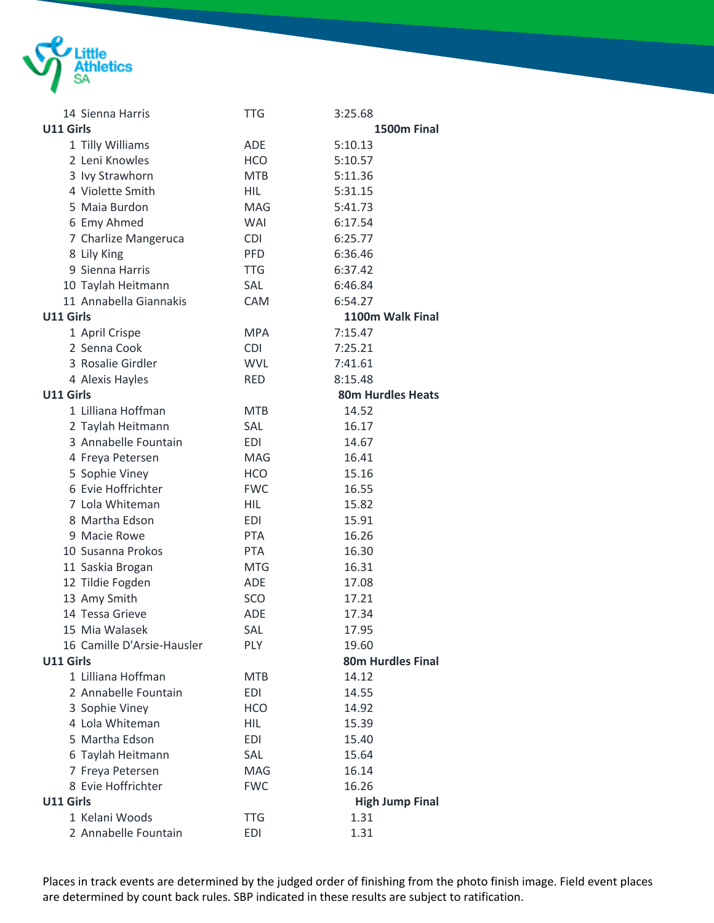

| 14 Sienna Harris           | <b>TTG</b> | 3:25.68                  |
|----------------------------|------------|--------------------------|
| <b>U11 Girls</b>           |            | 1500m Final              |
| 1 Tilly Williams           | <b>ADE</b> | 5:10.13                  |
| 2 Leni Knowles             | <b>HCO</b> | 5:10.57                  |
| 3 Ivy Strawhorn            | <b>MTB</b> | 5:11.36                  |
| 4 Violette Smith           | HIL        | 5:31.15                  |
| 5 Maia Burdon              | MAG        | 5:41.73                  |
| 6 Emy Ahmed                | WAI        | 6:17.54                  |
| 7 Charlize Mangeruca       | <b>CDI</b> | 6:25.77                  |
| 8 Lily King                | <b>PFD</b> | 6:36.46                  |
| 9 Sienna Harris            | <b>TTG</b> | 6:37.42                  |
| 10 Taylah Heitmann         | SAL        | 6:46.84                  |
| 11 Annabella Giannakis     | <b>CAM</b> | 6:54.27                  |
| U11 Girls                  |            | 1100m Walk Final         |
| 1 April Crispe             | <b>MPA</b> | 7:15.47                  |
| 2 Senna Cook               | <b>CDI</b> | 7:25.21                  |
| 3 Rosalie Girdler          | <b>WVL</b> | 7:41.61                  |
| 4 Alexis Hayles            | <b>RED</b> | 8:15.48                  |
| <b>U11 Girls</b>           |            | <b>80m Hurdles Heats</b> |
| 1 Lilliana Hoffman         | <b>MTB</b> | 14.52                    |
| 2 Taylah Heitmann          | <b>SAL</b> | 16.17                    |
| 3 Annabelle Fountain       | EDI        | 14.67                    |
| 4 Freya Petersen           | <b>MAG</b> | 16.41                    |
| 5 Sophie Viney             | <b>HCO</b> | 15.16                    |
| 6 Evie Hoffrichter         | <b>FWC</b> | 16.55                    |
| 7 Lola Whiteman            | HIL        | 15.82                    |
| 8 Martha Edson             | <b>EDI</b> | 15.91                    |
| 9 Macie Rowe               | <b>PTA</b> | 16.26                    |
| 10 Susanna Prokos          | <b>PTA</b> | 16.30                    |
| 11 Saskia Brogan           | <b>MTG</b> | 16.31                    |
| 12 Tildie Fogden           | <b>ADE</b> | 17.08                    |
| 13 Amy Smith               | SCO        | 17.21                    |
| 14 Tessa Grieve            | <b>ADE</b> | 17.34                    |
| 15 Mia Walasek             | SAL        | 17.95                    |
| 16 Camille D'Arsie-Hausler | PLY        | 19.60                    |
| U11 Girls                  |            | <b>80m Hurdles Final</b> |
| 1 Lilliana Hoffman         | <b>MTB</b> | 14.12                    |
| 2 Annabelle Fountain       | <b>EDI</b> | 14.55                    |
| 3 Sophie Viney             | <b>HCO</b> | 14.92                    |
| 4 Lola Whiteman            | <b>HIL</b> | 15.39                    |
| 5 Martha Edson             | <b>EDI</b> | 15.40                    |
| 6 Taylah Heitmann          | SAL        | 15.64                    |
| 7 Freya Petersen           | MAG        | 16.14                    |
| 8 Evie Hoffrichter         | <b>FWC</b> | 16.26                    |
| U11 Girls                  |            | <b>High Jump Final</b>   |
| 1 Kelani Woods             | <b>TTG</b> | 1.31                     |
| 2 Annabelle Fountain       | <b>EDI</b> | 1.31                     |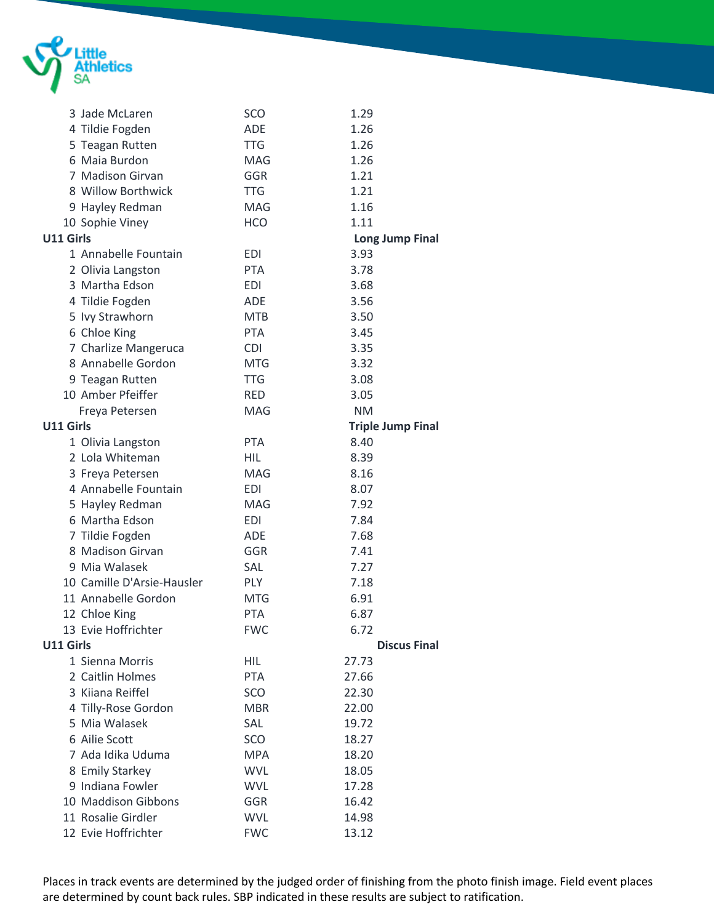

|           | 3 Jade McLaren             | SCO        | 1.29                     |
|-----------|----------------------------|------------|--------------------------|
|           | 4 Tildie Fogden            | <b>ADE</b> | 1.26                     |
|           | 5 Teagan Rutten            | <b>TTG</b> | 1.26                     |
|           | 6 Maia Burdon              | MAG        | 1.26                     |
|           | 7 Madison Girvan           | <b>GGR</b> | 1.21                     |
|           | 8 Willow Borthwick         | <b>TTG</b> | 1.21                     |
|           | 9 Hayley Redman            | <b>MAG</b> | 1.16                     |
|           | 10 Sophie Viney            | <b>HCO</b> | 1.11                     |
| U11 Girls |                            |            | <b>Long Jump Final</b>   |
|           | 1 Annabelle Fountain       | <b>EDI</b> | 3.93                     |
|           | 2 Olivia Langston          | <b>PTA</b> | 3.78                     |
|           | 3 Martha Edson             | <b>EDI</b> | 3.68                     |
|           | 4 Tildie Fogden            | <b>ADE</b> | 3.56                     |
|           | 5 Ivy Strawhorn            | <b>MTB</b> | 3.50                     |
|           | 6 Chloe King               | <b>PTA</b> | 3.45                     |
|           | 7 Charlize Mangeruca       | <b>CDI</b> | 3.35                     |
|           | 8 Annabelle Gordon         | <b>MTG</b> | 3.32                     |
|           | 9 Teagan Rutten            | <b>TTG</b> | 3.08                     |
|           | 10 Amber Pfeiffer          | <b>RED</b> | 3.05                     |
|           | Freya Petersen             | MAG        | <b>NM</b>                |
| U11 Girls |                            |            | <b>Triple Jump Final</b> |
|           | 1 Olivia Langston          | <b>PTA</b> | 8.40                     |
|           | 2 Lola Whiteman            | HIL        | 8.39                     |
|           | 3 Freya Petersen           | MAG        | 8.16                     |
|           | 4 Annabelle Fountain       | <b>EDI</b> | 8.07                     |
|           | 5 Hayley Redman            | <b>MAG</b> | 7.92                     |
|           | 6 Martha Edson             | <b>EDI</b> | 7.84                     |
|           | 7 Tildie Fogden            | <b>ADE</b> | 7.68                     |
|           | 8 Madison Girvan           | GGR        | 7.41                     |
|           | 9 Mia Walasek              | SAL        | 7.27                     |
|           | 10 Camille D'Arsie-Hausler | <b>PLY</b> | 7.18                     |
|           | 11 Annabelle Gordon        | <b>MTG</b> | 6.91                     |
|           | 12 Chloe King              | <b>PTA</b> | 6.87                     |
|           | 13 Evie Hoffrichter        | <b>FWC</b> | 6.72                     |
| U11 Girls |                            |            | <b>Discus Final</b>      |
|           | 1 Sienna Morris            | <b>HIL</b> | 27.73                    |
|           | 2 Caitlin Holmes           | PTA        | 27.66                    |
|           | 3 Kiiana Reiffel           | <b>SCO</b> | 22.30                    |
|           | 4 Tilly-Rose Gordon        | <b>MBR</b> | 22.00                    |
|           | 5 Mia Walasek              | SAL        | 19.72                    |
|           | 6 Ailie Scott              | <b>SCO</b> | 18.27                    |
|           | 7 Ada Idika Uduma          | <b>MPA</b> | 18.20                    |
|           | 8 Emily Starkey            | <b>WVL</b> | 18.05                    |
|           | 9 Indiana Fowler           | <b>WVL</b> | 17.28                    |
|           | 10 Maddison Gibbons        | GGR        | 16.42                    |
|           | 11 Rosalie Girdler         | <b>WVL</b> | 14.98                    |
|           | 12 Evie Hoffrichter        | <b>FWC</b> | 13.12                    |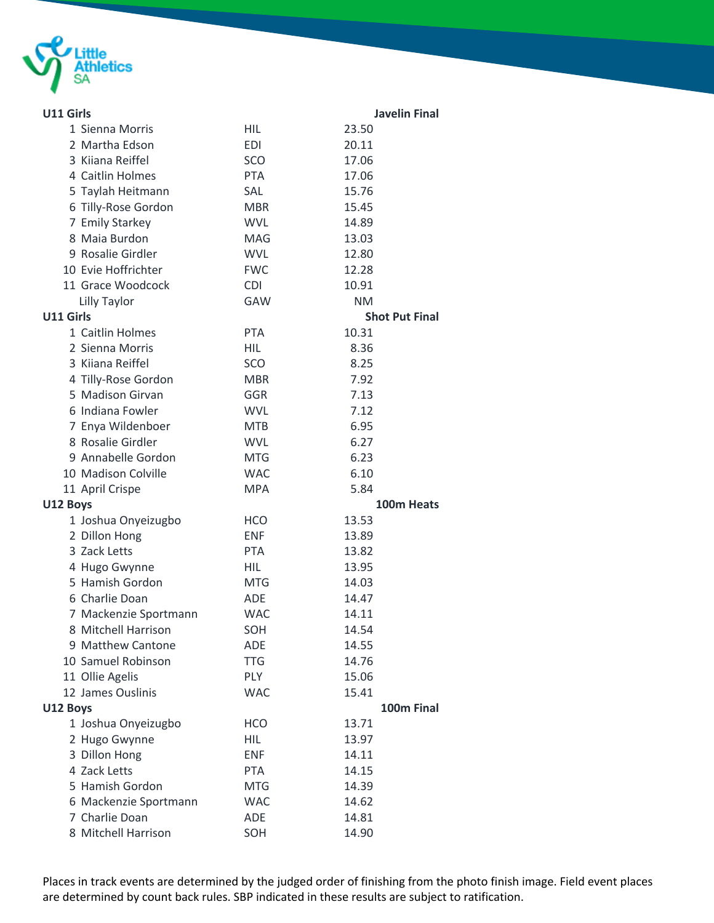

| U11 Girls |                       |            | <b>Javelin Final</b>  |
|-----------|-----------------------|------------|-----------------------|
|           | 1 Sienna Morris       | <b>HIL</b> | 23.50                 |
|           | 2 Martha Edson        | <b>EDI</b> | 20.11                 |
|           | 3 Kiiana Reiffel      | SCO        | 17.06                 |
|           | 4 Caitlin Holmes      | <b>PTA</b> | 17.06                 |
|           | 5 Taylah Heitmann     | SAL        | 15.76                 |
|           | 6 Tilly-Rose Gordon   | <b>MBR</b> | 15.45                 |
|           | 7 Emily Starkey       | <b>WVL</b> | 14.89                 |
|           | 8 Maia Burdon         | <b>MAG</b> | 13.03                 |
|           | 9 Rosalie Girdler     | <b>WVL</b> | 12.80                 |
|           | 10 Evie Hoffrichter   | <b>FWC</b> | 12.28                 |
|           | 11 Grace Woodcock     | <b>CDI</b> | 10.91                 |
|           | Lilly Taylor          | <b>GAW</b> | <b>NM</b>             |
| U11 Girls |                       |            | <b>Shot Put Final</b> |
|           | 1 Caitlin Holmes      | <b>PTA</b> | 10.31                 |
|           | 2 Sienna Morris       | HIL        | 8.36                  |
|           | 3 Kiiana Reiffel      | SCO        | 8.25                  |
|           | 4 Tilly-Rose Gordon   | <b>MBR</b> | 7.92                  |
|           | 5 Madison Girvan      | GGR        | 7.13                  |
|           | 6 Indiana Fowler      | <b>WVL</b> | 7.12                  |
|           | 7 Enya Wildenboer     | <b>MTB</b> | 6.95                  |
|           | 8 Rosalie Girdler     | <b>WVL</b> | 6.27                  |
|           | 9 Annabelle Gordon    | <b>MTG</b> | 6.23                  |
|           | 10 Madison Colville   | <b>WAC</b> | 6.10                  |
|           | 11 April Crispe       | <b>MPA</b> | 5.84                  |
| U12 Boys  |                       |            | 100m Heats            |
|           | 1 Joshua Onyeizugbo   | <b>HCO</b> | 13.53                 |
|           | 2 Dillon Hong         | <b>ENF</b> | 13.89                 |
|           | 3 Zack Letts          | <b>PTA</b> | 13.82                 |
|           | 4 Hugo Gwynne         | HIL        | 13.95                 |
|           | 5 Hamish Gordon       | <b>MTG</b> | 14.03                 |
|           | 6 Charlie Doan        | <b>ADE</b> | 14.47                 |
|           | 7 Mackenzie Sportmann | <b>WAC</b> | 14.11                 |
|           | 8 Mitchell Harrison   | SOH        | 14.54                 |
|           | 9 Matthew Cantone     | <b>ADE</b> | 14.55                 |
|           | 10 Samuel Robinson    | <b>TTG</b> | 14.76                 |
|           | 11 Ollie Agelis       | <b>PLY</b> | 15.06                 |
|           | 12 James Ouslinis     | <b>WAC</b> | 15.41                 |
| U12 Boys  |                       |            | 100m Final            |
|           | 1 Joshua Onyeizugbo   | <b>HCO</b> | 13.71                 |
|           | 2 Hugo Gwynne         | HIL.       | 13.97                 |
|           | 3 Dillon Hong         | <b>ENF</b> | 14.11                 |
|           | 4 Zack Letts          | <b>PTA</b> | 14.15                 |
|           | 5 Hamish Gordon       | <b>MTG</b> | 14.39                 |
|           | 6 Mackenzie Sportmann | <b>WAC</b> | 14.62                 |
|           | 7 Charlie Doan        | ADE        | 14.81                 |
|           | 8 Mitchell Harrison   | SOH        | 14.90                 |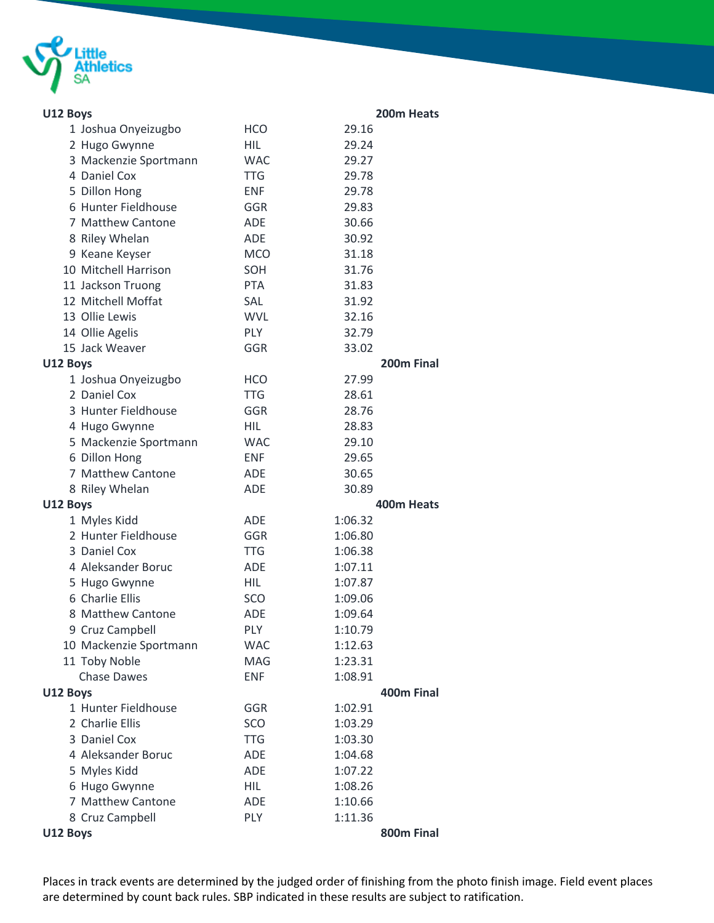

| U12 Boys |                                     |             | 200m Heats         |  |
|----------|-------------------------------------|-------------|--------------------|--|
|          | 1 Joshua Onyeizugbo                 | <b>HCO</b>  | 29.16              |  |
|          | 2 Hugo Gwynne                       | HIL         | 29.24              |  |
|          | 3 Mackenzie Sportmann               | <b>WAC</b>  | 29.27              |  |
|          | 4 Daniel Cox                        | <b>TTG</b>  | 29.78              |  |
|          | 5 Dillon Hong                       | <b>ENF</b>  | 29.78              |  |
|          | 6 Hunter Fieldhouse                 | GGR         | 29.83              |  |
|          | 7 Matthew Cantone                   | <b>ADE</b>  | 30.66              |  |
|          | 8 Riley Whelan                      | <b>ADE</b>  | 30.92              |  |
|          | 9 Keane Keyser                      | <b>MCO</b>  | 31.18              |  |
|          | 10 Mitchell Harrison                | SOH         | 31.76              |  |
|          | 11 Jackson Truong                   | <b>PTA</b>  | 31.83              |  |
|          | 12 Mitchell Moffat                  | SAL         | 31.92              |  |
|          | 13 Ollie Lewis                      | <b>WVL</b>  | 32.16              |  |
|          | 14 Ollie Agelis                     | <b>PLY</b>  | 32.79              |  |
|          | 15 Jack Weaver                      | GGR         | 33.02              |  |
| U12 Boys |                                     |             | 200m Final         |  |
|          | 1 Joshua Onyeizugbo                 | <b>HCO</b>  | 27.99              |  |
|          | 2 Daniel Cox                        | <b>TTG</b>  | 28.61              |  |
|          | 3 Hunter Fieldhouse                 | GGR         | 28.76              |  |
|          | 4 Hugo Gwynne                       | <b>HIL</b>  | 28.83              |  |
|          | 5 Mackenzie Sportmann               | <b>WAC</b>  | 29.10              |  |
|          | 6 Dillon Hong                       | <b>ENF</b>  | 29.65              |  |
|          | 7 Matthew Cantone                   | <b>ADE</b>  | 30.65              |  |
|          | 8 Riley Whelan                      | <b>ADE</b>  | 30.89              |  |
| U12 Boys |                                     |             | 400m Heats         |  |
|          | 1 Myles Kidd                        | <b>ADE</b>  | 1:06.32            |  |
|          | 2 Hunter Fieldhouse                 | GGR         | 1:06.80            |  |
|          | 3 Daniel Cox                        | <b>TTG</b>  | 1:06.38            |  |
|          | 4 Aleksander Boruc<br>5 Hugo Gwynne | ADE<br>HIL. | 1:07.11<br>1:07.87 |  |
|          | 6 Charlie Ellis                     | SCO         | 1:09.06            |  |
|          | 8 Matthew Cantone                   | <b>ADE</b>  | 1:09.64            |  |
|          | 9 Cruz Campbell                     | PLY         | 1:10.79            |  |
|          | 10 Mackenzie Sportmann              | <b>WAC</b>  | 1:12.63            |  |
|          | 11 Toby Noble                       | MAG         | 1:23.31            |  |
|          | <b>Chase Dawes</b>                  | <b>ENF</b>  | 1:08.91            |  |
| U12 Boys |                                     |             | 400m Final         |  |
|          | 1 Hunter Fieldhouse                 | GGR         | 1:02.91            |  |
|          | 2 Charlie Ellis                     | SCO         | 1:03.29            |  |
|          | 3 Daniel Cox                        | <b>TTG</b>  | 1:03.30            |  |
|          | 4 Aleksander Boruc                  | ADE         | 1:04.68            |  |
|          | 5 Myles Kidd                        | ADE         | 1:07.22            |  |
|          | 6 Hugo Gwynne                       | <b>HIL</b>  | 1:08.26            |  |
|          | 7 Matthew Cantone                   | ADE         | 1:10.66            |  |
|          | 8 Cruz Campbell                     | PLY         | 1:11.36            |  |
| U12 Boys |                                     |             | 800m Final         |  |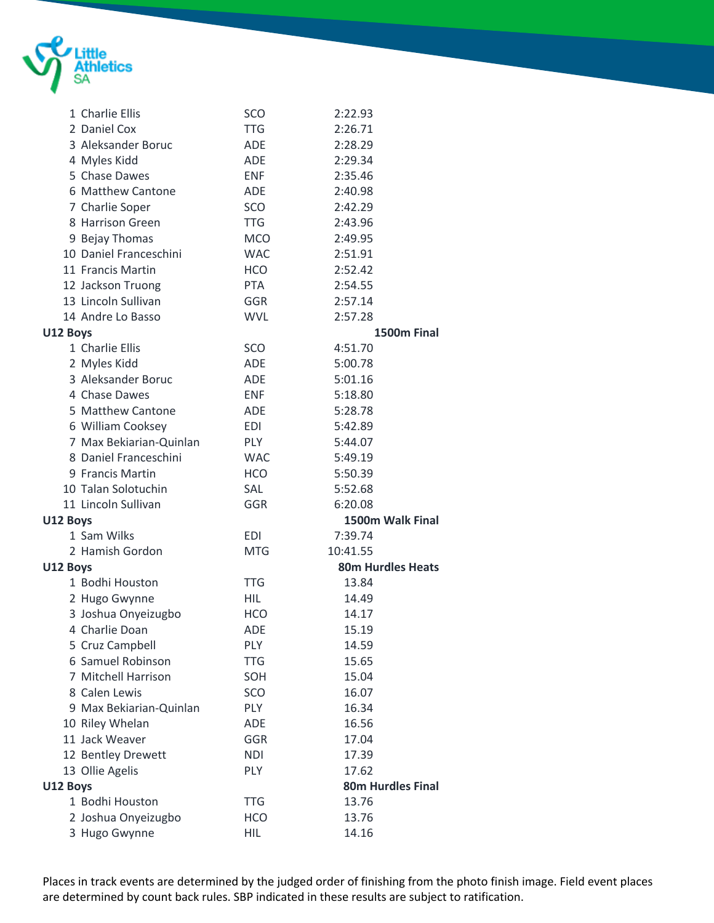

|          | 1 Charlie Ellis         | <b>SCO</b> | 2:22.93                  |  |
|----------|-------------------------|------------|--------------------------|--|
|          | 2 Daniel Cox            | <b>TTG</b> | 2:26.71                  |  |
|          | 3 Aleksander Boruc      | ADE        | 2:28.29                  |  |
|          | 4 Myles Kidd            | ADE        | 2:29.34                  |  |
|          | 5 Chase Dawes           | <b>ENF</b> | 2:35.46                  |  |
|          | 6 Matthew Cantone       | <b>ADE</b> | 2:40.98                  |  |
|          | 7 Charlie Soper         | SCO        | 2:42.29                  |  |
|          | 8 Harrison Green        | <b>TTG</b> | 2:43.96                  |  |
|          | 9 Bejay Thomas          | <b>MCO</b> | 2:49.95                  |  |
|          | 10 Daniel Franceschini  | <b>WAC</b> | 2:51.91                  |  |
|          | 11 Francis Martin       | <b>HCO</b> | 2:52.42                  |  |
|          | 12 Jackson Truong       | <b>PTA</b> | 2:54.55                  |  |
|          | 13 Lincoln Sullivan     | GGR        | 2:57.14                  |  |
|          | 14 Andre Lo Basso       | <b>WVL</b> | 2:57.28                  |  |
| U12 Boys |                         |            | 1500m Final              |  |
|          | 1 Charlie Ellis         | SCO        | 4:51.70                  |  |
|          | 2 Myles Kidd            | ADE        | 5:00.78                  |  |
|          | 3 Aleksander Boruc      | ADE        | 5:01.16                  |  |
|          | 4 Chase Dawes           | <b>ENF</b> | 5:18.80                  |  |
|          | 5 Matthew Cantone       | <b>ADE</b> | 5:28.78                  |  |
|          | 6 William Cooksey       | EDI        | 5:42.89                  |  |
|          | 7 Max Bekiarian-Quinlan | <b>PLY</b> | 5:44.07                  |  |
|          | 8 Daniel Franceschini   | <b>WAC</b> | 5:49.19                  |  |
|          | 9 Francis Martin        | <b>HCO</b> | 5:50.39                  |  |
|          | 10 Talan Solotuchin     | <b>SAL</b> | 5:52.68                  |  |
|          | 11 Lincoln Sullivan     | <b>GGR</b> | 6:20.08                  |  |
| U12 Boys |                         |            | 1500m Walk Final         |  |
|          | 1 Sam Wilks             | <b>EDI</b> | 7:39.74                  |  |
|          | 2 Hamish Gordon         | <b>MTG</b> | 10:41.55                 |  |
| U12 Boys |                         |            | <b>80m Hurdles Heats</b> |  |
|          | 1 Bodhi Houston         | <b>TTG</b> | 13.84                    |  |
|          | 2 Hugo Gwynne           | <b>HIL</b> | 14.49                    |  |
|          | 3 Joshua Onyeizugbo     | <b>HCO</b> | 14.17                    |  |
|          | 4 Charlie Doan          | ADE        | 15.19                    |  |
|          | 5 Cruz Campbell         | <b>PLY</b> | 14.59                    |  |
|          | 6 Samuel Robinson       | <b>TTG</b> | 15.65                    |  |
|          | 7 Mitchell Harrison     | SOH        | 15.04                    |  |
|          | 8 Calen Lewis           | SCO        | 16.07                    |  |
|          | 9 Max Bekiarian-Quinlan | <b>PLY</b> | 16.34                    |  |
|          | 10 Riley Whelan         | ADE        | 16.56                    |  |
|          | 11 Jack Weaver          | <b>GGR</b> | 17.04                    |  |
|          | 12 Bentley Drewett      | <b>NDI</b> | 17.39                    |  |
|          | 13 Ollie Agelis         | PLY        | 17.62                    |  |
| U12 Boys |                         |            | <b>80m Hurdles Final</b> |  |
|          | 1 Bodhi Houston         | <b>TTG</b> | 13.76                    |  |
|          | 2 Joshua Onyeizugbo     | <b>HCO</b> | 13.76                    |  |
|          | 3 Hugo Gwynne           | <b>HIL</b> | 14.16                    |  |
|          |                         |            |                          |  |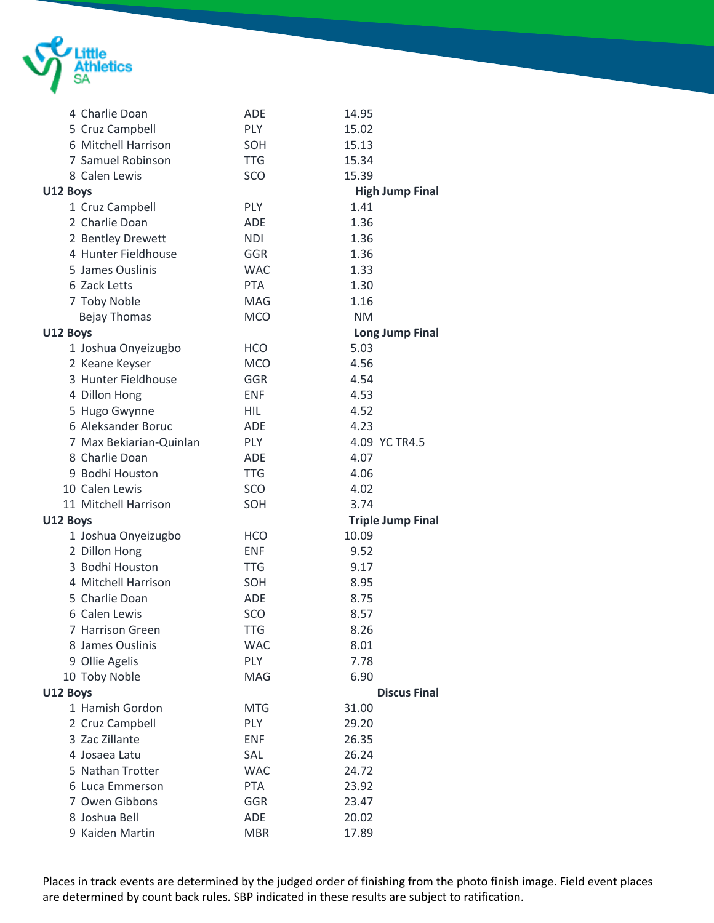

|          | 4 Charlie Doan          | <b>ADE</b> | 14.95                    |
|----------|-------------------------|------------|--------------------------|
|          | 5 Cruz Campbell         | <b>PLY</b> | 15.02                    |
|          | 6 Mitchell Harrison     | SOH        | 15.13                    |
|          | 7 Samuel Robinson       | <b>TTG</b> | 15.34                    |
|          | 8 Calen Lewis           | SCO        | 15.39                    |
| U12 Boys |                         |            | <b>High Jump Final</b>   |
|          | 1 Cruz Campbell         | <b>PLY</b> | 1.41                     |
|          | 2 Charlie Doan          | <b>ADE</b> | 1.36                     |
|          | 2 Bentley Drewett       | <b>NDI</b> | 1.36                     |
|          | 4 Hunter Fieldhouse     | <b>GGR</b> | 1.36                     |
|          | 5 James Ouslinis        | <b>WAC</b> | 1.33                     |
|          | 6 Zack Letts            | <b>PTA</b> | 1.30                     |
|          | 7 Toby Noble            | <b>MAG</b> | 1.16                     |
|          | <b>Bejay Thomas</b>     | <b>MCO</b> | <b>NM</b>                |
| U12 Boys |                         |            | <b>Long Jump Final</b>   |
|          | 1 Joshua Onyeizugbo     | <b>HCO</b> | 5.03                     |
|          | 2 Keane Keyser          | <b>MCO</b> | 4.56                     |
|          | 3 Hunter Fieldhouse     | GGR        | 4.54                     |
|          | 4 Dillon Hong           | <b>ENF</b> | 4.53                     |
|          | 5 Hugo Gwynne           | <b>HIL</b> | 4.52                     |
|          | 6 Aleksander Boruc      | <b>ADE</b> | 4.23                     |
|          | 7 Max Bekiarian-Quinlan | PLY        | 4.09 YC TR4.5            |
|          | 8 Charlie Doan          | <b>ADE</b> | 4.07                     |
|          | 9 Bodhi Houston         | <b>TTG</b> | 4.06                     |
|          | 10 Calen Lewis          | SCO        | 4.02                     |
|          | 11 Mitchell Harrison    | SOH        | 3.74                     |
| U12 Boys |                         |            | <b>Triple Jump Final</b> |
|          | 1 Joshua Onyeizugbo     | <b>HCO</b> | 10.09                    |
|          | 2 Dillon Hong           | <b>ENF</b> | 9.52                     |
|          | 3 Bodhi Houston         | <b>TTG</b> | 9.17                     |
|          | 4 Mitchell Harrison     | SOH        | 8.95                     |
|          | 5 Charlie Doan          | <b>ADE</b> | 8.75                     |
|          | 6 Calen Lewis           | SCO        | 8.57                     |
|          | 7 Harrison Green        | <b>TTG</b> | 8.26                     |
|          | 8 James Ouslinis        | <b>WAC</b> | 8.01                     |
|          | 9 Ollie Agelis          | <b>PLY</b> | 7.78                     |
|          | 10 Toby Noble           | MAG        | 6.90                     |
| U12 Boys |                         |            | <b>Discus Final</b>      |
|          | 1 Hamish Gordon         | <b>MTG</b> | 31.00                    |
|          | 2 Cruz Campbell         | <b>PLY</b> | 29.20                    |
|          | 3 Zac Zillante          | <b>ENF</b> | 26.35                    |
|          | 4 Josaea Latu           | SAL        | 26.24                    |
|          | 5 Nathan Trotter        | <b>WAC</b> | 24.72                    |
|          | 6 Luca Emmerson         | <b>PTA</b> | 23.92                    |
|          | 7 Owen Gibbons          | GGR        | 23.47                    |
|          | 8 Joshua Bell           | ADE        | 20.02                    |
|          | 9 Kaiden Martin         | <b>MBR</b> | 17.89                    |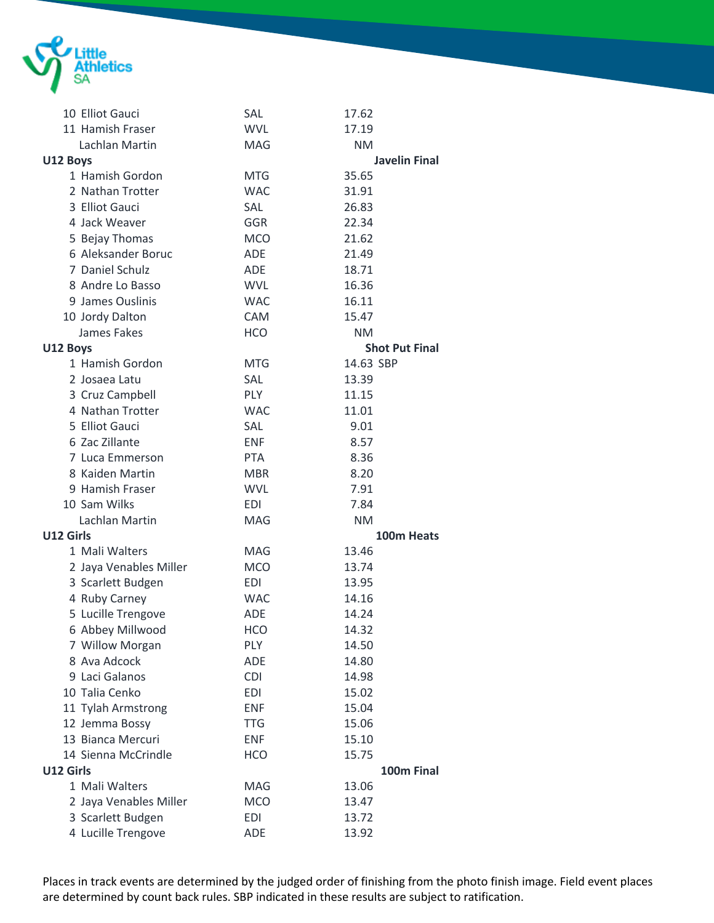

| 10 Elliot Gauci        | SAL        | 17.62                 |
|------------------------|------------|-----------------------|
| 11 Hamish Fraser       | <b>WVL</b> | 17.19                 |
| Lachlan Martin         | <b>MAG</b> | <b>NM</b>             |
| U12 Boys               |            | <b>Javelin Final</b>  |
| 1 Hamish Gordon        | <b>MTG</b> | 35.65                 |
| 2 Nathan Trotter       | <b>WAC</b> | 31.91                 |
| 3 Elliot Gauci         | SAL        | 26.83                 |
| 4 Jack Weaver          | GGR        | 22.34                 |
| 5 Bejay Thomas         | <b>MCO</b> | 21.62                 |
| 6 Aleksander Boruc     | <b>ADE</b> | 21.49                 |
| 7 Daniel Schulz        | <b>ADF</b> | 18.71                 |
| 8 Andre Lo Basso       | <b>WVL</b> | 16.36                 |
| 9 James Ouslinis       | <b>WAC</b> | 16.11                 |
| 10 Jordy Dalton        | <b>CAM</b> | 15.47                 |
| James Fakes            | <b>HCO</b> | <b>NM</b>             |
| U12 Boys               |            | <b>Shot Put Final</b> |
| 1 Hamish Gordon        | <b>MTG</b> | 14.63 SBP             |
| 2 Josaea Latu          | SAL        | 13.39                 |
| 3 Cruz Campbell        | <b>PLY</b> | 11.15                 |
| 4 Nathan Trotter       | <b>WAC</b> | 11.01                 |
| 5 Elliot Gauci         | SAL        | 9.01                  |
| 6 Zac Zillante         | <b>ENF</b> | 8.57                  |
| 7 Luca Emmerson        | <b>PTA</b> | 8.36                  |
| 8 Kaiden Martin        | <b>MBR</b> | 8.20                  |
| 9 Hamish Fraser        | <b>WVL</b> | 7.91                  |
| 10 Sam Wilks           | <b>EDI</b> | 7.84                  |
| Lachlan Martin         | <b>MAG</b> | <b>NM</b>             |
| U12 Girls              |            | 100m Heats            |
| 1 Mali Walters         | <b>MAG</b> | 13.46                 |
| 2 Jaya Venables Miller | <b>MCO</b> | 13.74                 |
| 3 Scarlett Budgen      | EDI        | 13.95                 |
| 4 Ruby Carney          | <b>WAC</b> | 14.16                 |
| 5 Lucille Trengove     | <b>ADE</b> | 14.24                 |
| 6 Abbey Millwood       | <b>HCO</b> | 14.32                 |
| 7 Willow Morgan        | <b>PLY</b> | 14.50                 |
| 8 Ava Adcock           | <b>ADE</b> | 14.80                 |
| 9 Laci Galanos         | <b>CDI</b> | 14.98                 |
| 10 Talia Cenko         | <b>EDI</b> | 15.02                 |
| 11 Tylah Armstrong     | <b>ENF</b> | 15.04                 |
| 12 Jemma Bossy         | <b>TTG</b> | 15.06                 |
| 13 Bianca Mercuri      | <b>ENF</b> | 15.10                 |
| 14 Sienna McCrindle    | <b>HCO</b> | 15.75                 |
| U12 Girls              |            | 100m Final            |
| 1 Mali Walters         | MAG        | 13.06                 |
| 2 Jaya Venables Miller | <b>MCO</b> | 13.47                 |
| 3 Scarlett Budgen      | <b>EDI</b> | 13.72                 |
| 4 Lucille Trengove     | ADE        | 13.92                 |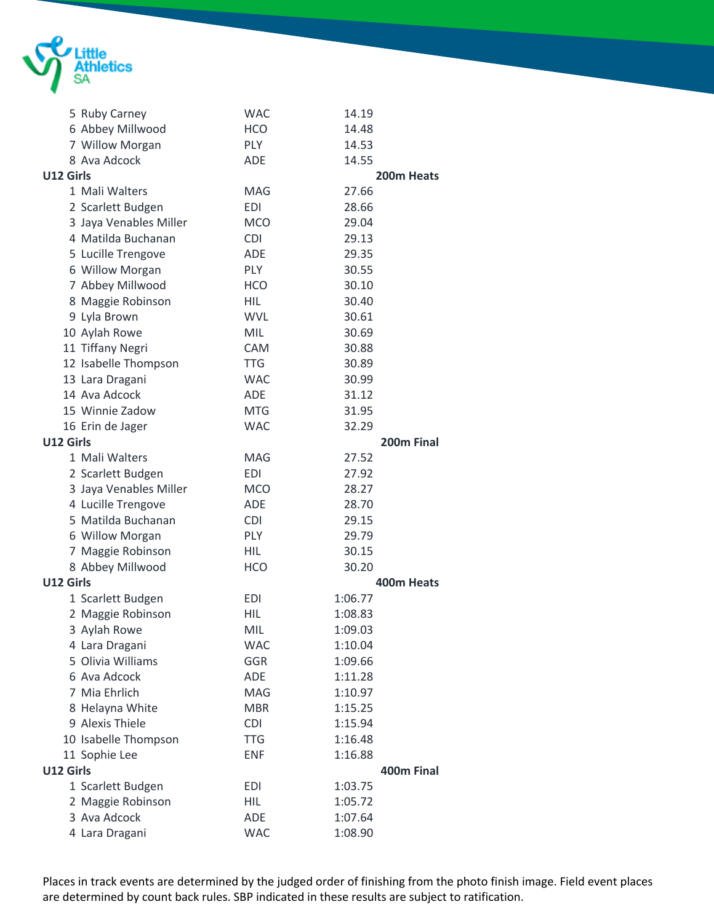

|           | 5 Ruby Carney          | <b>WAC</b> | 14.19      |
|-----------|------------------------|------------|------------|
|           | 6 Abbey Millwood       | <b>HCO</b> | 14.48      |
|           | 7 Willow Morgan        | <b>PLY</b> | 14.53      |
|           | 8 Ava Adcock           | <b>ADE</b> | 14.55      |
| U12 Girls |                        |            | 200m Heats |
|           | 1 Mali Walters         | MAG        | 27.66      |
|           | 2 Scarlett Budgen      | <b>EDI</b> | 28.66      |
|           | 3 Jaya Venables Miller | <b>MCO</b> | 29.04      |
|           | 4 Matilda Buchanan     | <b>CDI</b> | 29.13      |
|           | 5 Lucille Trengove     | <b>ADE</b> | 29.35      |
|           | 6 Willow Morgan        | <b>PLY</b> | 30.55      |
|           | 7 Abbey Millwood       | <b>HCO</b> | 30.10      |
|           | 8 Maggie Robinson      | <b>HIL</b> | 30.40      |
|           | 9 Lyla Brown           | <b>WVL</b> | 30.61      |
|           | 10 Aylah Rowe          | <b>MIL</b> | 30.69      |
|           | 11 Tiffany Negri       | <b>CAM</b> | 30.88      |
|           | 12 Isabelle Thompson   | <b>TTG</b> | 30.89      |
|           | 13 Lara Dragani        | <b>WAC</b> | 30.99      |
|           | 14 Ava Adcock          | <b>ADE</b> | 31.12      |
|           | 15 Winnie Zadow        | <b>MTG</b> | 31.95      |
|           | 16 Erin de Jager       | <b>WAC</b> | 32.29      |
| U12 Girls |                        |            | 200m Final |
|           | 1 Mali Walters         | <b>MAG</b> | 27.52      |
|           | 2 Scarlett Budgen      | <b>EDI</b> | 27.92      |
|           | 3 Jaya Venables Miller | <b>MCO</b> | 28.27      |
|           | 4 Lucille Trengove     | <b>ADE</b> | 28.70      |
|           | 5 Matilda Buchanan     | <b>CDI</b> | 29.15      |
|           | 6 Willow Morgan        | <b>PLY</b> | 29.79      |
|           | 7 Maggie Robinson      | HIL        | 30.15      |
|           | 8 Abbey Millwood       | <b>HCO</b> | 30.20      |
| U12 Girls |                        |            | 400m Heats |
|           | 1 Scarlett Budgen      | <b>EDI</b> | 1:06.77    |
|           | 2 Maggie Robinson      | HIL        | 1:08.83    |
|           | 3 Aylah Rowe           | MIL        | 1:09.03    |
|           | 4 Lara Dragani         | <b>WAC</b> | 1:10.04    |
|           | 5 Olivia Williams      | <b>GGR</b> | 1:09.66    |
|           | 6 Ava Adcock           | ADE        | 1:11.28    |
|           | 7 Mia Ehrlich          | <b>MAG</b> | 1:10.97    |
|           | 8 Helayna White        | <b>MBR</b> | 1:15.25    |
|           | 9 Alexis Thiele        | <b>CDI</b> | 1:15.94    |
|           | 10 Isabelle Thompson   | <b>TTG</b> | 1:16.48    |
|           | 11 Sophie Lee          | <b>ENF</b> | 1:16.88    |
| U12 Girls |                        |            | 400m Final |
|           | 1 Scarlett Budgen      | <b>EDI</b> | 1:03.75    |
|           | 2 Maggie Robinson      | <b>HIL</b> | 1:05.72    |
|           | 3 Ava Adcock           | ADE        | 1:07.64    |
|           | 4 Lara Dragani         | <b>WAC</b> | 1:08.90    |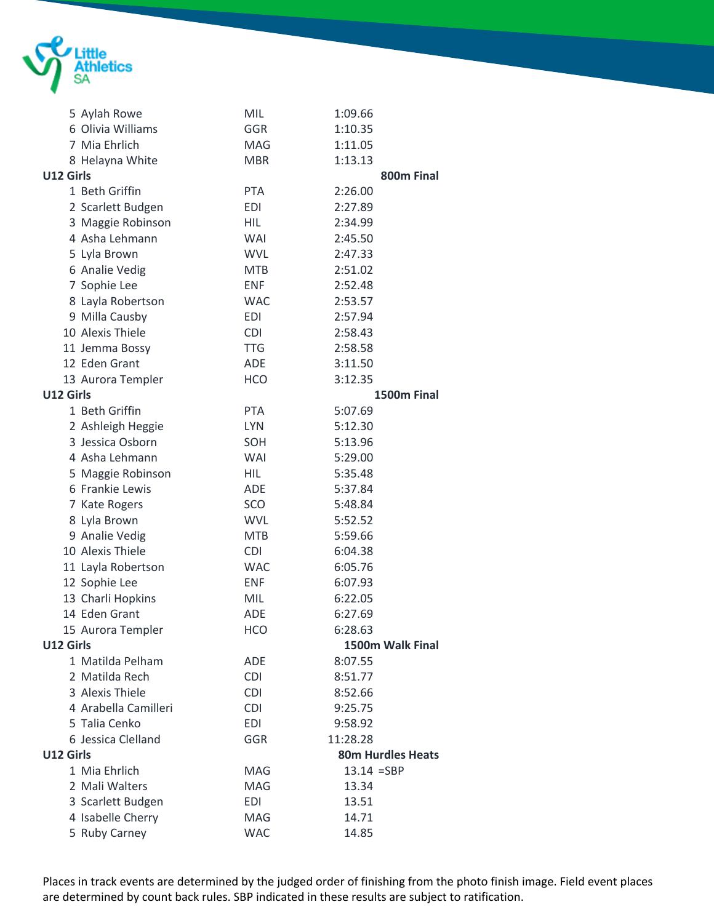

|           | 5 Aylah Rowe         | MIL        | 1:09.66                  |
|-----------|----------------------|------------|--------------------------|
|           | 6 Olivia Williams    | <b>GGR</b> | 1:10.35                  |
|           | 7 Mia Ehrlich        | MAG        | 1:11.05                  |
|           | 8 Helayna White      | <b>MBR</b> | 1:13.13                  |
| U12 Girls |                      |            | 800m Final               |
|           | 1 Beth Griffin       | <b>PTA</b> | 2:26.00                  |
|           | 2 Scarlett Budgen    | EDI        | 2:27.89                  |
|           | 3 Maggie Robinson    | <b>HIL</b> | 2:34.99                  |
|           | 4 Asha Lehmann       | WAI        | 2:45.50                  |
|           | 5 Lyla Brown         | <b>WVL</b> | 2:47.33                  |
|           | 6 Analie Vedig       | <b>MTB</b> | 2:51.02                  |
|           | 7 Sophie Lee         | <b>ENF</b> | 2:52.48                  |
|           | 8 Layla Robertson    | <b>WAC</b> | 2:53.57                  |
|           | 9 Milla Causby       | <b>EDI</b> | 2:57.94                  |
|           | 10 Alexis Thiele     | <b>CDI</b> | 2:58.43                  |
|           | 11 Jemma Bossy       | <b>TTG</b> | 2:58.58                  |
|           | 12 Eden Grant        | ADE        | 3:11.50                  |
|           | 13 Aurora Templer    | <b>HCO</b> | 3:12.35                  |
| U12 Girls |                      |            | 1500m Final              |
|           | 1 Beth Griffin       | <b>PTA</b> | 5:07.69                  |
|           | 2 Ashleigh Heggie    | <b>LYN</b> | 5:12.30                  |
|           | 3 Jessica Osborn     | SOH        | 5:13.96                  |
|           | 4 Asha Lehmann       | WAI        | 5:29.00                  |
|           | 5 Maggie Robinson    | <b>HIL</b> | 5:35.48                  |
|           | 6 Frankie Lewis      | ADE        | 5:37.84                  |
|           | 7 Kate Rogers        | SCO        | 5:48.84                  |
|           | 8 Lyla Brown         | <b>WVL</b> | 5:52.52                  |
|           | 9 Analie Vedig       | <b>MTB</b> | 5:59.66                  |
|           | 10 Alexis Thiele     | <b>CDI</b> | 6:04.38                  |
|           | 11 Layla Robertson   | <b>WAC</b> | 6:05.76                  |
|           | 12 Sophie Lee        | <b>ENF</b> | 6:07.93                  |
|           | 13 Charli Hopkins    | MIL        | 6:22.05                  |
|           | 14 Eden Grant        | ADE        | 6:27.69                  |
|           | 15 Aurora Templer    | <b>HCO</b> | 6:28.63                  |
| U12 Girls |                      |            | 1500m Walk Final         |
|           | 1 Matilda Pelham     | ADE        | 8:07.55                  |
|           | 2 Matilda Rech       | <b>CDI</b> | 8:51.77                  |
|           | 3 Alexis Thiele      | <b>CDI</b> | 8:52.66                  |
|           | 4 Arabella Camilleri | <b>CDI</b> | 9:25.75                  |
|           | 5 Talia Cenko        | <b>EDI</b> | 9:58.92                  |
|           | 6 Jessica Clelland   | GGR        | 11:28.28                 |
| U12 Girls |                      |            | <b>80m Hurdles Heats</b> |
|           | 1 Mia Ehrlich        | MAG        | $13.14 = SBP$            |
|           | 2 Mali Walters       | <b>MAG</b> | 13.34                    |
|           | 3 Scarlett Budgen    | <b>EDI</b> | 13.51                    |
|           | 4 Isabelle Cherry    | MAG        | 14.71                    |
|           | 5 Ruby Carney        | <b>WAC</b> | 14.85                    |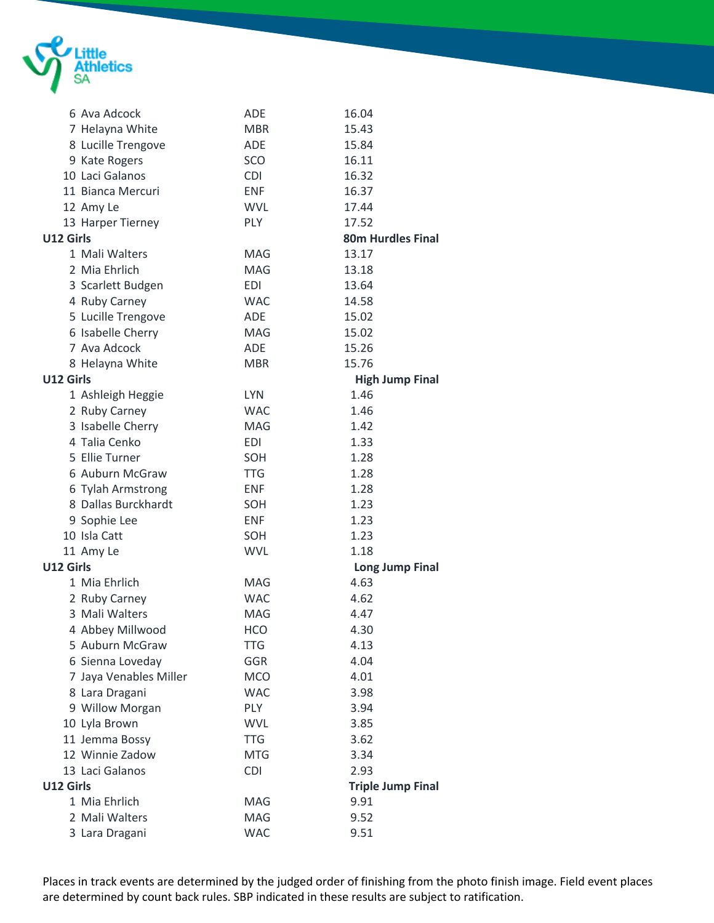

|           | 6 Ava Adcock           | <b>ADE</b> | 16.04                    |
|-----------|------------------------|------------|--------------------------|
|           | 7 Helayna White        | <b>MBR</b> | 15.43                    |
|           | 8 Lucille Trengove     | <b>ADE</b> | 15.84                    |
|           | 9 Kate Rogers          | SCO        | 16.11                    |
|           | 10 Laci Galanos        | <b>CDI</b> | 16.32                    |
|           | 11 Bianca Mercuri      | <b>ENF</b> | 16.37                    |
|           | 12 Amy Le              | <b>WVL</b> | 17.44                    |
|           | 13 Harper Tierney      | PLY        | 17.52                    |
| U12 Girls |                        |            | <b>80m Hurdles Final</b> |
|           | 1 Mali Walters         | <b>MAG</b> | 13.17                    |
|           | 2 Mia Ehrlich          | <b>MAG</b> | 13.18                    |
|           | 3 Scarlett Budgen      | EDI        | 13.64                    |
|           | 4 Ruby Carney          | <b>WAC</b> | 14.58                    |
|           | 5 Lucille Trengove     | <b>ADE</b> | 15.02                    |
|           | 6 Isabelle Cherry      | <b>MAG</b> | 15.02                    |
|           | 7 Ava Adcock           | <b>ADE</b> | 15.26                    |
|           | 8 Helayna White        | <b>MBR</b> | 15.76                    |
| U12 Girls |                        |            | <b>High Jump Final</b>   |
|           | 1 Ashleigh Heggie      | <b>LYN</b> | 1.46                     |
|           | 2 Ruby Carney          | <b>WAC</b> | 1.46                     |
|           | 3 Isabelle Cherry      | <b>MAG</b> | 1.42                     |
|           | 4 Talia Cenko          | <b>EDI</b> | 1.33                     |
|           | 5 Ellie Turner         | SOH        | 1.28                     |
|           | 6 Auburn McGraw        | <b>TTG</b> | 1.28                     |
|           | 6 Tylah Armstrong      | <b>ENF</b> | 1.28                     |
|           | 8 Dallas Burckhardt    | SOH        | 1.23                     |
|           | 9 Sophie Lee           | <b>ENF</b> | 1.23                     |
|           | 10 Isla Catt           | SOH        | 1.23                     |
|           | 11 Amy Le              | <b>WVL</b> | 1.18                     |
| U12 Girls |                        |            | <b>Long Jump Final</b>   |
|           | 1 Mia Ehrlich          | <b>MAG</b> | 4.63                     |
|           | 2 Ruby Carney          | <b>WAC</b> | 4.62                     |
|           | 3 Mali Walters         | <b>MAG</b> | 4.47                     |
|           | 4 Abbey Millwood       | HCO        | 4.30                     |
|           | 5 Auburn McGraw        | <b>TTG</b> | 4.13                     |
|           | 6 Sienna Loveday       | GGR        | 4.04                     |
|           | 7 Jaya Venables Miller | <b>MCO</b> | 4.01                     |
|           | 8 Lara Dragani         | <b>WAC</b> | 3.98                     |
|           | 9 Willow Morgan        | <b>PLY</b> | 3.94                     |
|           | 10 Lyla Brown          | <b>WVL</b> | 3.85                     |
|           | 11 Jemma Bossy         | <b>TTG</b> | 3.62                     |
|           | 12 Winnie Zadow        | <b>MTG</b> | 3.34                     |
|           | 13 Laci Galanos        | <b>CDI</b> | 2.93                     |
| U12 Girls |                        |            | <b>Triple Jump Final</b> |
|           | 1 Mia Ehrlich          | MAG        | 9.91                     |
|           | 2 Mali Walters         | MAG        | 9.52                     |
|           | 3 Lara Dragani         | <b>WAC</b> | 9.51                     |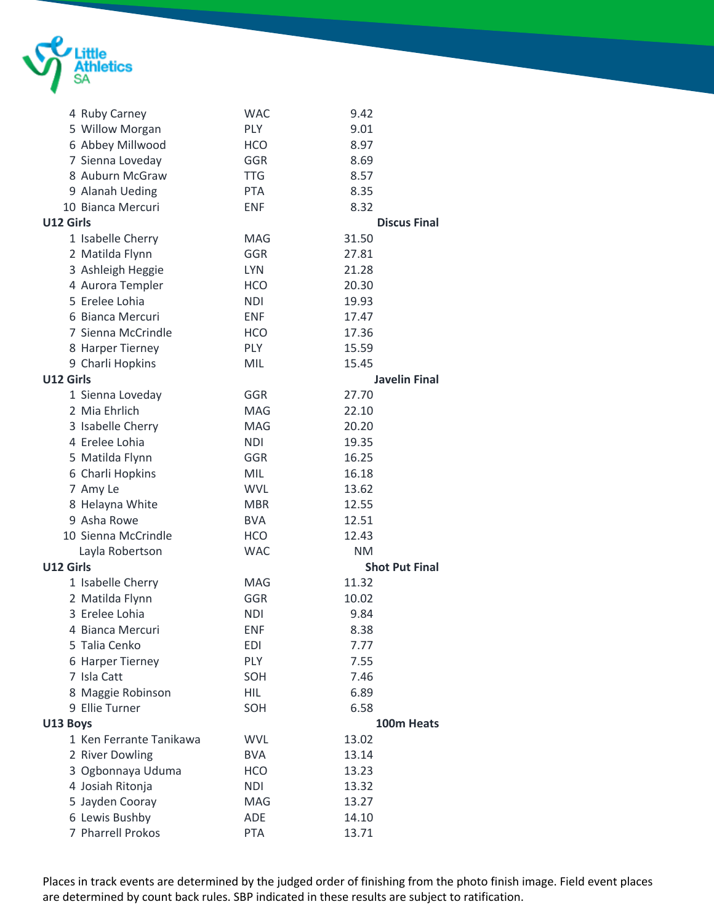

|           | 4 Ruby Carney           | <b>WAC</b> | 9.42                  |
|-----------|-------------------------|------------|-----------------------|
|           | 5 Willow Morgan         | PLY        | 9.01                  |
|           | 6 Abbey Millwood        | <b>HCO</b> | 8.97                  |
|           | 7 Sienna Loveday        | GGR        | 8.69                  |
|           | 8 Auburn McGraw         | <b>TTG</b> | 8.57                  |
|           | 9 Alanah Ueding         | <b>PTA</b> | 8.35                  |
|           | 10 Bianca Mercuri       | <b>ENF</b> | 8.32                  |
| U12 Girls |                         |            | <b>Discus Final</b>   |
|           | 1 Isabelle Cherry       | <b>MAG</b> | 31.50                 |
|           | 2 Matilda Flynn         | <b>GGR</b> | 27.81                 |
|           | 3 Ashleigh Heggie       | <b>LYN</b> | 21.28                 |
|           | 4 Aurora Templer        | <b>HCO</b> | 20.30                 |
|           | 5 Erelee Lohia          | <b>NDI</b> | 19.93                 |
|           | 6 Bianca Mercuri        | <b>ENF</b> | 17.47                 |
|           | 7 Sienna McCrindle      | <b>HCO</b> | 17.36                 |
|           | 8 Harper Tierney        | <b>PLY</b> | 15.59                 |
|           | 9 Charli Hopkins        | MIL        | 15.45                 |
| U12 Girls |                         |            | <b>Javelin Final</b>  |
|           | 1 Sienna Loveday        | GGR        | 27.70                 |
|           | 2 Mia Ehrlich           | <b>MAG</b> | 22.10                 |
|           | 3 Isabelle Cherry       | <b>MAG</b> | 20.20                 |
|           | 4 Erelee Lohia          | <b>NDI</b> | 19.35                 |
|           | 5 Matilda Flynn         | GGR        | 16.25                 |
|           | 6 Charli Hopkins        | <b>MIL</b> | 16.18                 |
|           | 7 Amy Le                | <b>WVL</b> | 13.62                 |
|           | 8 Helayna White         | <b>MBR</b> | 12.55                 |
|           | 9 Asha Rowe             | <b>BVA</b> | 12.51                 |
|           | 10 Sienna McCrindle     | <b>HCO</b> | 12.43                 |
|           | Layla Robertson         | <b>WAC</b> | <b>NM</b>             |
| U12 Girls |                         |            | <b>Shot Put Final</b> |
|           | 1 Isabelle Cherry       | <b>MAG</b> | 11.32                 |
|           | 2 Matilda Flynn         | GGR        | 10.02                 |
|           | 3 Erelee Lohia          | <b>NDI</b> | 9.84                  |
|           | 4 Bianca Mercuri        | <b>ENF</b> | 8.38                  |
|           | 5 Talia Cenko           | EDI        | 7.77                  |
|           | 6 Harper Tierney        | PLY        | 7.55                  |
|           | 7 Isla Catt             | SOH        | 7.46                  |
|           | 8 Maggie Robinson       | <b>HIL</b> | 6.89                  |
|           | 9 Ellie Turner          | SOH        | 6.58                  |
| U13 Boys  |                         |            | 100m Heats            |
|           | 1 Ken Ferrante Tanikawa | <b>WVL</b> | 13.02                 |
|           | 2 River Dowling         | <b>BVA</b> | 13.14                 |
|           | 3 Ogbonnaya Uduma       | <b>HCO</b> | 13.23                 |
|           | 4 Josiah Ritonja        | <b>NDI</b> | 13.32                 |
|           | 5 Jayden Cooray         | MAG        | 13.27                 |
|           | 6 Lewis Bushby          | <b>ADE</b> | 14.10                 |
|           | 7 Pharrell Prokos       | <b>PTA</b> | 13.71                 |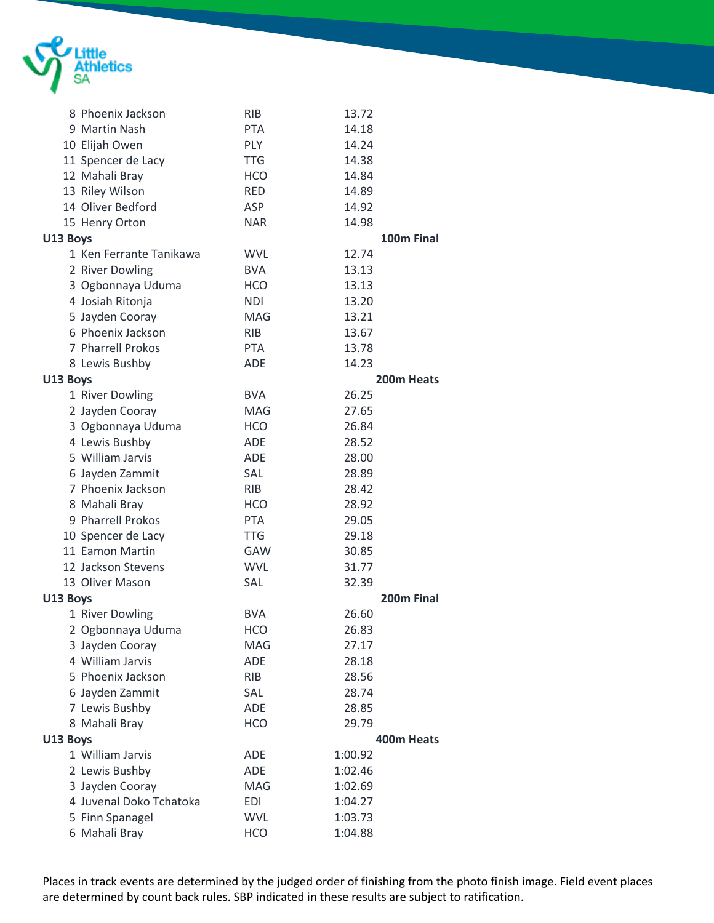

|          | 8 Phoenix Jackson       | <b>RIB</b> | 13.72      |            |
|----------|-------------------------|------------|------------|------------|
|          | 9 Martin Nash           | <b>PTA</b> | 14.18      |            |
|          | 10 Elijah Owen          | <b>PLY</b> | 14.24      |            |
|          | 11 Spencer de Lacy      | <b>TTG</b> | 14.38      |            |
|          | 12 Mahali Bray          | <b>HCO</b> | 14.84      |            |
|          | 13 Riley Wilson         | <b>RED</b> | 14.89      |            |
|          | 14 Oliver Bedford       | ASP        | 14.92      |            |
|          | 15 Henry Orton          | <b>NAR</b> | 14.98      |            |
| U13 Boys |                         |            |            | 100m Final |
|          | 1 Ken Ferrante Tanikawa | <b>WVL</b> | 12.74      |            |
|          | 2 River Dowling         | <b>BVA</b> | 13.13      |            |
|          | 3 Ogbonnaya Uduma       | <b>HCO</b> | 13.13      |            |
|          | 4 Josiah Ritonja        | <b>NDI</b> | 13.20      |            |
|          | 5 Jayden Cooray         | <b>MAG</b> | 13.21      |            |
|          | 6 Phoenix Jackson       | <b>RIB</b> | 13.67      |            |
|          | 7 Pharrell Prokos       | <b>PTA</b> | 13.78      |            |
|          | 8 Lewis Bushby          | <b>ADE</b> | 14.23      |            |
| U13 Boys |                         |            | 200m Heats |            |
|          | 1 River Dowling         | <b>BVA</b> | 26.25      |            |
|          | 2 Jayden Cooray         | <b>MAG</b> | 27.65      |            |
|          | 3 Ogbonnaya Uduma       | <b>HCO</b> | 26.84      |            |
|          | 4 Lewis Bushby          | <b>ADE</b> | 28.52      |            |
|          | 5 William Jarvis        | <b>ADE</b> | 28.00      |            |
|          | 6 Jayden Zammit         | SAL        | 28.89      |            |
|          | 7 Phoenix Jackson       | <b>RIB</b> | 28.42      |            |
|          | 8 Mahali Bray           | <b>HCO</b> | 28.92      |            |
|          | 9 Pharrell Prokos       | <b>PTA</b> | 29.05      |            |
|          | 10 Spencer de Lacy      | <b>TTG</b> | 29.18      |            |
|          | 11 Eamon Martin         | GAW        | 30.85      |            |
|          | 12 Jackson Stevens      | <b>WVL</b> | 31.77      |            |
|          | 13 Oliver Mason         | <b>SAL</b> | 32.39      |            |
| U13 Boys |                         |            |            | 200m Final |
|          | 1 River Dowling         | <b>BVA</b> | 26.60      |            |
|          | 2 Ogbonnaya Uduma       | <b>HCO</b> | 26.83      |            |
|          | 3 Jayden Cooray         | MAG        | 27.17      |            |
|          | 4 William Jarvis        | <b>ADE</b> | 28.18      |            |
|          | 5 Phoenix Jackson       | <b>RIB</b> | 28.56      |            |
|          | 6 Jayden Zammit         | SAL        | 28.74      |            |
|          | 7 Lewis Bushby          | ADE        | 28.85      |            |
|          | 8 Mahali Bray           | <b>HCO</b> | 29.79      |            |
| U13 Boys |                         |            | 400m Heats |            |
|          | 1 William Jarvis        | <b>ADE</b> | 1:00.92    |            |
|          | 2 Lewis Bushby          | ADE        | 1:02.46    |            |
|          | 3 Jayden Cooray         | MAG        | 1:02.69    |            |
|          | 4 Juvenal Doko Tchatoka | <b>EDI</b> | 1:04.27    |            |
|          | 5 Finn Spanagel         | <b>WVL</b> | 1:03.73    |            |
|          | 6 Mahali Bray           | <b>HCO</b> | 1:04.88    |            |
|          |                         |            |            |            |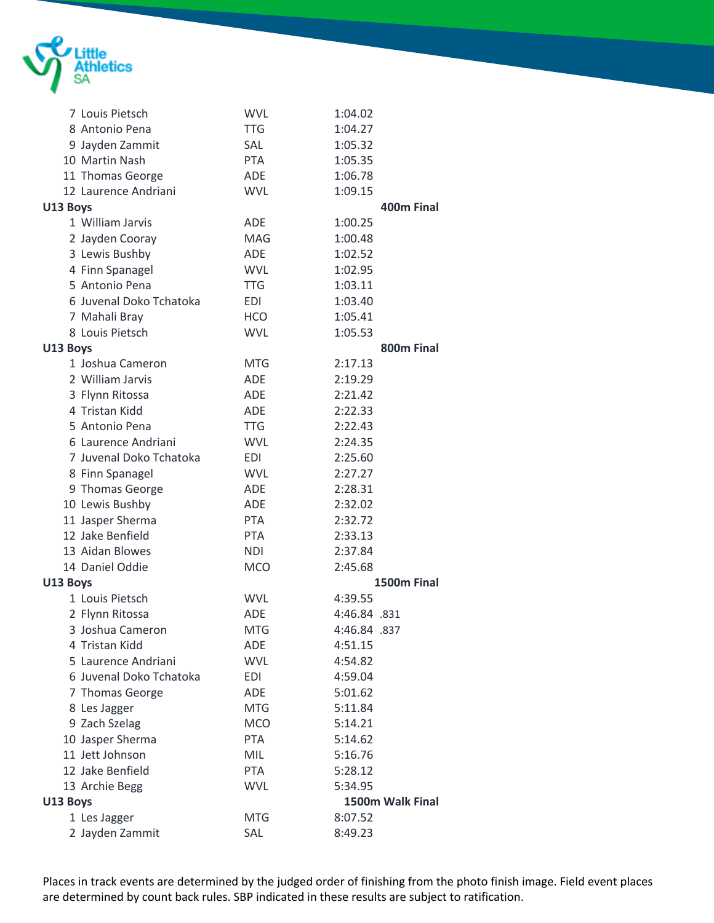

|          | 7 Louis Pietsch         | <b>WVL</b> | 1:04.02          |
|----------|-------------------------|------------|------------------|
|          | 8 Antonio Pena          | <b>TTG</b> | 1:04.27          |
|          | 9 Jayden Zammit         | <b>SAL</b> | 1:05.32          |
|          | 10 Martin Nash          | <b>PTA</b> | 1:05.35          |
|          | 11 Thomas George        | ADE        | 1:06.78          |
|          | 12 Laurence Andriani    | <b>WVL</b> | 1:09.15          |
| U13 Boys |                         |            | 400m Final       |
|          | 1 William Jarvis        | ADE        | 1:00.25          |
|          | 2 Jayden Cooray         | <b>MAG</b> | 1:00.48          |
|          | 3 Lewis Bushby          | ADE        | 1:02.52          |
|          | 4 Finn Spanagel         | <b>WVL</b> | 1:02.95          |
|          | 5 Antonio Pena          | <b>TTG</b> | 1:03.11          |
|          | 6 Juvenal Doko Tchatoka | <b>EDI</b> | 1:03.40          |
|          | 7 Mahali Bray           | HCO        | 1:05.41          |
|          | 8 Louis Pietsch         | <b>WVL</b> | 1:05.53          |
| U13 Boys |                         |            | 800m Final       |
|          | 1 Joshua Cameron        | <b>MTG</b> | 2:17.13          |
|          | 2 William Jarvis        | <b>ADE</b> | 2:19.29          |
|          | 3 Flynn Ritossa         | <b>ADE</b> | 2:21.42          |
|          | 4 Tristan Kidd          | ADE        | 2:22.33          |
|          | 5 Antonio Pena          | <b>TTG</b> | 2:22.43          |
|          | 6 Laurence Andriani     | <b>WVL</b> | 2:24.35          |
|          | 7 Juvenal Doko Tchatoka | EDI        | 2:25.60          |
|          | 8 Finn Spanagel         | <b>WVL</b> | 2:27.27          |
|          | 9 Thomas George         | ADE        | 2:28.31          |
|          | 10 Lewis Bushby         | ADE        | 2:32.02          |
|          | 11 Jasper Sherma        | <b>PTA</b> | 2:32.72          |
|          | 12 Jake Benfield        | <b>PTA</b> | 2:33.13          |
|          | 13 Aidan Blowes         | <b>NDI</b> | 2:37.84          |
|          | 14 Daniel Oddie         | <b>MCO</b> | 2:45.68          |
| U13 Boys |                         |            | 1500m Final      |
|          | 1 Louis Pietsch         | <b>WVL</b> | 4:39.55          |
|          | 2 Flynn Ritossa         | ADE        | 4:46.84 .831     |
|          | 3 Joshua Cameron        | <b>MTG</b> | 4:46.84 .837     |
|          | 4 Tristan Kidd          | ADE        | 4:51.15          |
|          | 5 Laurence Andriani     | <b>WVL</b> | 4:54.82          |
|          | 6 Juvenal Doko Tchatoka | <b>EDI</b> | 4:59.04          |
|          | 7 Thomas George         | ADE        | 5:01.62          |
|          | 8 Les Jagger            | <b>MTG</b> | 5:11.84          |
|          | 9 Zach Szelag           | <b>MCO</b> | 5:14.21          |
|          | 10 Jasper Sherma        | <b>PTA</b> | 5:14.62          |
|          | 11 Jett Johnson         | <b>MIL</b> | 5:16.76          |
|          | 12 Jake Benfield        | <b>PTA</b> | 5:28.12          |
|          | 13 Archie Begg          | <b>WVL</b> | 5:34.95          |
| U13 Boys |                         |            | 1500m Walk Final |
|          | 1 Les Jagger            | <b>MTG</b> | 8:07.52          |
|          | 2 Jayden Zammit         | SAL        | 8:49.23          |
|          |                         |            |                  |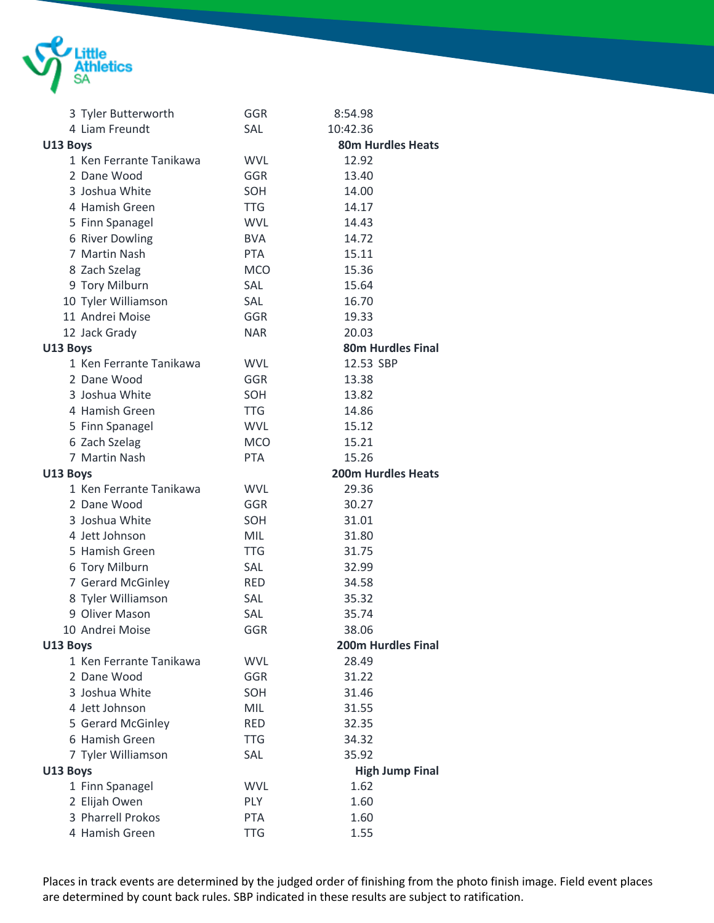

| 3 Tyler Butterworth     | GGR        | 8:54.98                   |
|-------------------------|------------|---------------------------|
| 4 Liam Freundt          | SAL        | 10:42.36                  |
| U13 Boys                |            | <b>80m Hurdles Heats</b>  |
| 1 Ken Ferrante Tanikawa | <b>WVL</b> | 12.92                     |
| 2 Dane Wood             | <b>GGR</b> | 13.40                     |
| 3 Joshua White          | SOH        | 14.00                     |
| 4 Hamish Green          | <b>TTG</b> | 14.17                     |
| 5 Finn Spanagel         | <b>WVL</b> | 14.43                     |
| 6 River Dowling         | <b>BVA</b> | 14.72                     |
| 7 Martin Nash           | <b>PTA</b> | 15.11                     |
| 8 Zach Szelag           | <b>MCO</b> | 15.36                     |
| 9 Tory Milburn          | SAL        | 15.64                     |
| 10 Tyler Williamson     | <b>SAL</b> | 16.70                     |
| 11 Andrei Moise         | GGR        | 19.33                     |
| 12 Jack Grady           | <b>NAR</b> | 20.03                     |
| U13 Boys                |            | <b>80m Hurdles Final</b>  |
| 1 Ken Ferrante Tanikawa | <b>WVL</b> | 12.53 SBP                 |
| 2 Dane Wood             | <b>GGR</b> | 13.38                     |
| 3 Joshua White          | SOH        | 13.82                     |
| 4 Hamish Green          | <b>TTG</b> | 14.86                     |
| 5 Finn Spanagel         | <b>WVL</b> | 15.12                     |
| 6 Zach Szelag           | <b>MCO</b> | 15.21                     |
| 7 Martin Nash           | <b>PTA</b> | 15.26                     |
| U13 Boys                |            | <b>200m Hurdles Heats</b> |
| 1 Ken Ferrante Tanikawa | <b>WVL</b> | 29.36                     |
| 2 Dane Wood             | <b>GGR</b> | 30.27                     |
| 3 Joshua White          | SOH        | 31.01                     |
| 4 Jett Johnson          | <b>MIL</b> | 31.80                     |
| 5 Hamish Green          | <b>TTG</b> | 31.75                     |
| 6 Tory Milburn          | SAL        | 32.99                     |
| 7 Gerard McGinley       | <b>RED</b> | 34.58                     |
| 8 Tyler Williamson      | SAL        | 35.32                     |
| 9 Oliver Mason          | SAL        | 35.74                     |
| 10 Andrei Moise         | GGR        | 38.06                     |
| U13 Boys                |            | <b>200m Hurdles Final</b> |
| 1 Ken Ferrante Tanikawa | <b>WVL</b> | 28.49                     |
| 2 Dane Wood             | <b>GGR</b> | 31.22                     |
| 3 Joshua White          | SOH        | 31.46                     |
| 4 Jett Johnson          | <b>MIL</b> | 31.55                     |
| 5 Gerard McGinley       | <b>RED</b> | 32.35                     |
| 6 Hamish Green          | <b>TTG</b> | 34.32                     |
| 7 Tyler Williamson      | SAL        | 35.92                     |
| U13 Boys                |            | <b>High Jump Final</b>    |
| 1 Finn Spanagel         | <b>WVL</b> | 1.62                      |
| 2 Elijah Owen           | <b>PLY</b> | 1.60                      |
| 3 Pharrell Prokos       | PTA        | 1.60                      |
| 4 Hamish Green          | <b>TTG</b> | 1.55                      |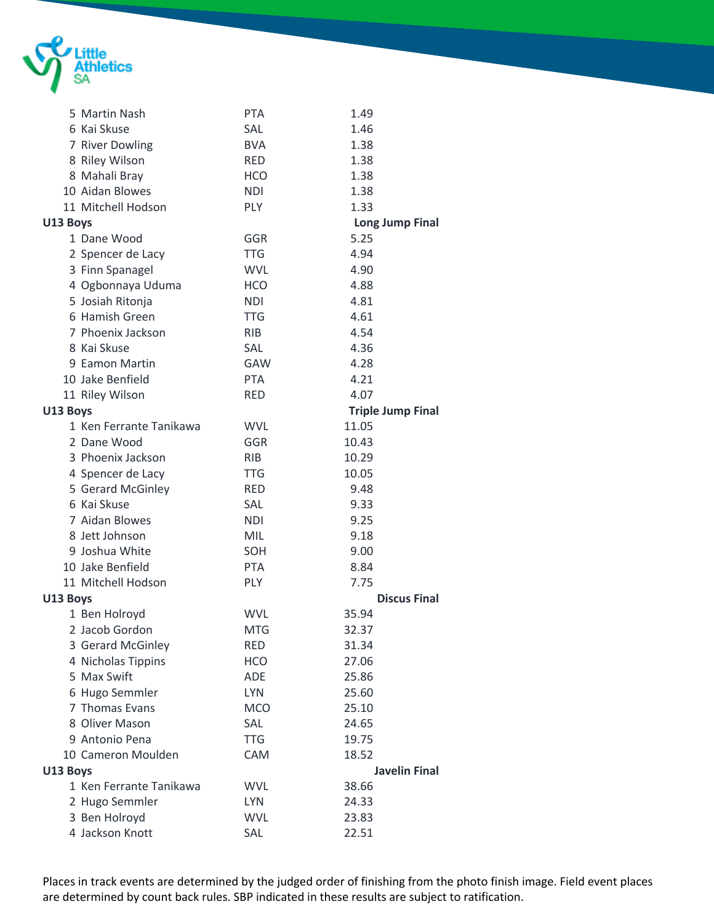

|          | 5 Martin Nash           | <b>PTA</b> | 1.49                     |
|----------|-------------------------|------------|--------------------------|
|          | 6 Kai Skuse             | SAL        | 1.46                     |
|          | 7 River Dowling         | <b>BVA</b> | 1.38                     |
|          | 8 Riley Wilson          | <b>RED</b> | 1.38                     |
|          | 8 Mahali Bray           | <b>HCO</b> | 1.38                     |
|          | 10 Aidan Blowes         | <b>NDI</b> | 1.38                     |
|          | 11 Mitchell Hodson      | <b>PLY</b> | 1.33                     |
| U13 Boys |                         |            | <b>Long Jump Final</b>   |
|          | 1 Dane Wood             | GGR        | 5.25                     |
|          | 2 Spencer de Lacy       | <b>TTG</b> | 4.94                     |
|          | 3 Finn Spanagel         | <b>WVL</b> | 4.90                     |
|          | 4 Ogbonnaya Uduma       | <b>HCO</b> | 4.88                     |
|          | 5 Josiah Ritonja        | <b>NDI</b> | 4.81                     |
|          | 6 Hamish Green          | <b>TTG</b> | 4.61                     |
|          | 7 Phoenix Jackson       | <b>RIB</b> | 4.54                     |
|          | 8 Kai Skuse             | SAL        | 4.36                     |
|          | 9 Eamon Martin          | <b>GAW</b> | 4.28                     |
|          | 10 Jake Benfield        | <b>PTA</b> | 4.21                     |
|          | 11 Riley Wilson         | <b>RED</b> | 4.07                     |
| U13 Boys |                         |            | <b>Triple Jump Final</b> |
|          | 1 Ken Ferrante Tanikawa | <b>WVL</b> | 11.05                    |
|          | 2 Dane Wood             | GGR        | 10.43                    |
|          | 3 Phoenix Jackson       | <b>RIB</b> | 10.29                    |
|          | 4 Spencer de Lacy       | <b>TTG</b> | 10.05                    |
|          | 5 Gerard McGinley       | <b>RED</b> | 9.48                     |
|          | 6 Kai Skuse             | SAL        | 9.33                     |
|          | 7 Aidan Blowes          | <b>NDI</b> | 9.25                     |
|          | 8 Jett Johnson          | MIL        | 9.18                     |
|          | 9 Joshua White          | SOH        | 9.00                     |
|          | 10 Jake Benfield        | <b>PTA</b> | 8.84                     |
|          | 11 Mitchell Hodson      | <b>PLY</b> | 7.75                     |
| U13 Boys |                         |            | <b>Discus Final</b>      |
|          | 1 Ben Holroyd           | <b>WVL</b> | 35.94                    |
|          | 2 Jacob Gordon          | <b>MTG</b> | 32.37                    |
|          | 3 Gerard McGinley       | <b>RED</b> | 31.34                    |
|          | 4 Nicholas Tippins      | <b>HCO</b> | 27.06                    |
|          | 5 Max Swift             | <b>ADE</b> | 25.86                    |
|          | 6 Hugo Semmler          | <b>LYN</b> | 25.60                    |
|          | 7 Thomas Evans          | <b>MCO</b> | 25.10                    |
|          | 8 Oliver Mason          | SAL        | 24.65                    |
|          | 9 Antonio Pena          | <b>TTG</b> | 19.75                    |
|          | 10 Cameron Moulden      | CAM        | 18.52                    |
| U13 Boys |                         |            | <b>Javelin Final</b>     |
|          | 1 Ken Ferrante Tanikawa | <b>WVL</b> | 38.66                    |
|          | 2 Hugo Semmler          | <b>LYN</b> | 24.33                    |
|          | 3 Ben Holroyd           | <b>WVL</b> | 23.83                    |
|          | 4 Jackson Knott         | SAL        | 22.51                    |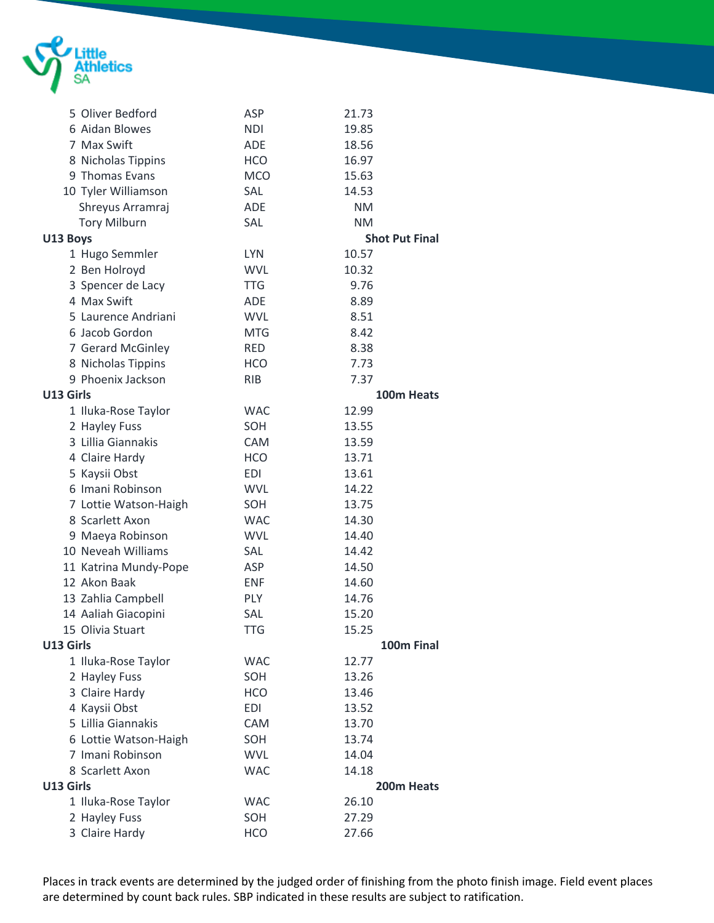

|           | 5 Oliver Bedford      | ASP        | 21.73                 |  |
|-----------|-----------------------|------------|-----------------------|--|
|           | 6 Aidan Blowes        | <b>NDI</b> | 19.85                 |  |
|           | 7 Max Swift           | <b>ADE</b> | 18.56                 |  |
|           | 8 Nicholas Tippins    | <b>HCO</b> | 16.97                 |  |
|           | 9 Thomas Evans        | <b>MCO</b> | 15.63                 |  |
|           | 10 Tyler Williamson   | SAL        | 14.53                 |  |
|           | Shreyus Arramraj      | <b>ADE</b> | <b>NM</b>             |  |
|           | <b>Tory Milburn</b>   | SAL        | <b>NM</b>             |  |
| U13 Boys  |                       |            | <b>Shot Put Final</b> |  |
|           | 1 Hugo Semmler        | <b>LYN</b> | 10.57                 |  |
|           | 2 Ben Holroyd         | <b>WVL</b> | 10.32                 |  |
|           | 3 Spencer de Lacy     | <b>TTG</b> | 9.76                  |  |
|           | 4 Max Swift           | ADE        | 8.89                  |  |
|           | 5 Laurence Andriani   | <b>WVL</b> | 8.51                  |  |
|           | 6 Jacob Gordon        | <b>MTG</b> | 8.42                  |  |
|           | 7 Gerard McGinley     | <b>RED</b> | 8.38                  |  |
|           | 8 Nicholas Tippins    | <b>HCO</b> | 7.73                  |  |
|           | 9 Phoenix Jackson     | <b>RIB</b> | 7.37                  |  |
| U13 Girls |                       |            | 100m Heats            |  |
|           | 1 Iluka-Rose Taylor   | <b>WAC</b> | 12.99                 |  |
|           | 2 Hayley Fuss         | SOH        | 13.55                 |  |
|           | 3 Lillia Giannakis    | <b>CAM</b> | 13.59                 |  |
|           | 4 Claire Hardy        | <b>HCO</b> | 13.71                 |  |
|           | 5 Kaysii Obst         | EDI        | 13.61                 |  |
|           | 6 Imani Robinson      | <b>WVL</b> | 14.22                 |  |
|           | 7 Lottie Watson-Haigh | SOH        | 13.75                 |  |
|           | 8 Scarlett Axon       | <b>WAC</b> | 14.30                 |  |
|           | 9 Maeya Robinson      | <b>WVL</b> | 14.40                 |  |
|           | 10 Neveah Williams    | SAL        | 14.42                 |  |
|           | 11 Katrina Mundy-Pope | <b>ASP</b> | 14.50                 |  |
|           | 12 Akon Baak          | <b>ENF</b> | 14.60                 |  |
|           | 13 Zahlia Campbell    | <b>PLY</b> | 14.76                 |  |
|           | 14 Aaliah Giacopini   | SAL        | 15.20                 |  |
|           | 15 Olivia Stuart      | <b>TTG</b> | 15.25                 |  |
| U13 Girls |                       |            | 100m Final            |  |
|           | 1 Iluka-Rose Taylor   | <b>WAC</b> | 12.77                 |  |
|           | 2 Hayley Fuss         | SOH        | 13.26                 |  |
|           | 3 Claire Hardy        | <b>HCO</b> | 13.46                 |  |
|           | 4 Kaysii Obst         | <b>EDI</b> | 13.52                 |  |
|           | 5 Lillia Giannakis    | <b>CAM</b> | 13.70                 |  |
|           | 6 Lottie Watson-Haigh | SOH        | 13.74                 |  |
|           | 7 Imani Robinson      | <b>WVL</b> | 14.04                 |  |
|           | 8 Scarlett Axon       | <b>WAC</b> | 14.18                 |  |
| U13 Girls |                       |            | 200m Heats            |  |
|           | 1 Iluka-Rose Taylor   | <b>WAC</b> | 26.10                 |  |
|           | 2 Hayley Fuss         | SOH        | 27.29                 |  |
|           | 3 Claire Hardy        | <b>HCO</b> | 27.66                 |  |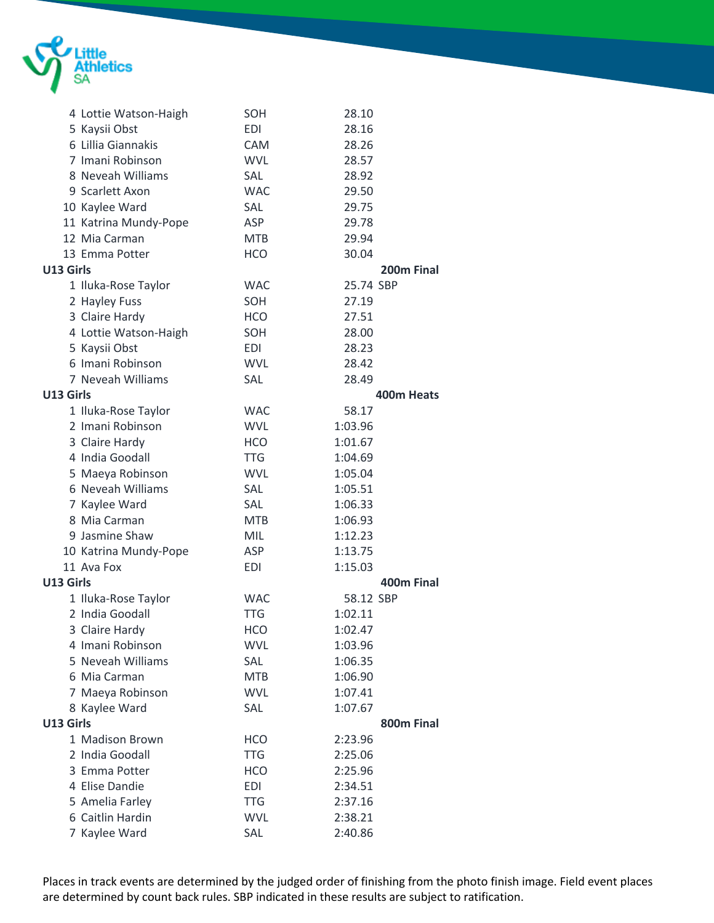

|           | 4 Lottie Watson-Haigh | SOH        | 28.10                  |  |
|-----------|-----------------------|------------|------------------------|--|
|           | 5 Kaysii Obst         | <b>EDI</b> | 28.16                  |  |
|           | 6 Lillia Giannakis    | <b>CAM</b> | 28.26                  |  |
|           | 7 Imani Robinson      | <b>WVL</b> | 28.57                  |  |
|           | 8 Neveah Williams     | SAL        | 28.92                  |  |
|           | 9 Scarlett Axon       | <b>WAC</b> | 29.50                  |  |
|           | 10 Kaylee Ward        | SAL        | 29.75                  |  |
|           | 11 Katrina Mundy-Pope | ASP        | 29.78                  |  |
|           | 12 Mia Carman         | <b>MTB</b> | 29.94                  |  |
|           | 13 Emma Potter        | <b>HCO</b> | 30.04                  |  |
| U13 Girls |                       |            | 200 <sub>m</sub> Final |  |
|           | 1 Iluka-Rose Taylor   | <b>WAC</b> | 25.74 SBP              |  |
|           | 2 Hayley Fuss         | SOH        | 27.19                  |  |
|           | 3 Claire Hardy        | <b>HCO</b> | 27.51                  |  |
|           | 4 Lottie Watson-Haigh | SOH        | 28.00                  |  |
|           | 5 Kaysii Obst         | EDI        | 28.23                  |  |
|           | 6 Imani Robinson      | <b>WVL</b> | 28.42                  |  |
|           | 7 Neveah Williams     | SAL        | 28.49                  |  |
| U13 Girls |                       |            | 400m Heats             |  |
|           | 1 Iluka-Rose Taylor   | <b>WAC</b> | 58.17                  |  |
|           | 2 Imani Robinson      | <b>WVL</b> | 1:03.96                |  |
|           | 3 Claire Hardy        | <b>HCO</b> | 1:01.67                |  |
|           | 4 India Goodall       | <b>TTG</b> | 1:04.69                |  |
|           | 5 Maeya Robinson      | <b>WVL</b> | 1:05.04                |  |
|           | 6 Neveah Williams     | SAL        | 1:05.51                |  |
|           | 7 Kaylee Ward         | <b>SAL</b> | 1:06.33                |  |
|           | 8 Mia Carman          | MTB        | 1:06.93                |  |
|           | 9 Jasmine Shaw        | MIL        | 1:12.23                |  |
|           | 10 Katrina Mundy-Pope | ASP        | 1:13.75                |  |
|           | 11 Ava Fox            | <b>EDI</b> | 1:15.03                |  |
| U13 Girls |                       |            | 400m Final             |  |
|           | 1 Iluka-Rose Taylor   | <b>WAC</b> | 58.12 SBP              |  |
|           | 2 India Goodall       | <b>TTG</b> | 1:02.11                |  |
|           | 3 Claire Hardy        | HCO        | 1:02.47                |  |
|           | 4 Imani Robinson      | <b>WVL</b> | 1:03.96                |  |
|           | 5 Neveah Williams     | SAL        | 1:06.35                |  |
|           | 6 Mia Carman          | <b>MTB</b> | 1:06.90                |  |
|           | 7 Maeya Robinson      | <b>WVL</b> | 1:07.41                |  |
|           | 8 Kaylee Ward         | SAL        | 1:07.67                |  |
| U13 Girls |                       |            | 800m Final             |  |
|           | 1 Madison Brown       | <b>HCO</b> | 2:23.96                |  |
|           | 2 India Goodall       | <b>TTG</b> | 2:25.06                |  |
|           | 3 Emma Potter         | <b>HCO</b> | 2:25.96                |  |
|           | 4 Elise Dandie        | <b>EDI</b> | 2:34.51                |  |
|           | 5 Amelia Farley       | <b>TTG</b> | 2:37.16                |  |
|           | 6 Caitlin Hardin      | <b>WVL</b> | 2:38.21                |  |
|           | 7 Kaylee Ward         | SAL        | 2:40.86                |  |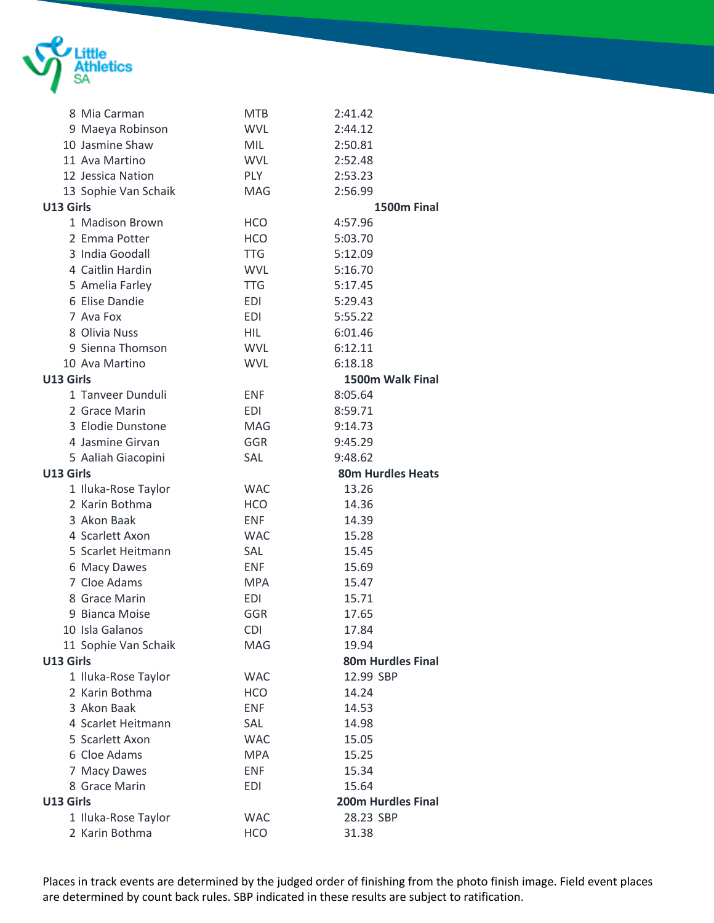

|           | 8 Mia Carman         | <b>MTB</b> | 2:41.42                   |
|-----------|----------------------|------------|---------------------------|
|           | 9 Maeya Robinson     | <b>WVL</b> | 2:44.12                   |
|           | 10 Jasmine Shaw      | <b>MIL</b> | 2:50.81                   |
|           | 11 Ava Martino       | <b>WVL</b> | 2:52.48                   |
|           | 12 Jessica Nation    | <b>PLY</b> | 2:53.23                   |
|           | 13 Sophie Van Schaik | <b>MAG</b> | 2:56.99                   |
| U13 Girls |                      |            | 1500m Final               |
|           | 1 Madison Brown      | <b>HCO</b> | 4:57.96                   |
|           | 2 Emma Potter        | <b>HCO</b> | 5:03.70                   |
|           | 3 India Goodall      | <b>TTG</b> | 5:12.09                   |
|           | 4 Caitlin Hardin     | <b>WVL</b> | 5:16.70                   |
|           | 5 Amelia Farley      | <b>TTG</b> | 5:17.45                   |
|           | 6 Elise Dandie       | <b>EDI</b> | 5:29.43                   |
|           | 7 Ava Fox            | <b>EDI</b> | 5:55.22                   |
|           | 8 Olivia Nuss        | HIL        | 6:01.46                   |
|           | 9 Sienna Thomson     | <b>WVL</b> | 6:12.11                   |
|           | 10 Ava Martino       | <b>WVL</b> | 6:18.18                   |
| U13 Girls |                      |            | 1500m Walk Final          |
|           | 1 Tanveer Dunduli    | <b>ENF</b> | 8:05.64                   |
|           | 2 Grace Marin        | EDI        | 8:59.71                   |
|           | 3 Elodie Dunstone    | MAG        | 9:14.73                   |
|           | 4 Jasmine Girvan     | GGR        | 9:45.29                   |
|           | 5 Aaliah Giacopini   | <b>SAL</b> | 9:48.62                   |
| U13 Girls |                      |            | <b>80m Hurdles Heats</b>  |
|           | 1 Iluka-Rose Taylor  | <b>WAC</b> | 13.26                     |
|           | 2 Karin Bothma       | <b>HCO</b> | 14.36                     |
|           | 3 Akon Baak          | <b>ENF</b> | 14.39                     |
|           | 4 Scarlett Axon      | <b>WAC</b> | 15.28                     |
|           | 5 Scarlet Heitmann   | <b>SAL</b> | 15.45                     |
|           | 6 Macy Dawes         | <b>ENF</b> | 15.69                     |
|           | 7 Cloe Adams         | <b>MPA</b> | 15.47                     |
|           | 8 Grace Marin        | <b>EDI</b> | 15.71                     |
|           | 9 Bianca Moise       | GGR        | 17.65                     |
|           | 10 Isla Galanos      | <b>CDI</b> | 17.84                     |
|           | 11 Sophie Van Schaik | MAG        | 19.94                     |
| U13 Girls |                      |            | <b>80m Hurdles Final</b>  |
|           | 1 Iluka-Rose Taylor  | <b>WAC</b> | 12.99 SBP                 |
|           | 2 Karin Bothma       | <b>HCO</b> | 14.24                     |
|           | 3 Akon Baak          | <b>ENF</b> | 14.53                     |
|           | 4 Scarlet Heitmann   | SAL        | 14.98                     |
|           | 5 Scarlett Axon      | <b>WAC</b> | 15.05                     |
|           | 6 Cloe Adams         | <b>MPA</b> | 15.25                     |
|           | 7 Macy Dawes         | <b>ENF</b> | 15.34                     |
|           | 8 Grace Marin        | <b>EDI</b> | 15.64                     |
| U13 Girls |                      |            | <b>200m Hurdles Final</b> |
|           | 1 Iluka-Rose Taylor  | <b>WAC</b> | 28.23 SBP                 |
|           | 2 Karin Bothma       | <b>HCO</b> | 31.38                     |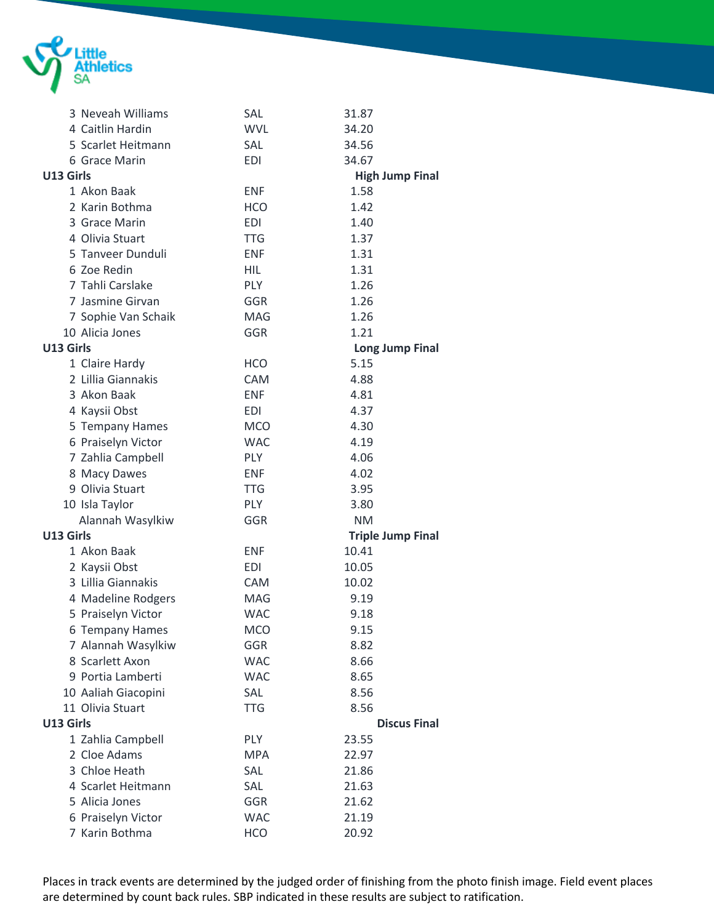

|           | 3 Neveah Williams   | SAL        | 31.87                    |  |
|-----------|---------------------|------------|--------------------------|--|
|           | 4 Caitlin Hardin    | <b>WVL</b> | 34.20                    |  |
|           | 5 Scarlet Heitmann  | <b>SAL</b> | 34.56                    |  |
|           | 6 Grace Marin       | <b>EDI</b> | 34.67                    |  |
| U13 Girls |                     |            | <b>High Jump Final</b>   |  |
|           | 1 Akon Baak         | <b>ENF</b> | 1.58                     |  |
|           | 2 Karin Bothma      | <b>HCO</b> | 1.42                     |  |
|           | 3 Grace Marin       | <b>EDI</b> | 1.40                     |  |
|           | 4 Olivia Stuart     | <b>TTG</b> | 1.37                     |  |
|           | 5 Tanveer Dunduli   | <b>ENF</b> | 1.31                     |  |
|           | 6 Zoe Redin         | HIL        | 1.31                     |  |
|           | 7 Tahli Carslake    | <b>PLY</b> | 1.26                     |  |
|           | 7 Jasmine Girvan    | <b>GGR</b> | 1.26                     |  |
|           | 7 Sophie Van Schaik | <b>MAG</b> | 1.26                     |  |
|           | 10 Alicia Jones     | <b>GGR</b> | 1.21                     |  |
| U13 Girls |                     |            | <b>Long Jump Final</b>   |  |
|           | 1 Claire Hardy      | <b>HCO</b> | 5.15                     |  |
|           | 2 Lillia Giannakis  | <b>CAM</b> | 4.88                     |  |
|           | 3 Akon Baak         | <b>ENF</b> | 4.81                     |  |
|           | 4 Kaysii Obst       | <b>EDI</b> | 4.37                     |  |
|           | 5 Tempany Hames     | <b>MCO</b> | 4.30                     |  |
|           | 6 Praiselyn Victor  | <b>WAC</b> | 4.19                     |  |
|           | 7 Zahlia Campbell   | PLY        | 4.06                     |  |
|           | 8 Macy Dawes        | <b>ENF</b> | 4.02                     |  |
|           | 9 Olivia Stuart     | <b>TTG</b> | 3.95                     |  |
|           | 10 Isla Taylor      | <b>PLY</b> | 3.80                     |  |
|           | Alannah Wasylkiw    | GGR        | <b>NM</b>                |  |
| U13 Girls |                     |            | <b>Triple Jump Final</b> |  |
|           | 1 Akon Baak         | <b>ENF</b> | 10.41                    |  |
|           | 2 Kaysii Obst       | <b>EDI</b> | 10.05                    |  |
|           | 3 Lillia Giannakis  | <b>CAM</b> | 10.02                    |  |
|           | 4 Madeline Rodgers  | MAG        | 9.19                     |  |
|           | 5 Praiselyn Victor  | <b>WAC</b> | 9.18                     |  |
|           | 6 Tempany Hames     | <b>MCO</b> | 9.15                     |  |
|           | 7 Alannah Wasylkiw  | GGR        | 8.82                     |  |
|           | 8 Scarlett Axon     | <b>WAC</b> | 8.66                     |  |
|           | 9 Portia Lamberti   | <b>WAC</b> | 8.65                     |  |
|           | 10 Aaliah Giacopini | SAL        | 8.56                     |  |
|           | 11 Olivia Stuart    | <b>TTG</b> | 8.56                     |  |
| U13 Girls |                     |            | <b>Discus Final</b>      |  |
|           | 1 Zahlia Campbell   | PLY        | 23.55                    |  |
|           | 2 Cloe Adams        | <b>MPA</b> | 22.97                    |  |
|           | 3 Chloe Heath       | SAL        | 21.86                    |  |
|           | 4 Scarlet Heitmann  | SAL        | 21.63                    |  |
|           | 5 Alicia Jones      | GGR        | 21.62                    |  |
|           | 6 Praiselyn Victor  | <b>WAC</b> | 21.19                    |  |
|           | 7 Karin Bothma      | <b>HCO</b> | 20.92                    |  |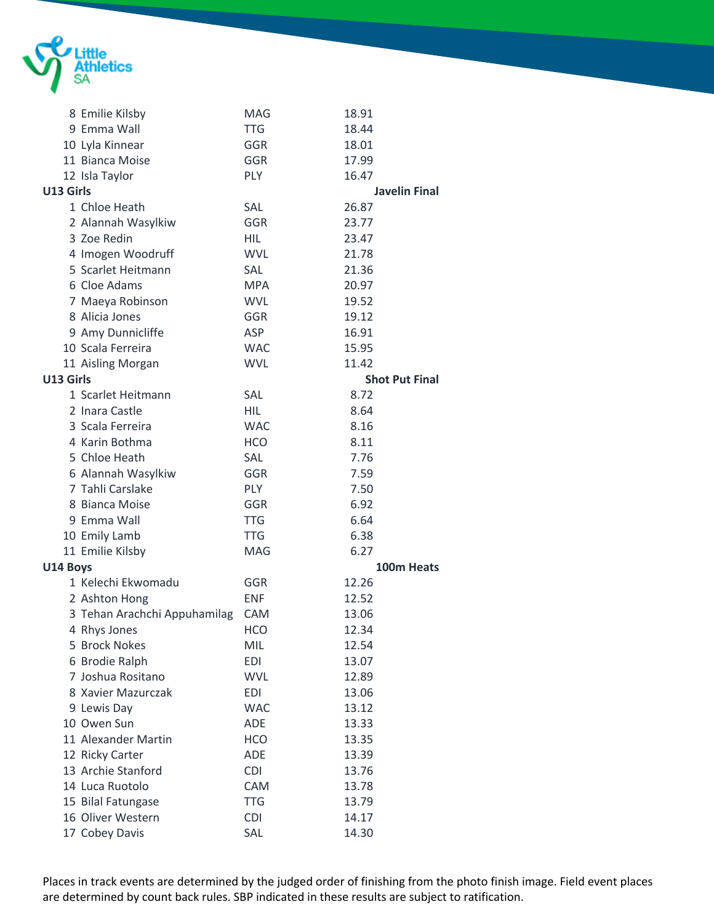

|           | 8 Emilie Kilsby              | <b>MAG</b> | 18.91                 |
|-----------|------------------------------|------------|-----------------------|
|           | 9 Emma Wall                  | <b>TTG</b> | 18.44                 |
|           | 10 Lyla Kinnear              | <b>GGR</b> | 18.01                 |
|           | 11 Bianca Moise              | GGR        | 17.99                 |
|           | 12 Isla Taylor               | <b>PLY</b> | 16.47                 |
| U13 Girls |                              |            | <b>Javelin Final</b>  |
|           | 1 Chloe Heath                | SAL        | 26.87                 |
|           | 2 Alannah Wasylkiw           | GGR        | 23.77                 |
|           | 3 Zoe Redin                  | <b>HIL</b> | 23.47                 |
|           | 4 Imogen Woodruff            | <b>WVL</b> | 21.78                 |
|           | 5 Scarlet Heitmann           | <b>SAL</b> | 21.36                 |
|           | 6 Cloe Adams                 | <b>MPA</b> | 20.97                 |
|           | 7 Maeya Robinson             | <b>WVL</b> | 19.52                 |
|           | 8 Alicia Jones               | GGR        | 19.12                 |
|           | 9 Amy Dunnicliffe            | ASP        | 16.91                 |
|           | 10 Scala Ferreira            | <b>WAC</b> | 15.95                 |
|           | 11 Aisling Morgan            | <b>WVL</b> | 11.42                 |
| U13 Girls |                              |            | <b>Shot Put Final</b> |
|           | 1 Scarlet Heitmann           | SAL        | 8.72                  |
|           | 2 Inara Castle               | HIL        | 8.64                  |
|           | 3 Scala Ferreira             | <b>WAC</b> | 8.16                  |
|           | 4 Karin Bothma               | <b>HCO</b> | 8.11                  |
|           | 5 Chloe Heath                | SAL        | 7.76                  |
|           | 6 Alannah Wasylkiw           | GGR        | 7.59                  |
|           | 7 Tahli Carslake             | <b>PLY</b> | 7.50                  |
|           | 8 Bianca Moise               | GGR        | 6.92                  |
|           | 9 Emma Wall                  | <b>TTG</b> | 6.64                  |
|           | 10 Emily Lamb                | <b>TTG</b> | 6.38                  |
|           | 11 Emilie Kilsby             | MAG        | 6.27                  |
| U14 Boys  |                              |            | 100m Heats            |
|           | 1 Kelechi Ekwomadu           | GGR        | 12.26                 |
|           | 2 Ashton Hong                | <b>ENF</b> | 12.52                 |
|           | 3 Tehan Arachchi Appuhamilag | <b>CAM</b> | 13.06                 |
|           | 4 Rhys Jones                 | HCO        | 12.34                 |
|           | 5 Brock Nokes                | MIL        | 12.54                 |
|           | 6 Brodie Ralph               | <b>EDI</b> | 13.07                 |
|           | 7 Joshua Rositano            | <b>WVL</b> | 12.89                 |
|           | 8 Xavier Mazurczak           | <b>EDI</b> | 13.06                 |
|           | 9 Lewis Day                  | <b>WAC</b> | 13.12                 |
|           | 10 Owen Sun                  | ADE        | 13.33                 |
|           | 11 Alexander Martin          | <b>HCO</b> | 13.35                 |
|           | 12 Ricky Carter              | ADE        | 13.39                 |
|           | 13 Archie Stanford           | <b>CDI</b> | 13.76                 |
|           | 14 Luca Ruotolo              | CAM        | 13.78                 |
|           | 15 Bilal Fatungase           | <b>TTG</b> | 13.79                 |
|           | 16 Oliver Western            | <b>CDI</b> | 14.17                 |
|           | 17 Cobey Davis               | SAL        | 14.30                 |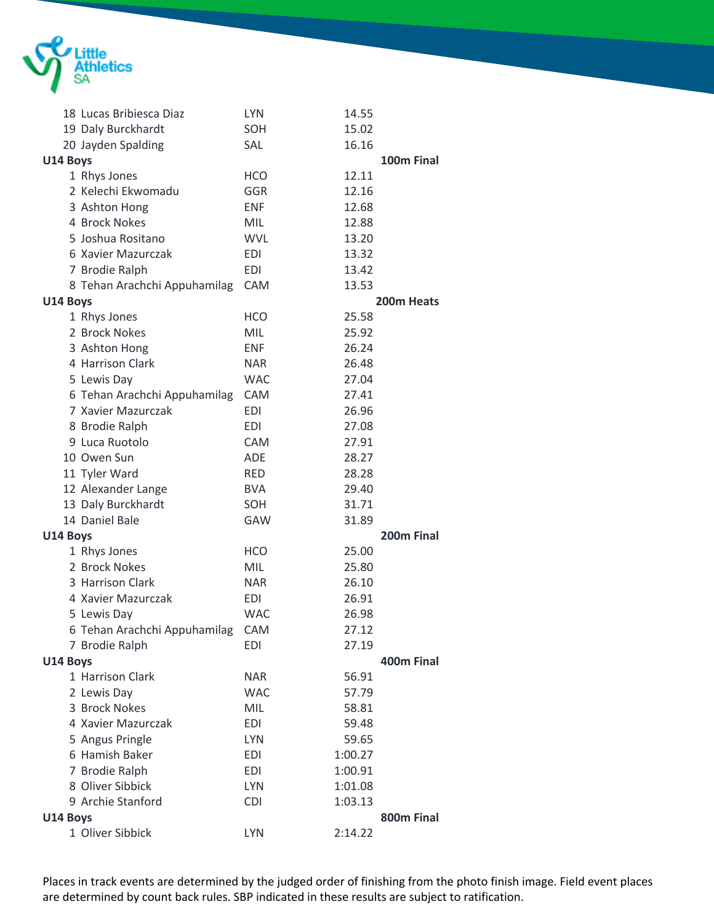

|          | 18 Lucas Bribiesca Diaz          | <b>LYN</b> | 14.55   |                        |
|----------|----------------------------------|------------|---------|------------------------|
|          | 19 Daly Burckhardt               | SOH        | 15.02   |                        |
|          | 20 Jayden Spalding               | SAL        | 16.16   |                        |
| U14 Boys |                                  |            |         | 100m Final             |
|          | 1 Rhys Jones                     | <b>HCO</b> | 12.11   |                        |
|          | 2 Kelechi Ekwomadu               | <b>GGR</b> | 12.16   |                        |
|          | 3 Ashton Hong                    | <b>ENF</b> | 12.68   |                        |
|          | 4 Brock Nokes                    | <b>MIL</b> | 12.88   |                        |
|          | 5 Joshua Rositano                | <b>WVL</b> | 13.20   |                        |
|          | 6 Xavier Mazurczak               | <b>EDI</b> | 13.32   |                        |
|          | 7 Brodie Ralph                   | <b>EDI</b> | 13.42   |                        |
|          | 8 Tehan Arachchi Appuhamilag     | CAM        | 13.53   |                        |
| U14 Boys |                                  |            |         | 200m Heats             |
|          | 1 Rhys Jones                     | <b>HCO</b> | 25.58   |                        |
|          | 2 Brock Nokes                    | <b>MIL</b> | 25.92   |                        |
|          | 3 Ashton Hong                    | <b>ENF</b> | 26.24   |                        |
|          | 4 Harrison Clark                 | <b>NAR</b> | 26.48   |                        |
|          | 5 Lewis Day                      | <b>WAC</b> | 27.04   |                        |
|          | 6 Tehan Arachchi Appuhamilag     | CAM        | 27.41   |                        |
|          | 7 Xavier Mazurczak               | <b>EDI</b> | 26.96   |                        |
|          | 8 Brodie Ralph                   | <b>EDI</b> | 27.08   |                        |
|          | 9 Luca Ruotolo                   | CAM        | 27.91   |                        |
|          | 10 Owen Sun                      | <b>ADE</b> | 28.27   |                        |
|          | 11 Tyler Ward                    | <b>RED</b> | 28.28   |                        |
|          | 12 Alexander Lange               | <b>BVA</b> | 29.40   |                        |
|          | 13 Daly Burckhardt               | SOH        | 31.71   |                        |
|          | 14 Daniel Bale                   | GAW        | 31.89   |                        |
| U14 Boys |                                  |            |         | 200 <sub>m</sub> Final |
|          | 1 Rhys Jones                     | <b>HCO</b> | 25.00   |                        |
|          | 2 Brock Nokes                    | <b>MIL</b> | 25.80   |                        |
|          | 3 Harrison Clark                 | <b>NAR</b> | 26.10   |                        |
|          | 4 Xavier Mazurczak               | <b>EDI</b> | 26.91   |                        |
|          | 5 Lewis Day                      | <b>WAC</b> | 26.98   |                        |
|          | 6 Tehan Arachchi Appuhamilag CAM |            | 27.12   |                        |
|          | 7 Brodie Ralph                   | <b>EDI</b> | 27.19   |                        |
| U14 Boys |                                  |            |         | 400m Final             |
|          | 1 Harrison Clark                 | <b>NAR</b> | 56.91   |                        |
|          | 2 Lewis Day                      | <b>WAC</b> | 57.79   |                        |
|          | 3 Brock Nokes                    | <b>MIL</b> | 58.81   |                        |
|          | 4 Xavier Mazurczak               | <b>EDI</b> | 59.48   |                        |
|          | 5 Angus Pringle                  | <b>LYN</b> | 59.65   |                        |
|          | 6 Hamish Baker                   | <b>EDI</b> | 1:00.27 |                        |
|          | 7 Brodie Ralph                   | <b>EDI</b> | 1:00.91 |                        |
|          | 8 Oliver Sibbick                 | <b>LYN</b> | 1:01.08 |                        |
|          | 9 Archie Stanford                | <b>CDI</b> | 1:03.13 |                        |
| U14 Boys |                                  |            |         | 800m Final             |
|          | 1 Oliver Sibbick                 | <b>LYN</b> | 2:14.22 |                        |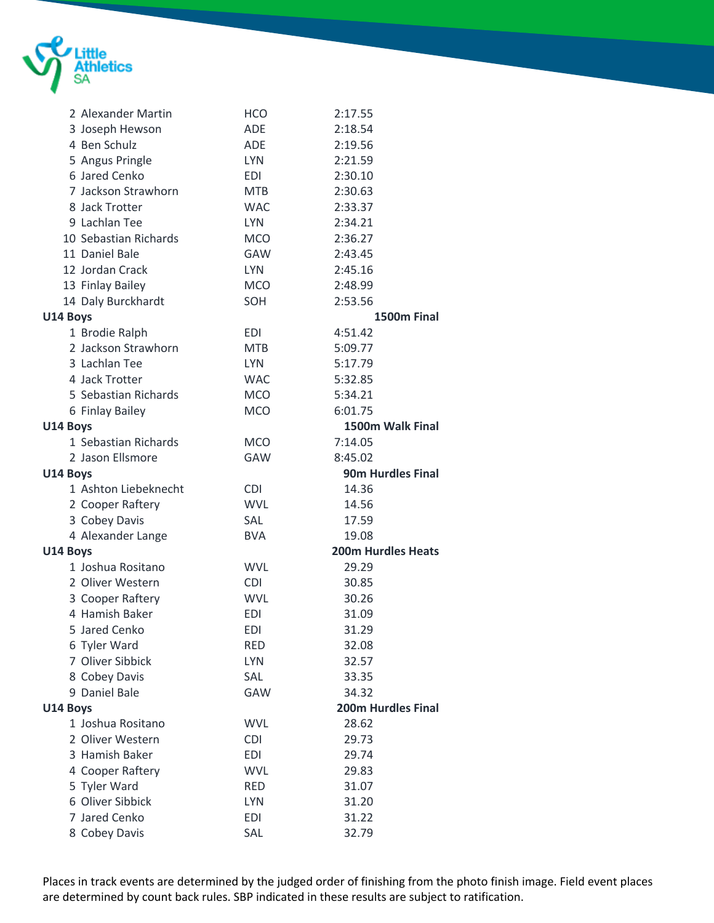

| 2 Alexander Martin    | <b>HCO</b> | 2:17.55                   |
|-----------------------|------------|---------------------------|
| 3 Joseph Hewson       | ADE        | 2:18.54                   |
| 4 Ben Schulz          | ADE        | 2:19.56                   |
| 5 Angus Pringle       | <b>LYN</b> | 2:21.59                   |
| 6 Jared Cenko         | <b>EDI</b> | 2:30.10                   |
| 7 Jackson Strawhorn   | <b>MTB</b> | 2:30.63                   |
| 8 Jack Trotter        | <b>WAC</b> | 2:33.37                   |
| 9 Lachlan Tee         | <b>LYN</b> | 2:34.21                   |
| 10 Sebastian Richards | <b>MCO</b> | 2:36.27                   |
| 11 Daniel Bale        | GAW        | 2:43.45                   |
| 12 Jordan Crack       | <b>LYN</b> | 2:45.16                   |
| 13 Finlay Bailey      | <b>MCO</b> | 2:48.99                   |
| 14 Daly Burckhardt    | SOH        | 2:53.56                   |
| U14 Boys              |            | 1500m Final               |
| 1 Brodie Ralph        | <b>EDI</b> | 4:51.42                   |
| 2 Jackson Strawhorn   | <b>MTB</b> | 5:09.77                   |
| 3 Lachlan Tee         | <b>LYN</b> | 5:17.79                   |
| 4 Jack Trotter        | <b>WAC</b> | 5:32.85                   |
| 5 Sebastian Richards  | <b>MCO</b> | 5:34.21                   |
| 6 Finlay Bailey       | <b>MCO</b> | 6:01.75                   |
| U14 Boys              |            | 1500m Walk Final          |
| 1 Sebastian Richards  | <b>MCO</b> | 7:14.05                   |
| 2 Jason Ellsmore      | <b>GAW</b> | 8:45.02                   |
| U14 Boys              |            | <b>90m Hurdles Final</b>  |
| 1 Ashton Liebeknecht  | <b>CDI</b> | 14.36                     |
| 2 Cooper Raftery      | <b>WVL</b> | 14.56                     |
| 3 Cobey Davis         | <b>SAL</b> | 17.59                     |
| 4 Alexander Lange     | <b>BVA</b> | 19.08                     |
| U14 Boys              |            | <b>200m Hurdles Heats</b> |
| 1 Joshua Rositano     | <b>WVL</b> | 29.29                     |
| 2 Oliver Western      | <b>CDI</b> | 30.85                     |
| 3 Cooper Raftery      | <b>WVL</b> | 30.26                     |
| 4 Hamish Baker        | <b>EDI</b> | 31.09                     |
| 5 Jared Cenko         | <b>EDI</b> | 31.29                     |
| 6 Tyler Ward          | RED        | 32.08                     |
| 7 Oliver Sibbick      | <b>LYN</b> | 32.57                     |
| 8 Cobey Davis         | SAL        | 33.35                     |
| 9 Daniel Bale         | GAW        | 34.32                     |
| U14 Boys              |            | <b>200m Hurdles Final</b> |
| 1 Joshua Rositano     | <b>WVL</b> | 28.62                     |
| 2 Oliver Western      | <b>CDI</b> | 29.73                     |
| 3 Hamish Baker        | <b>EDI</b> | 29.74                     |
| 4 Cooper Raftery      | <b>WVL</b> | 29.83                     |
| 5 Tyler Ward          | <b>RED</b> | 31.07                     |
| 6 Oliver Sibbick      | <b>LYN</b> | 31.20                     |
| 7 Jared Cenko         | <b>EDI</b> | 31.22                     |
| 8 Cobey Davis         | SAL        | 32.79                     |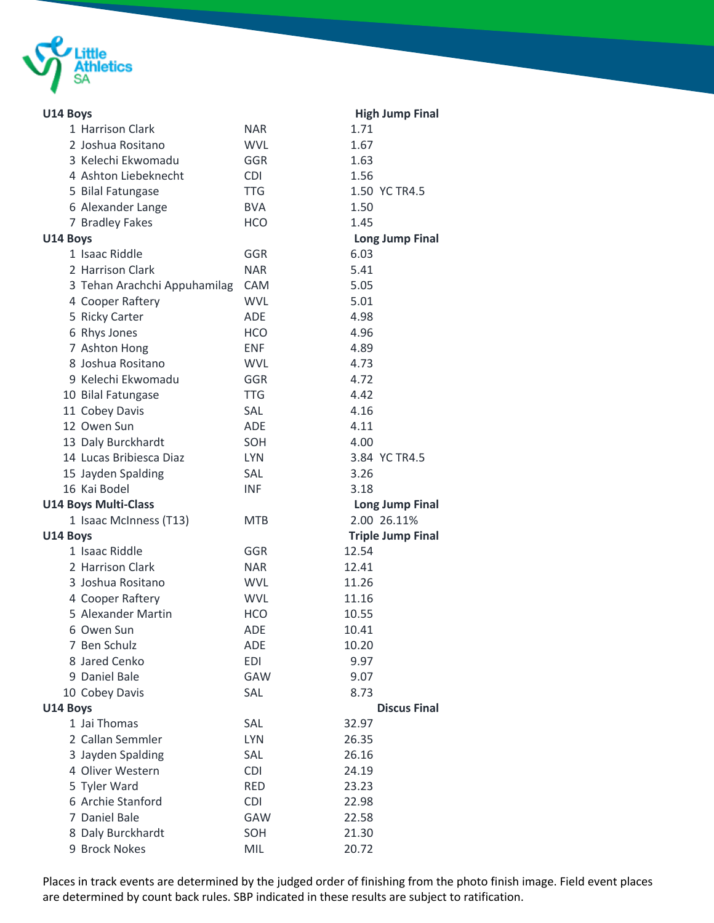

| U14 Boys                     |            | <b>High Jump Final</b>   |
|------------------------------|------------|--------------------------|
| 1 Harrison Clark             | <b>NAR</b> | 1.71                     |
| 2 Joshua Rositano            | <b>WVL</b> | 1.67                     |
| 3 Kelechi Ekwomadu           | GGR        | 1.63                     |
| 4 Ashton Liebeknecht         | <b>CDI</b> | 1.56                     |
| 5 Bilal Fatungase            | <b>TTG</b> | 1.50 YC TR4.5            |
| 6 Alexander Lange            | <b>BVA</b> | 1.50                     |
| 7 Bradley Fakes              | <b>HCO</b> | 1.45                     |
| U14 Boys                     |            | <b>Long Jump Final</b>   |
| 1 Isaac Riddle               | GGR        | 6.03                     |
| 2 Harrison Clark             | <b>NAR</b> | 5.41                     |
| 3 Tehan Arachchi Appuhamilag | <b>CAM</b> | 5.05                     |
| 4 Cooper Raftery             | <b>WVL</b> | 5.01                     |
| 5 Ricky Carter               | <b>ADE</b> | 4.98                     |
| 6 Rhys Jones                 | <b>HCO</b> | 4.96                     |
| 7 Ashton Hong                | <b>FNF</b> | 4.89                     |
| 8 Joshua Rositano            | <b>WVL</b> | 4.73                     |
| 9 Kelechi Ekwomadu           | GGR        | 4.72                     |
| 10 Bilal Fatungase           | <b>TTG</b> | 4.42                     |
| 11 Cobey Davis               | SAL        | 4.16                     |
| 12 Owen Sun                  | <b>ADE</b> | 4.11                     |
| 13 Daly Burckhardt           | SOH        | 4.00                     |
| 14 Lucas Bribiesca Diaz      | <b>LYN</b> | 3.84 YC TR4.5            |
| 15 Jayden Spalding           | SAL        | 3.26                     |
| 16 Kai Bodel                 | <b>INF</b> | 3.18                     |
| <b>U14 Boys Multi-Class</b>  |            | <b>Long Jump Final</b>   |
| 1 Isaac McInness (T13)       | <b>MTB</b> | 2.00 26.11%              |
| U14 Boys                     |            | <b>Triple Jump Final</b> |
| 1 Isaac Riddle               | GGR        | 12.54                    |
| 2 Harrison Clark             | <b>NAR</b> | 12.41                    |
| 3 Joshua Rositano            | <b>WVL</b> | 11.26                    |
| 4 Cooper Raftery             | <b>WVL</b> | 11.16                    |
| 5 Alexander Martin           | <b>HCO</b> | 10.55                    |
| 6 Owen Sun                   | <b>ADE</b> | 10.41                    |
| 7 Ben Schulz                 | <b>ADE</b> | 10.20                    |
| 8 Jared Cenko                | <b>EDI</b> | 9.97                     |
| 9 Daniel Bale                | GAW        | 9.07                     |
| 10 Cobey Davis               | SAL        | 8.73                     |
| U14 Boys                     |            | <b>Discus Final</b>      |
| 1 Jai Thomas                 | SAL        | 32.97                    |
| 2 Callan Semmler             | <b>LYN</b> | 26.35                    |
| 3 Jayden Spalding            | SAL        | 26.16                    |
| 4 Oliver Western             | <b>CDI</b> | 24.19                    |
| 5 Tyler Ward                 | <b>RED</b> | 23.23                    |
| 6 Archie Stanford            | <b>CDI</b> | 22.98                    |
| 7 Daniel Bale                | GAW        | 22.58                    |
| 8 Daly Burckhardt            | SOH        | 21.30                    |
| 9 Brock Nokes                | MIL        | 20.72                    |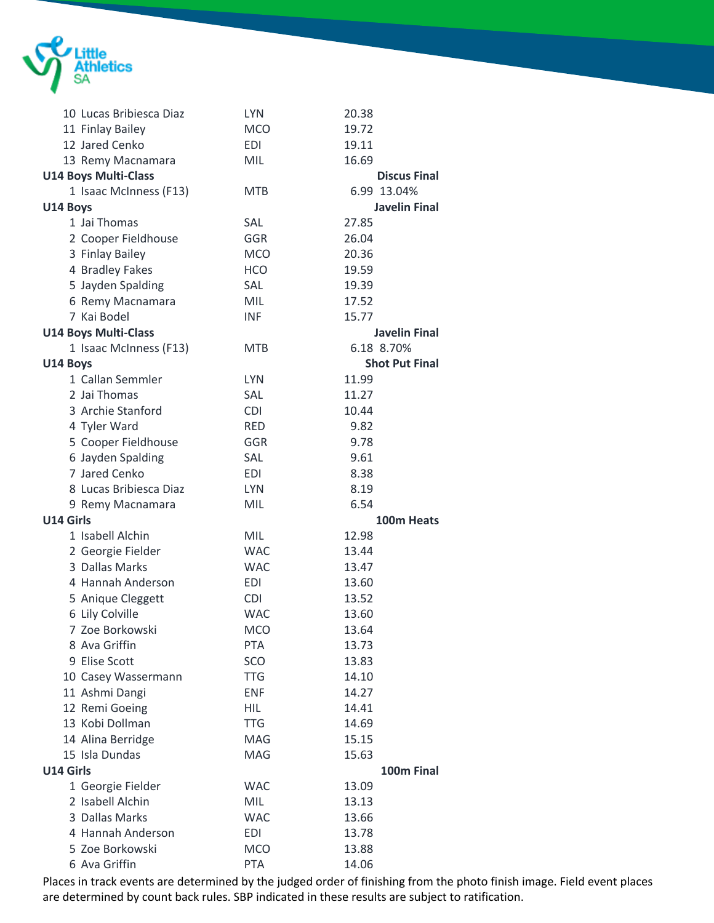

|           | 10 Lucas Bribiesca Diaz     | <b>LYN</b> | 20.38                 |
|-----------|-----------------------------|------------|-----------------------|
|           | 11 Finlay Bailey            | <b>MCO</b> | 19.72                 |
|           | 12 Jared Cenko              | EDI        | 19.11                 |
|           | 13 Remy Macnamara           | <b>MIL</b> | 16.69                 |
|           | <b>U14 Boys Multi-Class</b> |            | <b>Discus Final</b>   |
|           | 1 Isaac McInness (F13)      | <b>MTB</b> | 6.99 13.04%           |
| U14 Boys  |                             |            | <b>Javelin Final</b>  |
|           | 1 Jai Thomas                | SAL        | 27.85                 |
|           | 2 Cooper Fieldhouse         | <b>GGR</b> | 26.04                 |
|           | 3 Finlay Bailey             | <b>MCO</b> | 20.36                 |
|           | 4 Bradley Fakes             | <b>HCO</b> | 19.59                 |
|           | 5 Jayden Spalding           | SAL        | 19.39                 |
|           | 6 Remy Macnamara            | MIL        | 17.52                 |
|           | 7 Kai Bodel                 | <b>INF</b> | 15.77                 |
|           | <b>U14 Boys Multi-Class</b> |            | <b>Javelin Final</b>  |
|           | 1 Isaac McInness (F13)      | <b>MTB</b> | 6.18 8.70%            |
| U14 Boys  |                             |            | <b>Shot Put Final</b> |
|           | 1 Callan Semmler            | <b>LYN</b> | 11.99                 |
|           | 2 Jai Thomas                | <b>SAL</b> | 11.27                 |
|           | 3 Archie Stanford           | <b>CDI</b> | 10.44                 |
|           | 4 Tyler Ward                | <b>RED</b> | 9.82                  |
|           | 5 Cooper Fieldhouse         | GGR        | 9.78                  |
|           | 6 Jayden Spalding           | SAL        | 9.61                  |
|           | 7 Jared Cenko               | EDI        | 8.38                  |
|           | 8 Lucas Bribiesca Diaz      | <b>LYN</b> | 8.19                  |
|           | 9 Remy Macnamara            | MIL        | 6.54                  |
| U14 Girls |                             |            | 100m Heats            |
|           | 1 Isabell Alchin            | <b>MIL</b> | 12.98                 |
|           | 2 Georgie Fielder           | <b>WAC</b> | 13.44                 |
|           | 3 Dallas Marks              | <b>WAC</b> | 13.47                 |
|           | 4 Hannah Anderson           | EDI        | 13.60                 |
|           | 5 Anique Cleggett           | <b>CDI</b> | 13.52                 |
|           | 6 Lily Colville             | <b>WAC</b> | 13.60                 |
|           | 7 Zoe Borkowski             | <b>MCO</b> | 13.64                 |
|           | 8 Ava Griffin               | <b>PTA</b> | 13.73                 |
|           | 9 Elise Scott               | <b>SCO</b> | 13.83                 |
|           | 10 Casey Wassermann         | TTG        | 14.10                 |
|           | 11 Ashmi Dangi              | <b>ENF</b> | 14.27                 |
|           | 12 Remi Goeing              | <b>HIL</b> | 14.41                 |
|           | 13 Kobi Dollman             | <b>TTG</b> | 14.69                 |
|           | 14 Alina Berridge           | MAG        | 15.15                 |
|           | 15 Isla Dundas              | MAG        | 15.63                 |
| U14 Girls |                             |            | 100m Final            |
|           | 1 Georgie Fielder           | <b>WAC</b> | 13.09                 |
|           | 2 Isabell Alchin            | MIL        | 13.13                 |
|           | 3 Dallas Marks              | <b>WAC</b> | 13.66                 |
|           | 4 Hannah Anderson           | <b>EDI</b> | 13.78                 |
|           | 5 Zoe Borkowski             | <b>MCO</b> | 13.88                 |
|           | 6 Ava Griffin               | <b>PTA</b> | 14.06                 |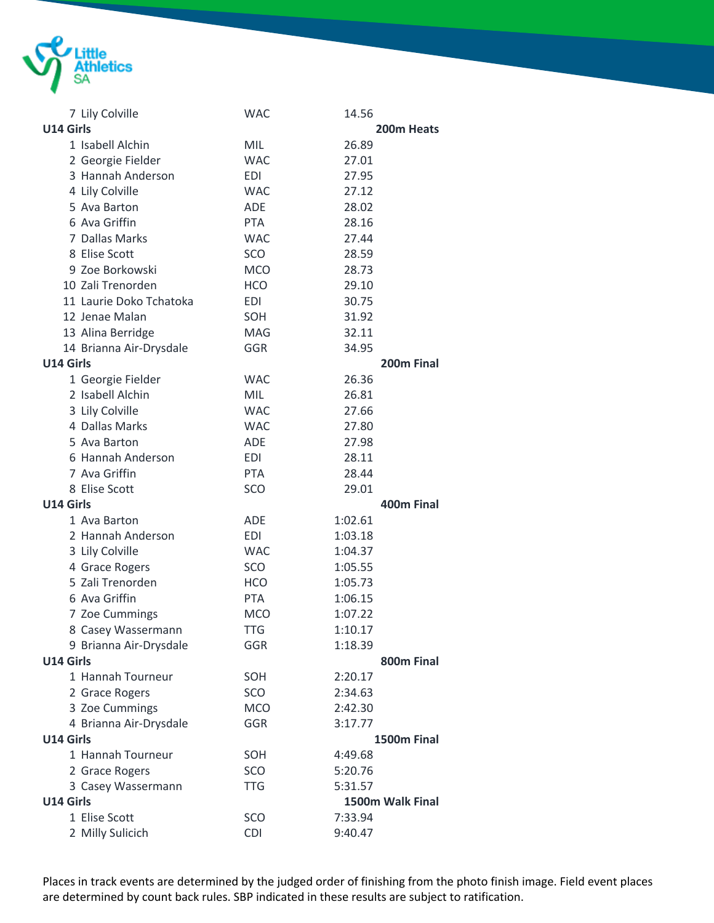

|                  | 7 Lily Colville         | <b>WAC</b>        | 14.56              |  |
|------------------|-------------------------|-------------------|--------------------|--|
| U14 Girls        |                         |                   | 200m Heats         |  |
|                  | 1 Isabell Alchin        | MIL               | 26.89              |  |
|                  | 2 Georgie Fielder       | <b>WAC</b>        | 27.01              |  |
|                  | 3 Hannah Anderson       | EDI               | 27.95              |  |
|                  | 4 Lily Colville         | <b>WAC</b>        | 27.12              |  |
|                  | 5 Ava Barton            | <b>ADE</b>        | 28.02              |  |
|                  | 6 Ava Griffin           | <b>PTA</b>        | 28.16              |  |
|                  | 7 Dallas Marks          | <b>WAC</b>        | 27.44              |  |
|                  | 8 Elise Scott           | <b>SCO</b>        | 28.59              |  |
|                  | 9 Zoe Borkowski         | <b>MCO</b>        | 28.73              |  |
|                  | 10 Zali Trenorden       | <b>HCO</b>        | 29.10              |  |
|                  | 11 Laurie Doko Tchatoka | <b>EDI</b>        | 30.75              |  |
|                  | 12 Jenae Malan          | SOH               | 31.92              |  |
|                  | 13 Alina Berridge       | <b>MAG</b>        | 32.11              |  |
|                  | 14 Brianna Air-Drysdale | GGR               | 34.95              |  |
| U14 Girls        |                         |                   | 200m Final         |  |
|                  | 1 Georgie Fielder       | <b>WAC</b>        | 26.36              |  |
|                  | 2 Isabell Alchin        | <b>MIL</b>        | 26.81              |  |
|                  | 3 Lily Colville         | <b>WAC</b>        | 27.66              |  |
|                  | 4 Dallas Marks          | <b>WAC</b>        | 27.80              |  |
|                  | 5 Ava Barton            | ADE               | 27.98              |  |
|                  | 6 Hannah Anderson       | <b>EDI</b>        | 28.11              |  |
|                  | 7 Ava Griffin           | <b>PTA</b>        | 28.44              |  |
|                  | 8 Elise Scott           | SCO               | 29.01              |  |
| <b>U14 Girls</b> |                         |                   | 400m Final         |  |
|                  | 1 Ava Barton            | <b>ADE</b>        | 1:02.61            |  |
|                  | 2 Hannah Anderson       | EDI               | 1:03.18            |  |
|                  | 3 Lily Colville         | <b>WAC</b>        | 1:04.37            |  |
|                  | 4 Grace Rogers          | SCO               | 1:05.55            |  |
|                  | 5 Zali Trenorden        | <b>HCO</b>        | 1:05.73            |  |
|                  | 6 Ava Griffin           | <b>PTA</b>        | 1:06.15            |  |
|                  | 7 Zoe Cummings          | <b>MCO</b>        | 1:07.22            |  |
|                  | 8 Casey Wassermann      | <b>TTG</b>        | 1:10.17            |  |
|                  | 9 Brianna Air-Drysdale  | GGR               | 1:18.39            |  |
| U14 Girls        |                         |                   | 800m Final         |  |
|                  | 1 Hannah Tourneur       | SOH               | 2:20.17            |  |
|                  | 2 Grace Rogers          | SCO               | 2:34.63            |  |
|                  | 3 Zoe Cummings          | <b>MCO</b>        | 2:42.30            |  |
|                  | 4 Brianna Air-Drysdale  | GGR               | 3:17.77            |  |
| U14 Girls        |                         |                   | 1500m Final        |  |
|                  | 1 Hannah Tourneur       | SOH               | 4:49.68            |  |
|                  | 2 Grace Rogers          | SCO               | 5:20.76            |  |
| U14 Girls        | 3 Casey Wassermann      | <b>TTG</b>        | 5:31.57            |  |
|                  | 1 Elise Scott           |                   | 1500m Walk Final   |  |
|                  |                         | SCO<br><b>CDI</b> | 7:33.94<br>9:40.47 |  |
|                  | 2 Milly Sulicich        |                   |                    |  |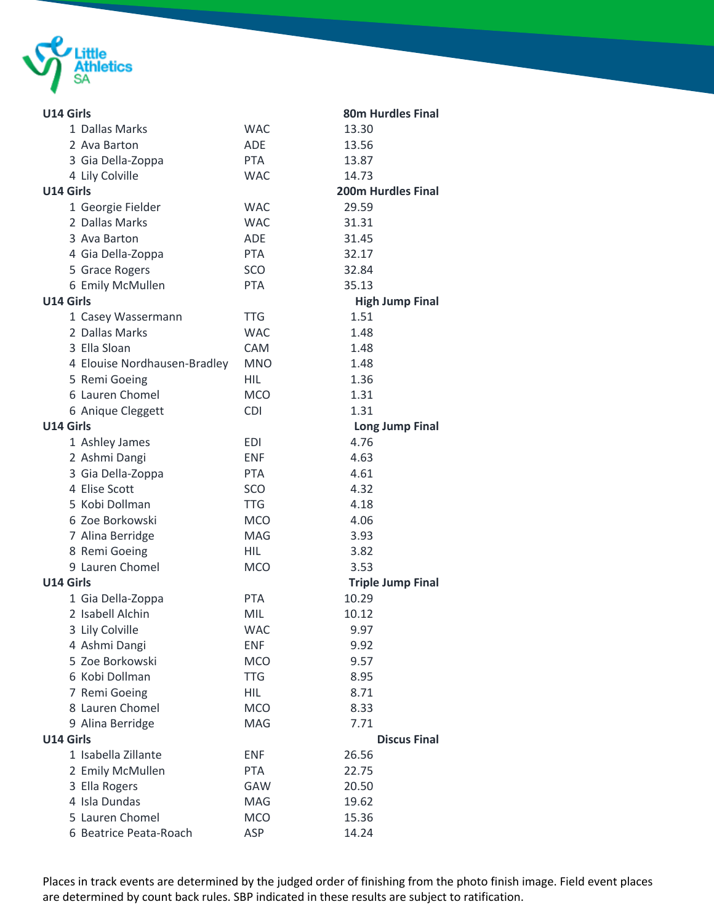

| U14 Girls                    |            | <b>80m Hurdles Final</b>  |
|------------------------------|------------|---------------------------|
| 1 Dallas Marks               | <b>WAC</b> | 13.30                     |
| 2 Ava Barton                 | <b>ADE</b> | 13.56                     |
| 3 Gia Della-Zoppa            | <b>PTA</b> | 13.87                     |
| 4 Lily Colville              | <b>WAC</b> | 14.73                     |
| U14 Girls                    |            | <b>200m Hurdles Final</b> |
| 1 Georgie Fielder            | <b>WAC</b> | 29.59                     |
| 2 Dallas Marks               | <b>WAC</b> | 31.31                     |
| 3 Ava Barton                 | <b>ADF</b> | 31.45                     |
| 4 Gia Della-Zoppa            | <b>PTA</b> | 32.17                     |
| 5 Grace Rogers               | SCO        | 32.84                     |
| 6 Emily McMullen             | <b>PTA</b> | 35.13                     |
| U14 Girls                    |            | <b>High Jump Final</b>    |
| 1 Casey Wassermann           | <b>TTG</b> | 1.51                      |
| 2 Dallas Marks               | <b>WAC</b> | 1.48                      |
| 3 Ella Sloan                 | <b>CAM</b> | 1.48                      |
| 4 Elouise Nordhausen-Bradley | <b>MNO</b> | 1.48                      |
| 5 Remi Goeing                | <b>HIL</b> | 1.36                      |
| 6 Lauren Chomel              | <b>MCO</b> | 1.31                      |
| 6 Anique Cleggett            | <b>CDI</b> | 1.31                      |
| U14 Girls                    |            | <b>Long Jump Final</b>    |
| 1 Ashley James               | <b>EDI</b> | 4.76                      |
| 2 Ashmi Dangi                | <b>ENF</b> | 4.63                      |
| 3 Gia Della-Zoppa            | <b>PTA</b> | 4.61                      |
| 4 Elise Scott                | <b>SCO</b> | 4.32                      |
| 5 Kobi Dollman               | <b>TTG</b> | 4.18                      |
| 6 Zoe Borkowski              | <b>MCO</b> | 4.06                      |
| 7 Alina Berridge             | <b>MAG</b> | 3.93                      |
| 8 Remi Goeing                | <b>HIL</b> | 3.82                      |
| 9 Lauren Chomel              | <b>MCO</b> | 3.53                      |
| U14 Girls                    |            | <b>Triple Jump Final</b>  |
| 1 Gia Della-Zoppa            | <b>PTA</b> | 10.29                     |
| 2 Isabell Alchin             | MIL        | 10.12                     |
| 3 Lily Colville              | <b>WAC</b> | 9.97                      |
| 4 Ashmi Dangi                | <b>ENF</b> | 9.92                      |
| 5 Zoe Borkowski              | <b>MCO</b> | 9.57                      |
| 6 Kobi Dollman               | <b>TTG</b> | 8.95                      |
| 7 Remi Goeing                | <b>HIL</b> | 8.71                      |
| 8 Lauren Chomel              | <b>MCO</b> | 8.33                      |
| 9 Alina Berridge             | MAG        | 7.71                      |
| U14 Girls                    |            | <b>Discus Final</b>       |
| 1 Isabella Zillante          | <b>ENF</b> | 26.56                     |
| 2 Emily McMullen             | <b>PTA</b> | 22.75                     |
| 3 Ella Rogers                | <b>GAW</b> | 20.50                     |
| 4 Isla Dundas                | MAG        | 19.62                     |
| 5 Lauren Chomel              | <b>MCO</b> | 15.36                     |
| 6 Beatrice Peata-Roach       | ASP        | 14.24                     |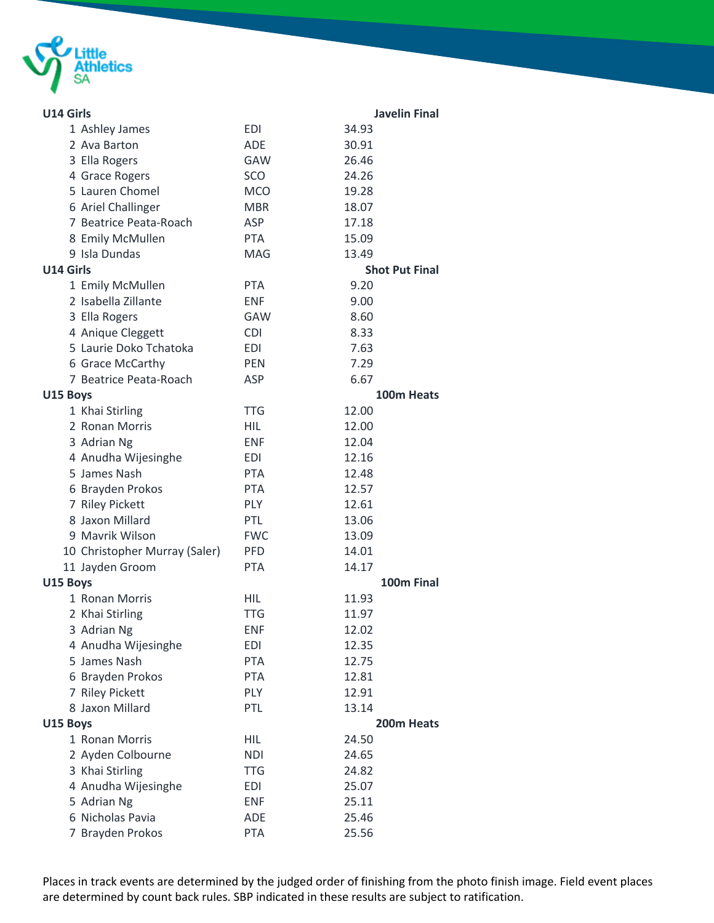

| U14 Girls                     |            | <b>Javelin Final</b>  |
|-------------------------------|------------|-----------------------|
| 1 Ashley James                | <b>EDI</b> | 34.93                 |
| 2 Ava Barton                  | <b>ADE</b> | 30.91                 |
| 3 Ella Rogers                 | <b>GAW</b> | 26.46                 |
| 4 Grace Rogers                | SCO        | 24.26                 |
| 5 Lauren Chomel               | <b>MCO</b> | 19.28                 |
| 6 Ariel Challinger            | <b>MBR</b> | 18.07                 |
| 7 Beatrice Peata-Roach        | <b>ASP</b> | 17.18                 |
| 8 Emily McMullen              | <b>PTA</b> | 15.09                 |
| 9 Isla Dundas                 | <b>MAG</b> | 13.49                 |
| U14 Girls                     |            | <b>Shot Put Final</b> |
| 1 Emily McMullen              | <b>PTA</b> | 9.20                  |
| 2 Isabella Zillante           | <b>ENF</b> | 9.00                  |
| 3 Ella Rogers                 | GAW        | 8.60                  |
| 4 Anique Cleggett             | <b>CDI</b> | 8.33                  |
| 5 Laurie Doko Tchatoka        | <b>EDI</b> | 7.63                  |
| 6 Grace McCarthy              | <b>PEN</b> | 7.29                  |
| 7 Beatrice Peata-Roach        | <b>ASP</b> | 6.67                  |
| U15 Boys                      |            | 100m Heats            |
| 1 Khai Stirling               | <b>TTG</b> | 12.00                 |
| 2 Ronan Morris                | <b>HIL</b> | 12.00                 |
| 3 Adrian Ng                   | <b>ENF</b> | 12.04                 |
| 4 Anudha Wijesinghe           | <b>EDI</b> | 12.16                 |
| 5 James Nash                  | <b>PTA</b> | 12.48                 |
| 6 Brayden Prokos              | <b>PTA</b> | 12.57                 |
| 7 Riley Pickett               | <b>PLY</b> | 12.61                 |
| 8 Jaxon Millard               | PTL        | 13.06                 |
| 9 Mavrik Wilson               | <b>FWC</b> | 13.09                 |
| 10 Christopher Murray (Saler) | <b>PFD</b> | 14.01                 |
| 11 Jayden Groom               | <b>PTA</b> | 14.17                 |
| U15 Boys                      |            | 100m Final            |
| 1 Ronan Morris                | <b>HIL</b> | 11.93                 |
| 2 Khai Stirling               | <b>TTG</b> | 11.97                 |
| 3 Adrian Ng                   | <b>ENF</b> | 12.02                 |
| 4 Anudha Wijesinghe           | EDI        | 12.35                 |
| 5 James Nash                  | <b>PTA</b> | 12.75                 |
| 6 Brayden Prokos              | <b>PTA</b> | 12.81                 |
| 7 Riley Pickett               | PLY        | 12.91                 |
| 8 Jaxon Millard               | PTL        | 13.14                 |
| U15 Boys                      |            | 200m Heats            |
| 1 Ronan Morris                | <b>HIL</b> | 24.50                 |
| 2 Ayden Colbourne             | <b>NDI</b> | 24.65                 |
| 3 Khai Stirling               | TTG        | 24.82                 |
| 4 Anudha Wijesinghe           | <b>EDI</b> | 25.07                 |
| 5 Adrian Ng                   | ENF        | 25.11                 |
| 6 Nicholas Pavia              | ADE        | 25.46                 |
| 7 Brayden Prokos              | <b>PTA</b> | 25.56                 |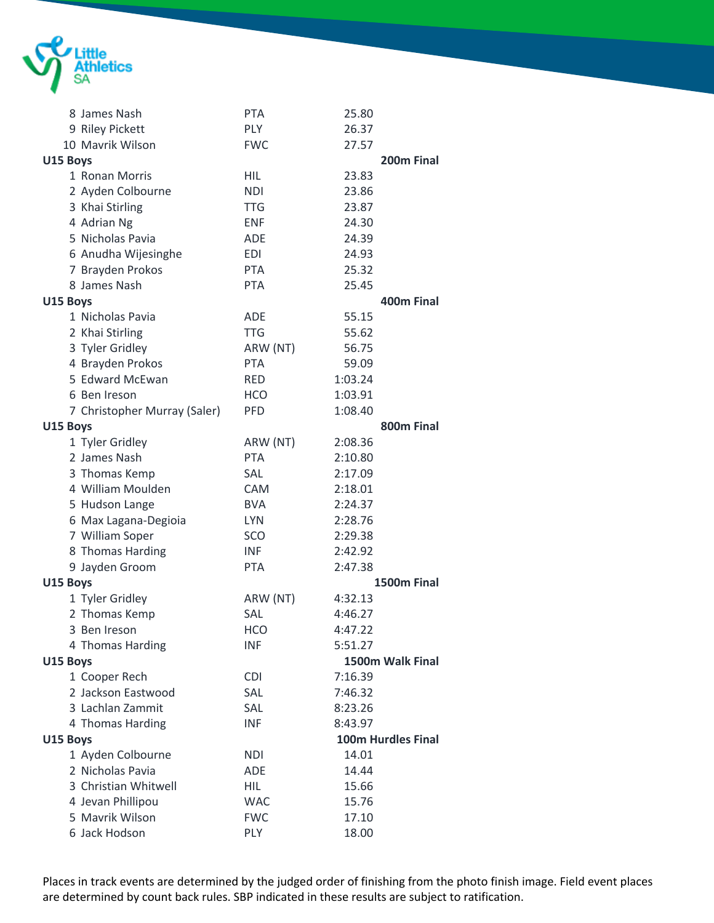

| 8 James Nash                 | <b>PTA</b> | 25.80                       |
|------------------------------|------------|-----------------------------|
| 9 Riley Pickett              | <b>PLY</b> | 26.37                       |
| 10 Mavrik Wilson             | <b>FWC</b> | 27.57                       |
| U15 Boys                     |            | 200m Final                  |
| 1 Ronan Morris               | <b>HIL</b> | 23.83                       |
| 2 Ayden Colbourne            | <b>NDI</b> | 23.86                       |
| 3 Khai Stirling              | <b>TTG</b> | 23.87                       |
| 4 Adrian Ng                  | <b>ENF</b> | 24.30                       |
| 5 Nicholas Pavia             | <b>ADE</b> | 24.39                       |
| 6 Anudha Wijesinghe          | EDI        | 24.93                       |
| 7 Brayden Prokos             | <b>PTA</b> | 25.32                       |
| 8 James Nash                 | <b>PTA</b> | 25.45                       |
| U15 Boys                     |            | 400m Final                  |
| 1 Nicholas Pavia             | <b>ADE</b> | 55.15                       |
| 2 Khai Stirling              | <b>TTG</b> | 55.62                       |
| 3 Tyler Gridley              | ARW (NT)   | 56.75                       |
| 4 Brayden Prokos             | <b>PTA</b> | 59.09                       |
| 5 Edward McEwan              | <b>RED</b> | 1:03.24                     |
| 6 Ben Ireson                 | <b>HCO</b> | 1:03.91                     |
| 7 Christopher Murray (Saler) | <b>PFD</b> | 1:08.40                     |
| U15 Boys                     |            | 800m Final                  |
| 1 Tyler Gridley              | ARW (NT)   | 2:08.36                     |
| 2 James Nash                 | <b>PTA</b> | 2:10.80                     |
| 3 Thomas Kemp                | SAL        | 2:17.09                     |
| 4 William Moulden            | <b>CAM</b> | 2:18.01                     |
| 5 Hudson Lange               | <b>BVA</b> | 2:24.37                     |
| 6 Max Lagana-Degioia         | <b>LYN</b> | 2:28.76                     |
| 7 William Soper              | SCO        | 2:29.38                     |
| 8 Thomas Harding             | <b>INF</b> | 2:42.92                     |
|                              | <b>PTA</b> | 2:47.38                     |
| 9 Jayden Groom               |            | 1500m Final                 |
| U15 Boys                     |            |                             |
| 1 Tyler Gridley              | ARW (NT)   | 4:32.13                     |
| 2 Thomas Kemp                | SAL        | 4:46.27                     |
| 3 Ben Ireson                 | <b>HCO</b> | 4:47.22                     |
| 4 Thomas Harding             | <b>INF</b> | 5:51.27<br>1500m Walk Final |
| U15 Boys                     |            |                             |
| 1 Cooper Rech                | <b>CDI</b> | 7:16.39                     |
| 2 Jackson Eastwood           | SAL        | 7:46.32                     |
| 3 Lachlan Zammit             | SAL        | 8:23.26                     |
| 4 Thomas Harding             | <b>INF</b> | 8:43.97                     |
| U15 Boys                     |            | 100m Hurdles Final          |
| 1 Ayden Colbourne            | <b>NDI</b> | 14.01                       |
| 2 Nicholas Pavia             | ADE        | 14.44                       |
| 3 Christian Whitwell         | <b>HIL</b> | 15.66                       |
| 4 Jevan Phillipou            | <b>WAC</b> | 15.76                       |
| 5 Mavrik Wilson              | <b>FWC</b> | 17.10                       |
| 6 Jack Hodson                | <b>PLY</b> | 18.00                       |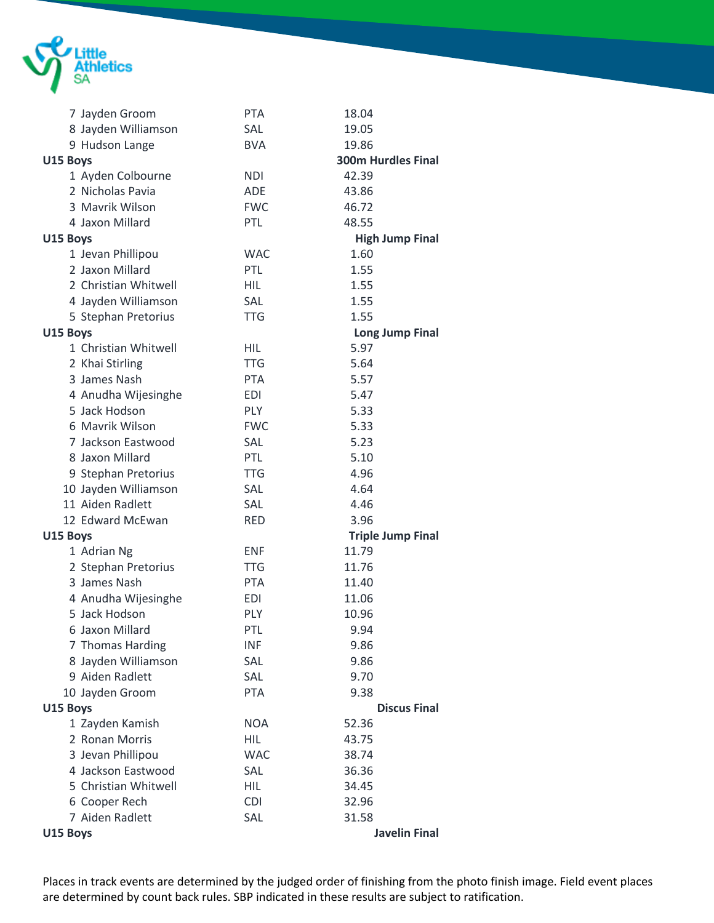

| 7 Jayden Groom       | <b>PTA</b> | 18.04                     |
|----------------------|------------|---------------------------|
| 8 Jayden Williamson  | <b>SAL</b> | 19.05                     |
| 9 Hudson Lange       | <b>BVA</b> | 19.86                     |
| U15 Boys             |            | <b>300m Hurdles Final</b> |
| 1 Ayden Colbourne    | <b>NDI</b> | 42.39                     |
| 2 Nicholas Pavia     | <b>ADE</b> | 43.86                     |
| 3 Mavrik Wilson      | <b>FWC</b> | 46.72                     |
| 4 Jaxon Millard      | PTL        | 48.55                     |
| U15 Boys             |            | <b>High Jump Final</b>    |
| 1 Jevan Phillipou    | <b>WAC</b> | 1.60                      |
| 2 Jaxon Millard      | <b>PTL</b> | 1.55                      |
| 2 Christian Whitwell | <b>HIL</b> | 1.55                      |
| 4 Jayden Williamson  | SAL        | 1.55                      |
| 5 Stephan Pretorius  | <b>TTG</b> | 1.55                      |
| U15 Boys             |            | <b>Long Jump Final</b>    |
| 1 Christian Whitwell | HIL        | 5.97                      |
| 2 Khai Stirling      | <b>TTG</b> | 5.64                      |
| 3 James Nash         | <b>PTA</b> | 5.57                      |
| 4 Anudha Wijesinghe  | EDI        | 5.47                      |
| 5 Jack Hodson        | <b>PLY</b> | 5.33                      |
| 6 Mavrik Wilson      | <b>FWC</b> | 5.33                      |
| 7 Jackson Eastwood   | <b>SAL</b> | 5.23                      |
| 8 Jaxon Millard      | PTL        | 5.10                      |
| 9 Stephan Pretorius  | <b>TTG</b> | 4.96                      |
| 10 Jayden Williamson | SAL        | 4.64                      |
| 11 Aiden Radlett     | <b>SAL</b> | 4.46                      |
| 12 Edward McEwan     | <b>RED</b> | 3.96                      |
| U15 Boys             |            | <b>Triple Jump Final</b>  |
| 1 Adrian Ng          | <b>ENF</b> | 11.79                     |
| 2 Stephan Pretorius  | <b>TTG</b> | 11.76                     |
| 3 James Nash         | <b>PTA</b> | 11.40                     |
| 4 Anudha Wijesinghe  | EDI        | 11.06                     |
| 5 Jack Hodson        | PLY        | 10.96                     |
| 6 Jaxon Millard      | PTL        | 9.94                      |
| 7 Thomas Harding     | INF        | 9.86                      |
| 8 Jayden Williamson  | SAL        | 9.86                      |
| 9 Aiden Radlett      | SAL        | 9.70                      |
| 10 Jayden Groom      | <b>PTA</b> | 9.38                      |
| U15 Boys             |            | <b>Discus Final</b>       |
| 1 Zayden Kamish      | <b>NOA</b> | 52.36                     |
| 2 Ronan Morris       | <b>HIL</b> | 43.75                     |
| 3 Jevan Phillipou    | <b>WAC</b> | 38.74                     |
| 4 Jackson Eastwood   | SAL        | 36.36                     |
| 5 Christian Whitwell | <b>HIL</b> | 34.45                     |
| 6 Cooper Rech        | <b>CDI</b> | 32.96                     |
| 7 Aiden Radlett      | SAL        | 31.58                     |
| U15 Boys             |            | <b>Javelin Final</b>      |
|                      |            |                           |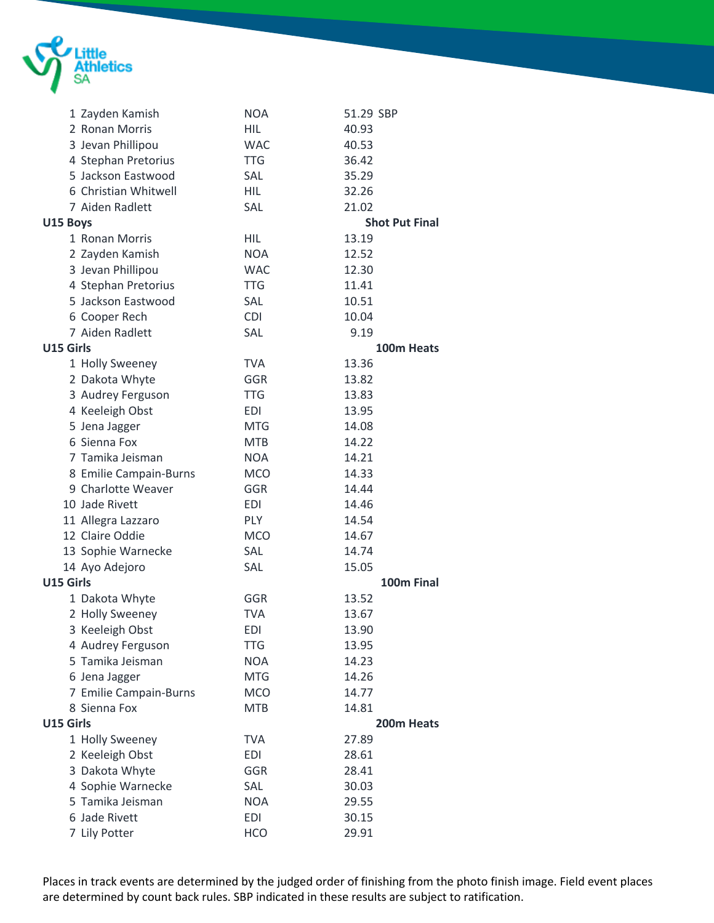

|           | 1 Zayden Kamish        | <b>NOA</b> | 51.29 SBP             |
|-----------|------------------------|------------|-----------------------|
|           | 2 Ronan Morris         | HIL        | 40.93                 |
|           | 3 Jevan Phillipou      | <b>WAC</b> | 40.53                 |
|           | 4 Stephan Pretorius    | <b>TTG</b> | 36.42                 |
|           | 5 Jackson Eastwood     | SAL        | 35.29                 |
|           | 6 Christian Whitwell   | <b>HIL</b> | 32.26                 |
|           | 7 Aiden Radlett        | SAL        | 21.02                 |
| U15 Boys  |                        |            | <b>Shot Put Final</b> |
|           | 1 Ronan Morris         | <b>HIL</b> | 13.19                 |
|           | 2 Zayden Kamish        | <b>NOA</b> | 12.52                 |
|           | 3 Jevan Phillipou      | <b>WAC</b> | 12.30                 |
|           | 4 Stephan Pretorius    | <b>TTG</b> | 11.41                 |
|           | 5 Jackson Eastwood     | SAL        | 10.51                 |
|           | 6 Cooper Rech          | <b>CDI</b> | 10.04                 |
|           | 7 Aiden Radlett        | SAL        | 9.19                  |
| U15 Girls |                        |            | 100m Heats            |
|           | 1 Holly Sweeney        | <b>TVA</b> | 13.36                 |
|           | 2 Dakota Whyte         | GGR        | 13.82                 |
|           | 3 Audrey Ferguson      | <b>TTG</b> | 13.83                 |
|           | 4 Keeleigh Obst        | EDI        | 13.95                 |
|           | 5 Jena Jagger          | <b>MTG</b> | 14.08                 |
|           | 6 Sienna Fox           | <b>MTB</b> | 14.22                 |
|           | 7 Tamika Jeisman       | <b>NOA</b> | 14.21                 |
|           | 8 Emilie Campain-Burns | <b>MCO</b> | 14.33                 |
|           | 9 Charlotte Weaver     | GGR        | 14.44                 |
|           | 10 Jade Rivett         | <b>EDI</b> | 14.46                 |
|           | 11 Allegra Lazzaro     | <b>PLY</b> | 14.54                 |
|           | 12 Claire Oddie        | <b>MCO</b> | 14.67                 |
|           | 13 Sophie Warnecke     | SAL        | 14.74                 |
|           | 14 Ayo Adejoro         | SAL        | 15.05                 |
| U15 Girls |                        |            | 100m Final            |
|           | 1 Dakota Whyte         | GGR        | 13.52                 |
|           | 2 Holly Sweeney        | <b>TVA</b> | 13.67                 |
|           | 3 Keeleigh Obst        | EDI        | 13.90                 |
|           | 4 Audrey Ferguson      | <b>TTG</b> | 13.95                 |
|           | 5 Tamika Jeisman       | <b>NOA</b> | 14.23                 |
|           | 6 Jena Jagger          | <b>MTG</b> | 14.26                 |
|           | 7 Emilie Campain-Burns | <b>MCO</b> | 14.77                 |
|           | 8 Sienna Fox           | <b>MTB</b> | 14.81                 |
| U15 Girls |                        |            | 200m Heats            |
|           | 1 Holly Sweeney        | <b>TVA</b> | 27.89                 |
|           | 2 Keeleigh Obst        | <b>EDI</b> | 28.61                 |
|           | 3 Dakota Whyte         | GGR        | 28.41                 |
|           | 4 Sophie Warnecke      | SAL        | 30.03                 |
|           | 5 Tamika Jeisman       | <b>NOA</b> | 29.55                 |
|           | 6 Jade Rivett          | <b>EDI</b> | 30.15                 |
|           | 7 Lily Potter          | <b>HCO</b> | 29.91                 |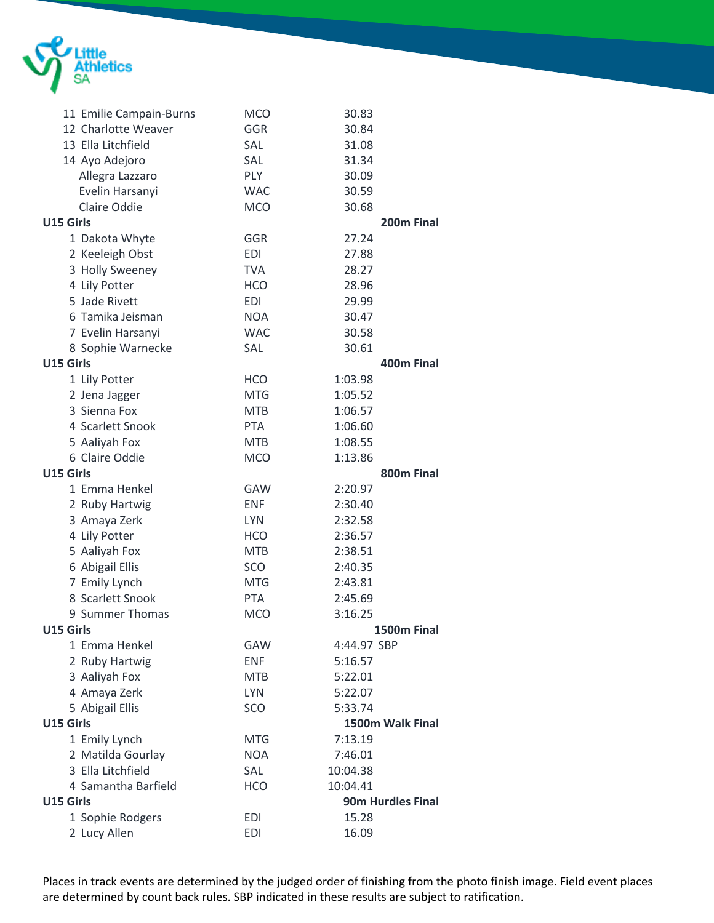

| 11 Emilie Campain-Burns | <b>MCO</b> | 30.83                    |             |
|-------------------------|------------|--------------------------|-------------|
| 12 Charlotte Weaver     | GGR        | 30.84                    |             |
| 13 Ella Litchfield      | SAL        | 31.08                    |             |
| 14 Ayo Adejoro          | SAL        | 31.34                    |             |
| Allegra Lazzaro         | <b>PLY</b> | 30.09                    |             |
| Evelin Harsanyi         | <b>WAC</b> | 30.59                    |             |
| Claire Oddie            | <b>MCO</b> | 30.68                    |             |
| U15 Girls               |            |                          | 200m Final  |
| 1 Dakota Whyte          | GGR        | 27.24                    |             |
| 2 Keeleigh Obst         | <b>EDI</b> | 27.88                    |             |
| 3 Holly Sweeney         | <b>TVA</b> | 28.27                    |             |
| 4 Lily Potter           | <b>HCO</b> | 28.96                    |             |
| 5 Jade Rivett           | <b>EDI</b> | 29.99                    |             |
| 6 Tamika Jeisman        | <b>NOA</b> | 30.47                    |             |
| 7 Evelin Harsanyi       | <b>WAC</b> | 30.58                    |             |
| 8 Sophie Warnecke       | SAL        | 30.61                    |             |
| U15 Girls               |            |                          | 400m Final  |
| 1 Lily Potter           | <b>HCO</b> | 1:03.98                  |             |
| 2 Jena Jagger           | <b>MTG</b> | 1:05.52                  |             |
| 3 Sienna Fox            | <b>MTB</b> | 1:06.57                  |             |
| 4 Scarlett Snook        | <b>PTA</b> | 1:06.60                  |             |
| 5 Aaliyah Fox           | <b>MTB</b> | 1:08.55                  |             |
| 6 Claire Oddie          | <b>MCO</b> | 1:13.86                  |             |
| U15 Girls               |            |                          | 800m Final  |
| 1 Emma Henkel           | <b>GAW</b> | 2:20.97                  |             |
| 2 Ruby Hartwig          | <b>ENF</b> | 2:30.40                  |             |
| 3 Amaya Zerk            | <b>LYN</b> | 2:32.58                  |             |
| 4 Lily Potter           | <b>HCO</b> | 2:36.57                  |             |
| 5 Aaliyah Fox           | <b>MTB</b> | 2:38.51                  |             |
| 6 Abigail Ellis         | SCO        | 2:40.35                  |             |
| 7 Emily Lynch           | <b>MTG</b> | 2:43.81                  |             |
| 8 Scarlett Snook        | <b>PTA</b> | 2:45.69                  |             |
| 9 Summer Thomas         | <b>MCO</b> | 3:16.25                  |             |
| U15 Girls               |            |                          | 1500m Final |
| 1 Emma Henkel           | GAW        | 4:44.97 SBP              |             |
| 2 Ruby Hartwig          | <b>ENF</b> | 5:16.57                  |             |
| 3 Aaliyah Fox           | <b>MTB</b> | 5:22.01                  |             |
| 4 Amaya Zerk            | <b>LYN</b> | 5:22.07                  |             |
| 5 Abigail Ellis         | SCO        | 5:33.74                  |             |
| U15 Girls               |            | 1500m Walk Final         |             |
| 1 Emily Lynch           | <b>MTG</b> | 7:13.19                  |             |
| 2 Matilda Gourlay       | <b>NOA</b> | 7:46.01                  |             |
| 3 Ella Litchfield       | SAL        | 10:04.38                 |             |
| 4 Samantha Barfield     | <b>HCO</b> | 10:04.41                 |             |
| U15 Girls               |            | <b>90m Hurdles Final</b> |             |
| 1 Sophie Rodgers        | <b>EDI</b> | 15.28                    |             |
| 2 Lucy Allen            | <b>EDI</b> | 16.09                    |             |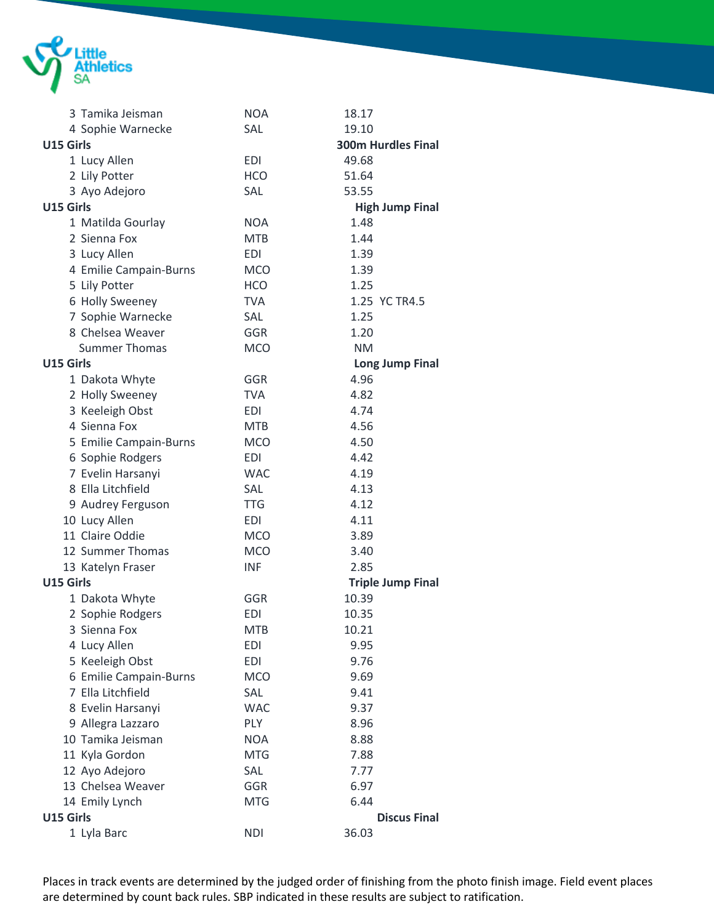

| 3 Tamika Jeisman       | <b>NOA</b> | 18.17                     |
|------------------------|------------|---------------------------|
| 4 Sophie Warnecke      | SAL        | 19.10                     |
| U15 Girls              |            | <b>300m Hurdles Final</b> |
| 1 Lucy Allen           | <b>EDI</b> | 49.68                     |
| 2 Lily Potter          | <b>HCO</b> | 51.64                     |
| 3 Ayo Adejoro          | SAL        | 53.55                     |
| U15 Girls              |            | <b>High Jump Final</b>    |
| 1 Matilda Gourlay      | <b>NOA</b> | 1.48                      |
| 2 Sienna Fox           | <b>MTB</b> | 1.44                      |
| 3 Lucy Allen           | <b>EDI</b> | 1.39                      |
| 4 Emilie Campain-Burns | <b>MCO</b> | 1.39                      |
| 5 Lily Potter          | <b>HCO</b> | 1.25                      |
| 6 Holly Sweeney        | <b>TVA</b> | 1.25 YC TR4.5             |
| 7 Sophie Warnecke      | SAL        | 1.25                      |
| 8 Chelsea Weaver       | GGR        | 1.20                      |
| <b>Summer Thomas</b>   | <b>MCO</b> | <b>NM</b>                 |
| U15 Girls              |            | <b>Long Jump Final</b>    |
| 1 Dakota Whyte         | GGR        | 4.96                      |
| 2 Holly Sweeney        | <b>TVA</b> | 4.82                      |
| 3 Keeleigh Obst        | <b>EDI</b> | 4.74                      |
| 4 Sienna Fox           | <b>MTB</b> | 4.56                      |
| 5 Emilie Campain-Burns | <b>MCO</b> | 4.50                      |
| 6 Sophie Rodgers       | <b>EDI</b> | 4.42                      |
| 7 Evelin Harsanyi      | <b>WAC</b> | 4.19                      |
| 8 Ella Litchfield      | SAL        | 4.13                      |
| 9 Audrey Ferguson      | <b>TTG</b> | 4.12                      |
| 10 Lucy Allen          | EDI        | 4.11                      |
| 11 Claire Oddie        | <b>MCO</b> | 3.89                      |
| 12 Summer Thomas       | <b>MCO</b> | 3.40                      |
| 13 Katelyn Fraser      | <b>INF</b> | 2.85                      |
| U15 Girls              |            | <b>Triple Jump Final</b>  |
| 1 Dakota Whyte         | GGR        | 10.39                     |
| 2 Sophie Rodgers       | <b>EDI</b> | 10.35                     |
| 3 Sienna Fox           | <b>MTB</b> | 10.21                     |
| 4 Lucy Allen           | EDI        | 9.95                      |
| 5 Keeleigh Obst        | <b>EDI</b> | 9.76                      |
| 6 Emilie Campain-Burns | <b>MCO</b> | 9.69                      |
| 7 Ella Litchfield      | SAL        | 9.41                      |
| 8 Evelin Harsanyi      | <b>WAC</b> | 9.37                      |
| 9 Allegra Lazzaro      | PLY        | 8.96                      |
| 10 Tamika Jeisman      | <b>NOA</b> | 8.88                      |
| 11 Kyla Gordon         | <b>MTG</b> | 7.88                      |
| 12 Ayo Adejoro         | SAL        | 7.77                      |
| 13 Chelsea Weaver      | GGR        | 6.97                      |
| 14 Emily Lynch         | <b>MTG</b> | 6.44                      |
| U15 Girls              |            | <b>Discus Final</b>       |
| 1 Lyla Barc            | <b>NDI</b> | 36.03                     |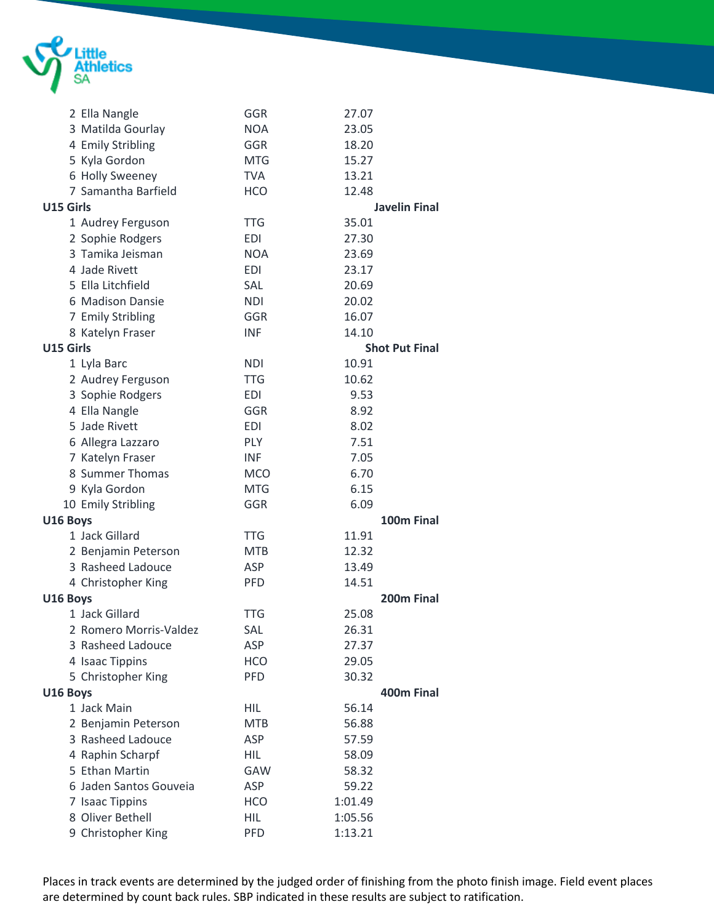

|           | 2 Ella Nangle          | GGR        | 27.07   |                       |
|-----------|------------------------|------------|---------|-----------------------|
|           | 3 Matilda Gourlay      | <b>NOA</b> | 23.05   |                       |
|           | 4 Emily Stribling      | GGR        | 18.20   |                       |
|           | 5 Kyla Gordon          | <b>MTG</b> | 15.27   |                       |
|           | 6 Holly Sweeney        | <b>TVA</b> | 13.21   |                       |
|           | 7 Samantha Barfield    | <b>HCO</b> | 12.48   |                       |
| U15 Girls |                        |            |         | <b>Javelin Final</b>  |
|           | 1 Audrey Ferguson      | <b>TTG</b> | 35.01   |                       |
|           | 2 Sophie Rodgers       | <b>EDI</b> | 27.30   |                       |
|           | 3 Tamika Jeisman       | <b>NOA</b> | 23.69   |                       |
|           | 4 Jade Rivett          | <b>EDI</b> | 23.17   |                       |
|           | 5 Ella Litchfield      | SAL        | 20.69   |                       |
|           | 6 Madison Dansie       | <b>NDI</b> | 20.02   |                       |
|           | 7 Emily Stribling      | GGR        | 16.07   |                       |
|           | 8 Katelyn Fraser       | <b>INF</b> | 14.10   |                       |
| U15 Girls |                        |            |         | <b>Shot Put Final</b> |
|           | 1 Lyla Barc            | <b>NDI</b> | 10.91   |                       |
|           | 2 Audrey Ferguson      | <b>TTG</b> | 10.62   |                       |
|           | 3 Sophie Rodgers       | EDI        | 9.53    |                       |
|           | 4 Ella Nangle          | GGR        | 8.92    |                       |
|           | 5 Jade Rivett          | <b>EDI</b> | 8.02    |                       |
|           | 6 Allegra Lazzaro      | PLY        | 7.51    |                       |
|           | 7 Katelyn Fraser       | <b>INF</b> | 7.05    |                       |
|           | 8 Summer Thomas        | <b>MCO</b> | 6.70    |                       |
|           | 9 Kyla Gordon          | <b>MTG</b> | 6.15    |                       |
|           | 10 Emily Stribling     | GGR        | 6.09    |                       |
| U16 Boys  |                        |            |         | 100m Final            |
|           | 1 Jack Gillard         | <b>TTG</b> | 11.91   |                       |
|           | 2 Benjamin Peterson    | <b>MTB</b> | 12.32   |                       |
|           | 3 Rasheed Ladouce      | ASP        | 13.49   |                       |
|           | 4 Christopher King     | <b>PFD</b> | 14.51   |                       |
| U16 Boys  |                        |            |         | 200m Final            |
|           | 1 Jack Gillard         | <b>TTG</b> | 25.08   |                       |
|           | 2 Romero Morris-Valdez | SAL        | 26.31   |                       |
|           | 3 Rasheed Ladouce      | ASP        | 27.37   |                       |
|           | 4 Isaac Tippins        | <b>HCO</b> | 29.05   |                       |
|           | 5 Christopher King     | PFD        | 30.32   |                       |
| U16 Boys  |                        |            |         | 400m Final            |
|           | 1 Jack Main            | <b>HIL</b> | 56.14   |                       |
|           | 2 Benjamin Peterson    | <b>MTB</b> | 56.88   |                       |
|           | 3 Rasheed Ladouce      | ASP        | 57.59   |                       |
|           | 4 Raphin Scharpf       | <b>HIL</b> | 58.09   |                       |
|           | 5 Ethan Martin         | GAW        | 58.32   |                       |
|           | 6 Jaden Santos Gouveia | ASP        | 59.22   |                       |
|           | 7 Isaac Tippins        | <b>HCO</b> | 1:01.49 |                       |
|           | 8 Oliver Bethell       | <b>HIL</b> | 1:05.56 |                       |
|           | 9 Christopher King     | PFD        | 1:13.21 |                       |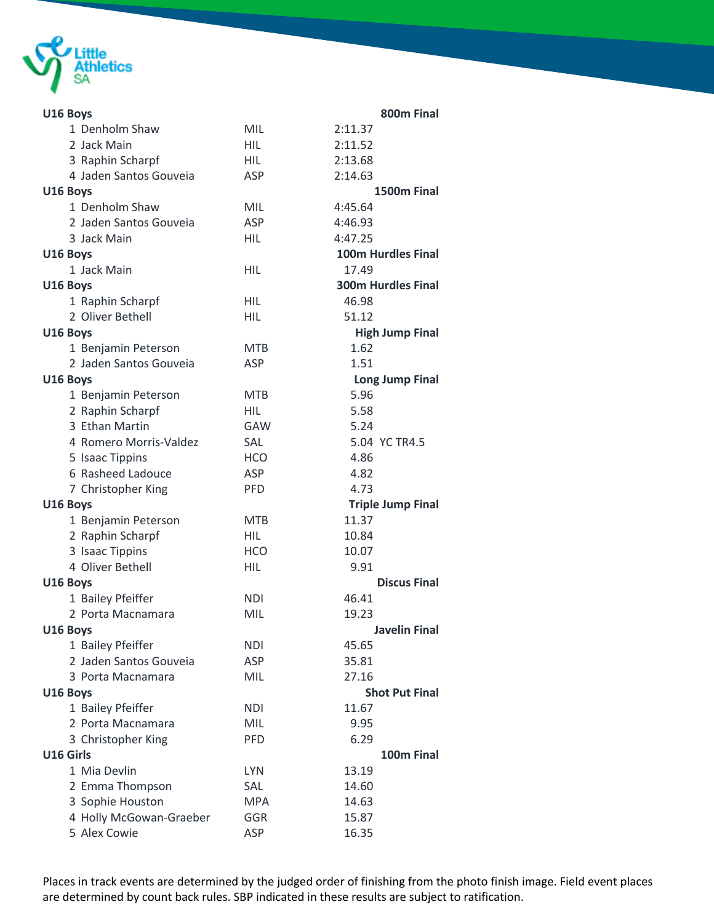

| U16 Boys                |            | 800m Final                |
|-------------------------|------------|---------------------------|
| 1 Denholm Shaw          | <b>MIL</b> | 2:11.37                   |
| 2 Jack Main             | <b>HIL</b> | 2:11.52                   |
| 3 Raphin Scharpf        | <b>HIL</b> | 2:13.68                   |
| 4 Jaden Santos Gouveia  | <b>ASP</b> | 2:14.63                   |
| U16 Boys                |            | 1500m Final               |
| 1 Denholm Shaw          | <b>MIL</b> | 4:45.64                   |
| 2 Jaden Santos Gouveia  | <b>ASP</b> | 4:46.93                   |
| 3 Jack Main             | <b>HIL</b> | 4:47.25                   |
| U16 Boys                |            | <b>100m Hurdles Final</b> |
| 1 Jack Main             | <b>HIL</b> | 17.49                     |
| U16 Boys                |            | <b>300m Hurdles Final</b> |
| 1 Raphin Scharpf        | <b>HIL</b> | 46.98                     |
| 2 Oliver Bethell        | <b>HIL</b> | 51.12                     |
| U16 Boys                |            | <b>High Jump Final</b>    |
| 1 Benjamin Peterson     | <b>MTB</b> | 1.62                      |
| 2 Jaden Santos Gouveia  | ASP        | 1.51                      |
| U16 Boys                |            | <b>Long Jump Final</b>    |
| 1 Benjamin Peterson     | <b>MTB</b> | 5.96                      |
| 2 Raphin Scharpf        | <b>HIL</b> | 5.58                      |
| 3 Ethan Martin          | GAW        | 5.24                      |
| 4 Romero Morris-Valdez  | <b>SAL</b> | 5.04 YC TR4.5             |
| 5 Isaac Tippins         | <b>HCO</b> | 4.86                      |
| 6 Rasheed Ladouce       | <b>ASP</b> | 4.82                      |
| 7 Christopher King      | <b>PFD</b> | 4.73                      |
| U16 Boys                |            | <b>Triple Jump Final</b>  |
| 1 Benjamin Peterson     | <b>MTB</b> | 11.37                     |
| 2 Raphin Scharpf        | <b>HIL</b> | 10.84                     |
| 3 Isaac Tippins         | <b>HCO</b> | 10.07                     |
| 4 Oliver Bethell        | HIL        | 9.91                      |
| U16 Boys                |            | <b>Discus Final</b>       |
| 1 Bailey Pfeiffer       | <b>NDI</b> | 46.41                     |
| 2 Porta Macnamara       | MIL        | 19.23                     |
| U16 Boys                |            | <b>Javelin Final</b>      |
| 1 Bailey Pfeiffer       | <b>NDI</b> | 45.65                     |
| 2 Jaden Santos Gouveia  | <b>ASP</b> | 35.81                     |
| 3 Porta Macnamara       | <b>MIL</b> | 27.16                     |
| U16 Boys                |            | <b>Shot Put Final</b>     |
| 1 Bailey Pfeiffer       | <b>NDI</b> | 11.67                     |
| 2 Porta Macnamara       | MIL        | 9.95                      |
| 3 Christopher King      | <b>PFD</b> | 6.29                      |
| U16 Girls               |            | 100m Final                |
| 1 Mia Devlin            | <b>LYN</b> | 13.19                     |
| 2 Emma Thompson         | <b>SAL</b> | 14.60                     |
| 3 Sophie Houston        | <b>MPA</b> | 14.63                     |
| 4 Holly McGowan-Graeber | <b>GGR</b> | 15.87                     |
| 5 Alex Cowie            | ASP        | 16.35                     |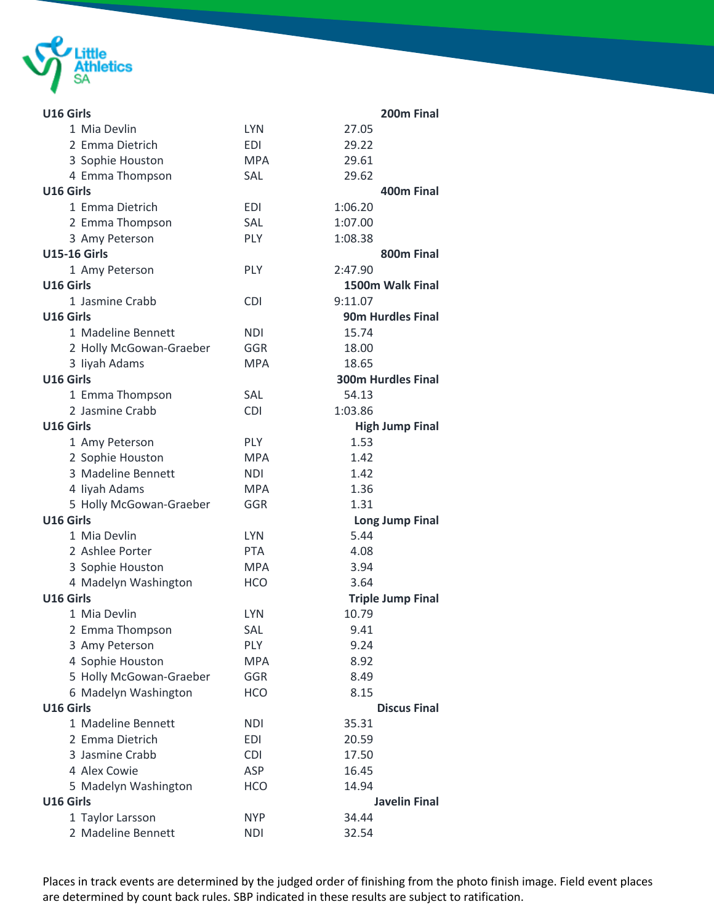

| U16 Girls               |            | 200m Final                |
|-------------------------|------------|---------------------------|
| 1 Mia Devlin            | <b>LYN</b> | 27.05                     |
| 2 Emma Dietrich         | <b>EDI</b> | 29.22                     |
| 3 Sophie Houston        | <b>MPA</b> | 29.61                     |
| 4 Emma Thompson         | SAL        | 29.62                     |
| U16 Girls               |            | 400m Final                |
| 1 Emma Dietrich         | <b>EDI</b> | 1:06.20                   |
| 2 Emma Thompson         | <b>SAL</b> | 1:07.00                   |
| 3 Amy Peterson          | <b>PLY</b> | 1:08.38                   |
| <b>U15-16 Girls</b>     |            | 800m Final                |
| 1 Amy Peterson          | PLY        | 2:47.90                   |
| U16 Girls               |            | 1500m Walk Final          |
| 1 Jasmine Crabb         | <b>CDI</b> | 9:11.07                   |
| U16 Girls               |            | <b>90m Hurdles Final</b>  |
| 1 Madeline Bennett      | <b>NDI</b> | 15.74                     |
| 2 Holly McGowan-Graeber | GGR        | 18.00                     |
| 3 liyah Adams           | <b>MPA</b> | 18.65                     |
| U16 Girls               |            | <b>300m Hurdles Final</b> |
| 1 Emma Thompson         | <b>SAL</b> | 54.13                     |
| 2 Jasmine Crabb         | <b>CDI</b> | 1:03.86                   |
| U16 Girls               |            | <b>High Jump Final</b>    |
| 1 Amy Peterson          | PLY        | 1.53                      |
| 2 Sophie Houston        | <b>MPA</b> | 1.42                      |
| 3 Madeline Bennett      | <b>NDI</b> | 1.42                      |
| 4 liyah Adams           | MPA        | 1.36                      |
| 5 Holly McGowan-Graeber | GGR        | 1.31                      |
| U16 Girls               |            | <b>Long Jump Final</b>    |
| 1 Mia Devlin            | <b>LYN</b> | 5.44                      |
| 2 Ashlee Porter         | <b>PTA</b> | 4.08                      |
| 3 Sophie Houston        | <b>MPA</b> | 3.94                      |
| 4 Madelyn Washington    | <b>HCO</b> | 3.64                      |
| U16 Girls               |            | <b>Triple Jump Final</b>  |
| 1 Mia Devlin            | <b>LYN</b> | 10.79                     |
| 2 Emma Thompson         | SAL        | 9.41                      |
| 3 Amy Peterson          | <b>PLY</b> | 9.24                      |
| 4 Sophie Houston        | <b>MPA</b> | 8.92                      |
| 5 Holly McGowan-Graeber | GGR        | 8.49                      |
| 6 Madelyn Washington    | <b>HCO</b> | 8.15                      |
| U16 Girls               |            | <b>Discus Final</b>       |
| 1 Madeline Bennett      | <b>NDI</b> | 35.31                     |
| 2 Emma Dietrich         | <b>EDI</b> | 20.59                     |
| 3 Jasmine Crabb         | <b>CDI</b> | 17.50                     |
| 4 Alex Cowie            | ASP        | 16.45                     |
| 5 Madelyn Washington    | <b>HCO</b> | 14.94                     |
| U16 Girls               |            | <b>Javelin Final</b>      |
| 1 Taylor Larsson        | <b>NYP</b> | 34.44                     |
| 2 Madeline Bennett      | NDI        | 32.54                     |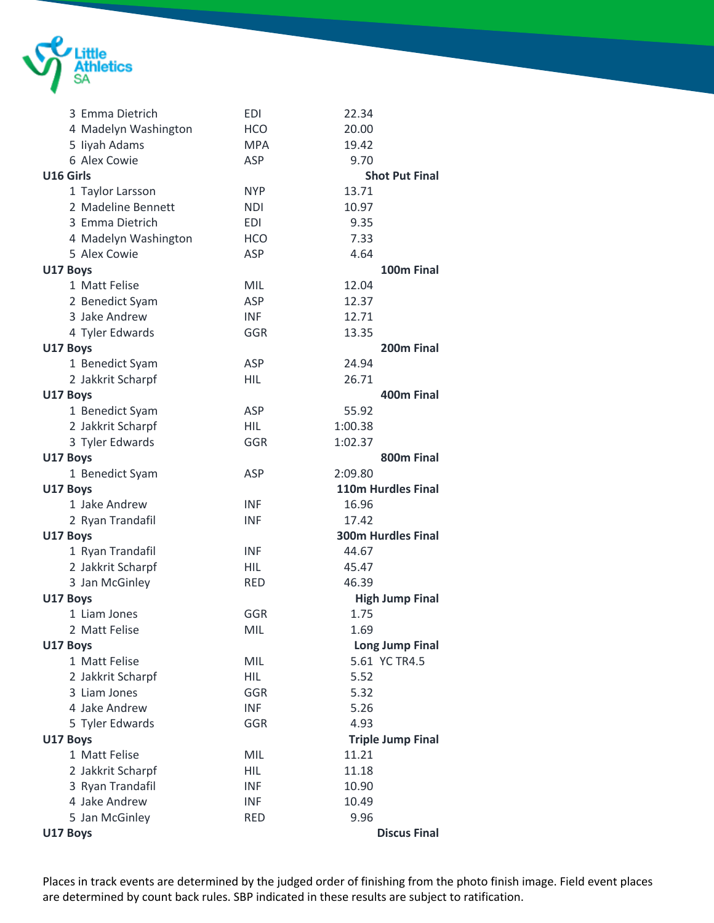

| 3 Emma Dietrich      | <b>EDI</b> | 22.34                     |
|----------------------|------------|---------------------------|
| 4 Madelyn Washington | <b>HCO</b> | 20.00                     |
| 5 liyah Adams        | <b>MPA</b> | 19.42                     |
| 6 Alex Cowie         | <b>ASP</b> | 9.70                      |
| U16 Girls            |            | <b>Shot Put Final</b>     |
| 1 Taylor Larsson     | <b>NYP</b> | 13.71                     |
| 2 Madeline Bennett   | <b>NDI</b> | 10.97                     |
| 3 Emma Dietrich      | <b>EDI</b> | 9.35                      |
| 4 Madelyn Washington | <b>HCO</b> | 7.33                      |
| 5 Alex Cowie         | <b>ASP</b> | 4.64                      |
| U17 Boys             |            | 100m Final                |
| 1 Matt Felise        | <b>MIL</b> | 12.04                     |
| 2 Benedict Syam      | ASP        | 12.37                     |
| 3 Jake Andrew        | <b>INF</b> | 12.71                     |
| 4 Tyler Edwards      | GGR        | 13.35                     |
| U17 Boys             |            | 200m Final                |
| 1 Benedict Syam      | <b>ASP</b> | 24.94                     |
| 2 Jakkrit Scharpf    | HIL        | 26.71                     |
| U17 Boys             |            | 400m Final                |
| 1 Benedict Syam      | <b>ASP</b> | 55.92                     |
| 2 Jakkrit Scharpf    | <b>HIL</b> | 1:00.38                   |
| 3 Tyler Edwards      | <b>GGR</b> | 1:02.37                   |
| U17 Boys             |            | 800m Final                |
| 1 Benedict Syam      | <b>ASP</b> | 2:09.80                   |
| U17 Boys             |            | 110m Hurdles Final        |
| 1 Jake Andrew        | <b>INF</b> | 16.96                     |
| 2 Ryan Trandafil     | <b>INF</b> | 17.42                     |
| U17 Boys             |            | <b>300m Hurdles Final</b> |
| 1 Ryan Trandafil     | <b>INF</b> | 44.67                     |
| 2 Jakkrit Scharpf    | HIL        | 45.47                     |
| 3 Jan McGinley       | <b>RED</b> | 46.39                     |
| U17 Boys             |            | <b>High Jump Final</b>    |
| 1 Liam Jones         | GGR        | 1.75                      |
| 2 Matt Felise        | MIL        | 1.69                      |
| U17 Boys             |            | <b>Long Jump Final</b>    |
| 1 Matt Felise        | MIL        | 5.61 YC TR4.5             |
| 2 Jakkrit Scharpf    | <b>HIL</b> | 5.52                      |
| 3 Liam Jones         | <b>GGR</b> | 5.32                      |
| 4 Jake Andrew        | <b>INF</b> | 5.26                      |
| 5 Tyler Edwards      | GGR        | 4.93                      |
| U17 Boys             |            | <b>Triple Jump Final</b>  |
| 1 Matt Felise        | MIL        | 11.21                     |
| 2 Jakkrit Scharpf    | <b>HIL</b> | 11.18                     |
| 3 Ryan Trandafil     | <b>INF</b> | 10.90                     |
| 4 Jake Andrew        | <b>INF</b> | 10.49                     |
| 5 Jan McGinley       | <b>RED</b> | 9.96                      |
| U17 Boys             |            | <b>Discus Final</b>       |
|                      |            |                           |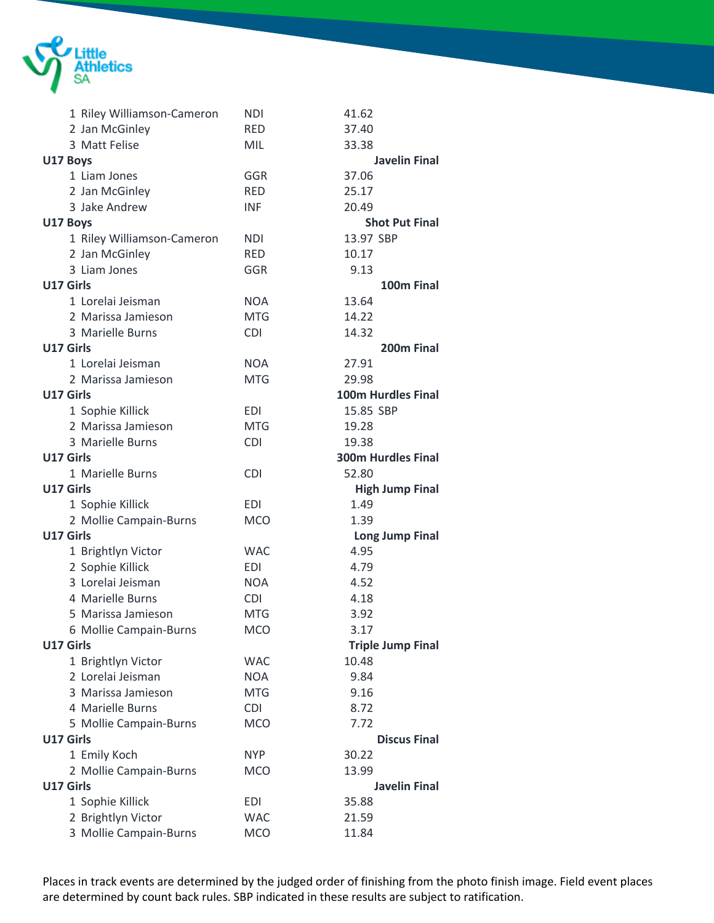

| 1 Riley Williamson-Cameron | <b>NDI</b> | 41.62                     |
|----------------------------|------------|---------------------------|
| 2 Jan McGinley             | <b>RED</b> | 37.40                     |
| 3 Matt Felise              | <b>MIL</b> | 33.38                     |
| U17 Boys                   |            | <b>Javelin Final</b>      |
| 1 Liam Jones               | GGR        | 37.06                     |
| 2 Jan McGinley             | <b>RED</b> | 25.17                     |
| 3 Jake Andrew              | <b>INF</b> | 20.49                     |
| U17 Boys                   |            | <b>Shot Put Final</b>     |
| 1 Riley Williamson-Cameron | <b>NDI</b> | 13.97 SBP                 |
| 2 Jan McGinley             | <b>RED</b> | 10.17                     |
| 3 Liam Jones               | GGR        | 9.13                      |
| U17 Girls                  |            | 100m Final                |
| 1 Lorelai Jeisman          | <b>NOA</b> | 13.64                     |
| 2 Marissa Jamieson         | <b>MTG</b> | 14.22                     |
| 3 Marielle Burns           | <b>CDI</b> | 14.32                     |
| U17 Girls                  |            | 200m Final                |
| 1 Lorelai Jeisman          | <b>NOA</b> | 27.91                     |
| 2 Marissa Jamieson         | <b>MTG</b> | 29.98                     |
| U17 Girls                  |            | 100m Hurdles Final        |
| 1 Sophie Killick           | <b>EDI</b> | 15.85 SBP                 |
| 2 Marissa Jamieson         | <b>MTG</b> | 19.28                     |
| 3 Marielle Burns           | <b>CDI</b> | 19.38                     |
| U17 Girls                  |            | <b>300m Hurdles Final</b> |
| 1 Marielle Burns           | <b>CDI</b> | 52.80                     |
| <b>U17 Girls</b>           |            | <b>High Jump Final</b>    |
| 1 Sophie Killick           | <b>EDI</b> | 1.49                      |
| 2 Mollie Campain-Burns     | <b>MCO</b> | 1.39                      |
| U17 Girls                  |            | <b>Long Jump Final</b>    |
| 1 Brightlyn Victor         | <b>WAC</b> | 4.95                      |
| 2 Sophie Killick           | <b>EDI</b> | 4.79                      |
| 3 Lorelai Jeisman          | <b>NOA</b> | 4.52                      |
| 4 Marielle Burns           | <b>CDI</b> | 4.18                      |
| 5 Marissa Jamieson         | <b>MTG</b> | 3.92                      |
| 6 Mollie Campain-Burns     | <b>MCO</b> | 3.17                      |
| U17 Girls                  |            | <b>Triple Jump Final</b>  |
| 1 Brightlyn Victor         | <b>WAC</b> | 10.48                     |
| 2 Lorelai Jeisman          | <b>NOA</b> | 9.84                      |
| 3 Marissa Jamieson         | <b>MTG</b> | 9.16                      |
| 4 Marielle Burns           | <b>CDI</b> | 8.72                      |
| 5 Mollie Campain-Burns     | <b>MCO</b> | 7.72                      |
| U17 Girls                  |            | <b>Discus Final</b>       |
| 1 Emily Koch               | <b>NYP</b> | 30.22                     |
| 2 Mollie Campain-Burns     | <b>MCO</b> | 13.99                     |
| U17 Girls                  |            | <b>Javelin Final</b>      |
| 1 Sophie Killick           | <b>EDI</b> | 35.88                     |
| 2 Brightlyn Victor         | <b>WAC</b> | 21.59                     |
| 3 Mollie Campain-Burns     | <b>MCO</b> | 11.84                     |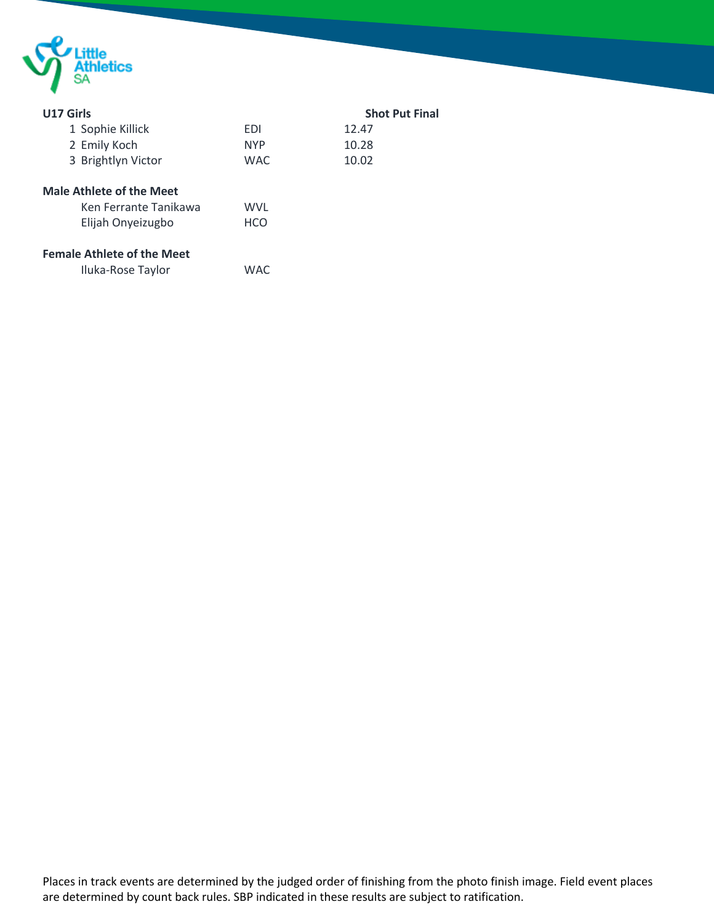

| U17 Girls                         |            | <b>Shot Put Final</b> |
|-----------------------------------|------------|-----------------------|
| 1 Sophie Killick                  | EDI        | 12.47                 |
| 2 Emily Koch                      | <b>NYP</b> | 10.28                 |
| 3 Brightlyn Victor                | <b>WAC</b> | 10.02                 |
| <b>Male Athlete of the Meet</b>   |            |                       |
| Ken Ferrante Tanikawa             | WVL        |                       |
| Elijah Onyeizugbo                 | <b>HCO</b> |                       |
| <b>Female Athlete of the Meet</b> |            |                       |
| Iluka-Rose Taylor                 | <b>WAC</b> |                       |